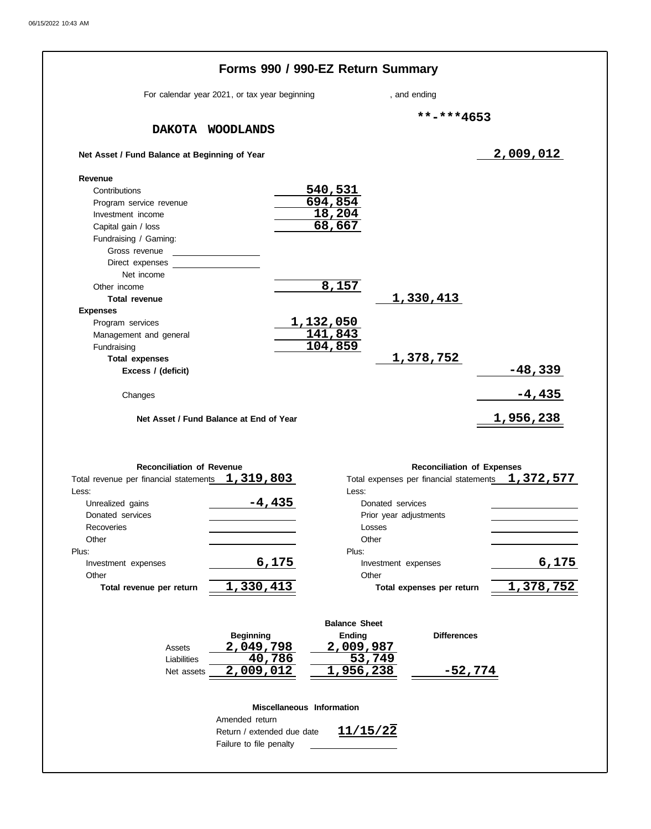|                                                                                                                                                                                                                                     | Forms 990 / 990-EZ Return Summary                                         |                                  |                                                                             |                                                                                                           |                                 |
|-------------------------------------------------------------------------------------------------------------------------------------------------------------------------------------------------------------------------------------|---------------------------------------------------------------------------|----------------------------------|-----------------------------------------------------------------------------|-----------------------------------------------------------------------------------------------------------|---------------------------------|
|                                                                                                                                                                                                                                     | For calendar year 2021, or tax year beginning                             |                                  | , and ending                                                                |                                                                                                           |                                 |
|                                                                                                                                                                                                                                     |                                                                           |                                  |                                                                             | **-***4653                                                                                                |                                 |
|                                                                                                                                                                                                                                     | DAKOTA WOODLANDS                                                          |                                  |                                                                             |                                                                                                           |                                 |
| Net Asset / Fund Balance at Beginning of Year                                                                                                                                                                                       |                                                                           |                                  |                                                                             |                                                                                                           | 2,009,012                       |
| Revenue                                                                                                                                                                                                                             |                                                                           |                                  |                                                                             |                                                                                                           |                                 |
| Contributions                                                                                                                                                                                                                       |                                                                           | 540,531                          |                                                                             |                                                                                                           |                                 |
| Program service revenue                                                                                                                                                                                                             |                                                                           | 694,854                          |                                                                             |                                                                                                           |                                 |
| Investment income                                                                                                                                                                                                                   |                                                                           | 18,204                           |                                                                             |                                                                                                           |                                 |
| Capital gain / loss                                                                                                                                                                                                                 |                                                                           | 68,667                           |                                                                             |                                                                                                           |                                 |
| Fundraising / Gaming:                                                                                                                                                                                                               |                                                                           |                                  |                                                                             |                                                                                                           |                                 |
| Gross revenue                                                                                                                                                                                                                       |                                                                           |                                  |                                                                             |                                                                                                           |                                 |
| Direct expenses                                                                                                                                                                                                                     |                                                                           |                                  |                                                                             |                                                                                                           |                                 |
| Net income                                                                                                                                                                                                                          |                                                                           |                                  |                                                                             |                                                                                                           |                                 |
| Other income                                                                                                                                                                                                                        |                                                                           | 8,157                            |                                                                             |                                                                                                           |                                 |
| <b>Total revenue</b>                                                                                                                                                                                                                |                                                                           |                                  |                                                                             | 1,330,413                                                                                                 |                                 |
| <b>Expenses</b>                                                                                                                                                                                                                     |                                                                           |                                  |                                                                             |                                                                                                           |                                 |
| Program services                                                                                                                                                                                                                    |                                                                           | 1,132,050                        |                                                                             |                                                                                                           |                                 |
| Management and general                                                                                                                                                                                                              |                                                                           | 141,843                          |                                                                             |                                                                                                           |                                 |
| Fundraising                                                                                                                                                                                                                         |                                                                           | 104,859                          |                                                                             |                                                                                                           |                                 |
| <b>Total expenses</b>                                                                                                                                                                                                               |                                                                           |                                  |                                                                             | 1,378,752                                                                                                 |                                 |
| Excess / (deficit)                                                                                                                                                                                                                  |                                                                           |                                  |                                                                             |                                                                                                           | $-48,339$                       |
|                                                                                                                                                                                                                                     | Net Asset / Fund Balance at End of Year                                   |                                  |                                                                             |                                                                                                           | <u>1,956,238</u>                |
| <b>Reconciliation of Revenue</b><br>Total revenue per financial statements 1, 319, 803<br>Less:<br>Unrealized gains<br>Donated services<br>Recoveries<br>Other<br>Plus:<br>Investment expenses<br>Other<br>Total revenue per return | $-4,435$<br>6,175<br>1,330,413                                            | Less:<br>Other<br>Plus:<br>Other | Donated services<br>Prior year adjustments<br>Losses<br>Investment expenses | <b>Reconciliation of Expenses</b><br>Total expenses per financial statements<br>Total expenses per return | 1,372,577<br>6,175<br>1,378,752 |
|                                                                                                                                                                                                                                     |                                                                           | <b>Balance Sheet</b>             |                                                                             |                                                                                                           |                                 |
|                                                                                                                                                                                                                                     | <b>Beginning</b>                                                          | Ending                           |                                                                             | <b>Differences</b>                                                                                        |                                 |
| Assets                                                                                                                                                                                                                              | 2,049,798                                                                 | 2,009,987                        |                                                                             |                                                                                                           |                                 |
| Liabilities                                                                                                                                                                                                                         | 40,786                                                                    |                                  | 53,749                                                                      |                                                                                                           |                                 |
| Net assets                                                                                                                                                                                                                          | 2,009,012                                                                 | 1,956,238                        |                                                                             | <u>–52,774</u>                                                                                            |                                 |
|                                                                                                                                                                                                                                     | Miscellaneous Information<br>Amended return<br>Return / extended due date | 11/15/22                         |                                                                             |                                                                                                           |                                 |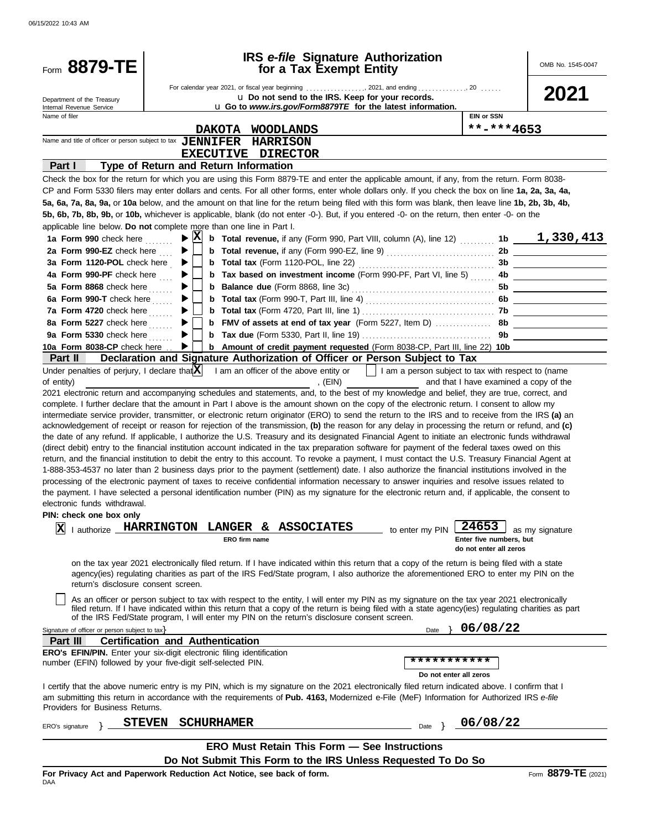| Form 8879-TE                                                                              | <b>IRS</b> e-file Signature Authorization<br>for a Tax Exempt Entity                                                                                                                                                                                                                                                                                                                                                                                                                                                                                                                                                                                                                                                                                                                                                                                                                                                                                                                                                                                                                                                                                                                                                                                                                                                                                                                                                                                                                                                                                                              |                                                   | OMB No. 1545-0047                                                                                                                                                                                                                                                                                                                                                                                                                                                                |
|-------------------------------------------------------------------------------------------|-----------------------------------------------------------------------------------------------------------------------------------------------------------------------------------------------------------------------------------------------------------------------------------------------------------------------------------------------------------------------------------------------------------------------------------------------------------------------------------------------------------------------------------------------------------------------------------------------------------------------------------------------------------------------------------------------------------------------------------------------------------------------------------------------------------------------------------------------------------------------------------------------------------------------------------------------------------------------------------------------------------------------------------------------------------------------------------------------------------------------------------------------------------------------------------------------------------------------------------------------------------------------------------------------------------------------------------------------------------------------------------------------------------------------------------------------------------------------------------------------------------------------------------------------------------------------------------|---------------------------------------------------|----------------------------------------------------------------------------------------------------------------------------------------------------------------------------------------------------------------------------------------------------------------------------------------------------------------------------------------------------------------------------------------------------------------------------------------------------------------------------------|
| Department of the Treasury                                                                | u Do not send to the IRS. Keep for your records.                                                                                                                                                                                                                                                                                                                                                                                                                                                                                                                                                                                                                                                                                                                                                                                                                                                                                                                                                                                                                                                                                                                                                                                                                                                                                                                                                                                                                                                                                                                                  |                                                   | 2021                                                                                                                                                                                                                                                                                                                                                                                                                                                                             |
| Internal Revenue Service<br>Name of filer                                                 | u Go to www.irs.gov/Form8879TE for the latest information.                                                                                                                                                                                                                                                                                                                                                                                                                                                                                                                                                                                                                                                                                                                                                                                                                                                                                                                                                                                                                                                                                                                                                                                                                                                                                                                                                                                                                                                                                                                        | <b>EIN or SSN</b>                                 |                                                                                                                                                                                                                                                                                                                                                                                                                                                                                  |
|                                                                                           | <b>DAKOTA</b><br><b>WOODLANDS</b>                                                                                                                                                                                                                                                                                                                                                                                                                                                                                                                                                                                                                                                                                                                                                                                                                                                                                                                                                                                                                                                                                                                                                                                                                                                                                                                                                                                                                                                                                                                                                 | **-***4653                                        |                                                                                                                                                                                                                                                                                                                                                                                                                                                                                  |
| Name and title of officer or person subject to tax JENNIFER                               | <b>HARRISON</b>                                                                                                                                                                                                                                                                                                                                                                                                                                                                                                                                                                                                                                                                                                                                                                                                                                                                                                                                                                                                                                                                                                                                                                                                                                                                                                                                                                                                                                                                                                                                                                   |                                                   |                                                                                                                                                                                                                                                                                                                                                                                                                                                                                  |
|                                                                                           | EXECUTIVE DIRECTOR                                                                                                                                                                                                                                                                                                                                                                                                                                                                                                                                                                                                                                                                                                                                                                                                                                                                                                                                                                                                                                                                                                                                                                                                                                                                                                                                                                                                                                                                                                                                                                |                                                   |                                                                                                                                                                                                                                                                                                                                                                                                                                                                                  |
| Part I                                                                                    | Type of Return and Return Information                                                                                                                                                                                                                                                                                                                                                                                                                                                                                                                                                                                                                                                                                                                                                                                                                                                                                                                                                                                                                                                                                                                                                                                                                                                                                                                                                                                                                                                                                                                                             |                                                   |                                                                                                                                                                                                                                                                                                                                                                                                                                                                                  |
|                                                                                           | Check the box for the return for which you are using this Form 8879-TE and enter the applicable amount, if any, from the return. Form 8038-                                                                                                                                                                                                                                                                                                                                                                                                                                                                                                                                                                                                                                                                                                                                                                                                                                                                                                                                                                                                                                                                                                                                                                                                                                                                                                                                                                                                                                       |                                                   |                                                                                                                                                                                                                                                                                                                                                                                                                                                                                  |
|                                                                                           | CP and Form 5330 filers may enter dollars and cents. For all other forms, enter whole dollars only. If you check the box on line 1a, 2a, 3a, 4a,                                                                                                                                                                                                                                                                                                                                                                                                                                                                                                                                                                                                                                                                                                                                                                                                                                                                                                                                                                                                                                                                                                                                                                                                                                                                                                                                                                                                                                  |                                                   |                                                                                                                                                                                                                                                                                                                                                                                                                                                                                  |
|                                                                                           | 5a, 6a, 7a, 8a, 9a, or 10a below, and the amount on that line for the return being filed with this form was blank, then leave line 1b, 2b, 3b, 4b,                                                                                                                                                                                                                                                                                                                                                                                                                                                                                                                                                                                                                                                                                                                                                                                                                                                                                                                                                                                                                                                                                                                                                                                                                                                                                                                                                                                                                                |                                                   |                                                                                                                                                                                                                                                                                                                                                                                                                                                                                  |
|                                                                                           | 5b, 6b, 7b, 8b, 9b, or 10b, whichever is applicable, blank (do not enter -0-). But, if you entered -0- on the return, then enter -0- on the                                                                                                                                                                                                                                                                                                                                                                                                                                                                                                                                                                                                                                                                                                                                                                                                                                                                                                                                                                                                                                                                                                                                                                                                                                                                                                                                                                                                                                       |                                                   |                                                                                                                                                                                                                                                                                                                                                                                                                                                                                  |
|                                                                                           | applicable line below. Do not complete more than one line in Part I.                                                                                                                                                                                                                                                                                                                                                                                                                                                                                                                                                                                                                                                                                                                                                                                                                                                                                                                                                                                                                                                                                                                                                                                                                                                                                                                                                                                                                                                                                                              |                                                   |                                                                                                                                                                                                                                                                                                                                                                                                                                                                                  |
| 1a Form 990 check here                                                                    | $\blacktriangleright$ $\vert$ X $\vert$<br><b>b</b> Total revenue, if any (Form 990, Part VIII, column (A), line 12)  1b $\frac{1,330,413}{\sqrt{13}}$                                                                                                                                                                                                                                                                                                                                                                                                                                                                                                                                                                                                                                                                                                                                                                                                                                                                                                                                                                                                                                                                                                                                                                                                                                                                                                                                                                                                                            |                                                   |                                                                                                                                                                                                                                                                                                                                                                                                                                                                                  |
| 2a Form 990-EZ check here                                                                 | b Total revenue, if any (Form 990-EZ, line 9)<br>▶                                                                                                                                                                                                                                                                                                                                                                                                                                                                                                                                                                                                                                                                                                                                                                                                                                                                                                                                                                                                                                                                                                                                                                                                                                                                                                                                                                                                                                                                                                                                |                                                   | $2b \begin{tabular}{c} \multicolumn{2}{c}{} \multicolumn{2}{c}{} \multicolumn{2}{c}{} \multicolumn{2}{c}{} \multicolumn{2}{c}{} \multicolumn{2}{c}{} \multicolumn{2}{c}{} \multicolumn{2}{c}{} \multicolumn{2}{c}{} \multicolumn{2}{c}{} \multicolumn{2}{c}{} \multicolumn{2}{c}{} \multicolumn{2}{c}{} \multicolumn{2}{c}{} \multicolumn{2}{c}{} \multicolumn{2}{c}{} \multicolumn{2}{c}{} \multicolumn{2}{c}{} \multicolumn{2}{c}{} \multicolumn{2}{c}{} \multicolumn{2}{c}{}$ |
| 3a Form 1120-POL check here                                                               | ▶                                                                                                                                                                                                                                                                                                                                                                                                                                                                                                                                                                                                                                                                                                                                                                                                                                                                                                                                                                                                                                                                                                                                                                                                                                                                                                                                                                                                                                                                                                                                                                                 |                                                   |                                                                                                                                                                                                                                                                                                                                                                                                                                                                                  |
| 4a Form 990-PF check here                                                                 | <b>b</b> Tax based on investment income (Form 990-PF, Part VI, line 5)<br>▶                                                                                                                                                                                                                                                                                                                                                                                                                                                                                                                                                                                                                                                                                                                                                                                                                                                                                                                                                                                                                                                                                                                                                                                                                                                                                                                                                                                                                                                                                                       |                                                   |                                                                                                                                                                                                                                                                                                                                                                                                                                                                                  |
| 5a Form 8868 check here                                                                   |                                                                                                                                                                                                                                                                                                                                                                                                                                                                                                                                                                                                                                                                                                                                                                                                                                                                                                                                                                                                                                                                                                                                                                                                                                                                                                                                                                                                                                                                                                                                                                                   |                                                   |                                                                                                                                                                                                                                                                                                                                                                                                                                                                                  |
| 6a Form 990-T check here $\ldots$<br>7a Form 4720 check here                              |                                                                                                                                                                                                                                                                                                                                                                                                                                                                                                                                                                                                                                                                                                                                                                                                                                                                                                                                                                                                                                                                                                                                                                                                                                                                                                                                                                                                                                                                                                                                                                                   |                                                   |                                                                                                                                                                                                                                                                                                                                                                                                                                                                                  |
| 8a Form 5227 check here                                                                   |                                                                                                                                                                                                                                                                                                                                                                                                                                                                                                                                                                                                                                                                                                                                                                                                                                                                                                                                                                                                                                                                                                                                                                                                                                                                                                                                                                                                                                                                                                                                                                                   |                                                   |                                                                                                                                                                                                                                                                                                                                                                                                                                                                                  |
| 9a Form 5330 check here $\ldots$                                                          |                                                                                                                                                                                                                                                                                                                                                                                                                                                                                                                                                                                                                                                                                                                                                                                                                                                                                                                                                                                                                                                                                                                                                                                                                                                                                                                                                                                                                                                                                                                                                                                   |                                                   | 9b                                                                                                                                                                                                                                                                                                                                                                                                                                                                               |
| 10a Form 8038-CP check here                                                               | b Amount of credit payment requested (Form 8038-CP, Part III, line 22) 10b<br>▶                                                                                                                                                                                                                                                                                                                                                                                                                                                                                                                                                                                                                                                                                                                                                                                                                                                                                                                                                                                                                                                                                                                                                                                                                                                                                                                                                                                                                                                                                                   |                                                   |                                                                                                                                                                                                                                                                                                                                                                                                                                                                                  |
| <b>Part II</b>                                                                            | Declaration and Signature Authorization of Officer or Person Subject to Tax                                                                                                                                                                                                                                                                                                                                                                                                                                                                                                                                                                                                                                                                                                                                                                                                                                                                                                                                                                                                                                                                                                                                                                                                                                                                                                                                                                                                                                                                                                       |                                                   |                                                                                                                                                                                                                                                                                                                                                                                                                                                                                  |
| of entity)<br>electronic funds withdrawal.<br>PIN: check one box only<br>X<br>I authorize | E(N)<br>2021 electronic return and accompanying schedules and statements, and, to the best of my knowledge and belief, they are true, correct, and<br>complete. I further declare that the amount in Part I above is the amount shown on the copy of the electronic return. I consent to allow my<br>intermediate service provider, transmitter, or electronic return originator (ERO) to send the return to the IRS and to receive from the IRS (a) an<br>acknowledgement of receipt or reason for rejection of the transmission, (b) the reason for any delay in processing the return or refund, and (c)<br>the date of any refund. If applicable, I authorize the U.S. Treasury and its designated Financial Agent to initiate an electronic funds withdrawal<br>(direct debit) entry to the financial institution account indicated in the tax preparation software for payment of the federal taxes owed on this<br>return, and the financial institution to debit the entry to this account. To revoke a payment, I must contact the U.S. Treasury Financial Agent at<br>1-888-353-4537 no later than 2 business days prior to the payment (settlement) date. I also authorize the financial institutions involved in the<br>processing of the electronic payment of taxes to receive confidential information necessary to answer inquiries and resolve issues related to<br>the payment. I have selected a personal identification number (PIN) as my signature for the electronic return and, if applicable, the consent to<br>HARRINGTON LANGER &<br><b>ASSOCIATES</b> | and that I have examined a copy of the<br>24653   |                                                                                                                                                                                                                                                                                                                                                                                                                                                                                  |
|                                                                                           | to enter my PIN<br>ERO firm name                                                                                                                                                                                                                                                                                                                                                                                                                                                                                                                                                                                                                                                                                                                                                                                                                                                                                                                                                                                                                                                                                                                                                                                                                                                                                                                                                                                                                                                                                                                                                  | Enter five numbers, but<br>do not enter all zeros | as my signature                                                                                                                                                                                                                                                                                                                                                                                                                                                                  |
| return's disclosure consent screen.                                                       | on the tax year 2021 electronically filed return. If I have indicated within this return that a copy of the return is being filed with a state<br>agency(ies) regulating charities as part of the IRS Fed/State program, I also authorize the aforementioned ERO to enter my PIN on the                                                                                                                                                                                                                                                                                                                                                                                                                                                                                                                                                                                                                                                                                                                                                                                                                                                                                                                                                                                                                                                                                                                                                                                                                                                                                           |                                                   |                                                                                                                                                                                                                                                                                                                                                                                                                                                                                  |
|                                                                                           | As an officer or person subject to tax with respect to the entity, I will enter my PIN as my signature on the tax year 2021 electronically<br>filed return. If I have indicated within this return that a copy of the return is being filed with a state agency(ies) regulating charities as part<br>of the IRS Fed/State program, I will enter my PIN on the return's disclosure consent screen.                                                                                                                                                                                                                                                                                                                                                                                                                                                                                                                                                                                                                                                                                                                                                                                                                                                                                                                                                                                                                                                                                                                                                                                 |                                                   |                                                                                                                                                                                                                                                                                                                                                                                                                                                                                  |
| Signature of officer or person subject to tax}                                            | Date                                                                                                                                                                                                                                                                                                                                                                                                                                                                                                                                                                                                                                                                                                                                                                                                                                                                                                                                                                                                                                                                                                                                                                                                                                                                                                                                                                                                                                                                                                                                                                              | 06/08/22                                          |                                                                                                                                                                                                                                                                                                                                                                                                                                                                                  |
| Part III                                                                                  | <b>Certification and Authentication</b>                                                                                                                                                                                                                                                                                                                                                                                                                                                                                                                                                                                                                                                                                                                                                                                                                                                                                                                                                                                                                                                                                                                                                                                                                                                                                                                                                                                                                                                                                                                                           |                                                   |                                                                                                                                                                                                                                                                                                                                                                                                                                                                                  |
|                                                                                           | ERO's EFIN/PIN. Enter your six-digit electronic filing identification<br>number (EFIN) followed by your five-digit self-selected PIN.                                                                                                                                                                                                                                                                                                                                                                                                                                                                                                                                                                                                                                                                                                                                                                                                                                                                                                                                                                                                                                                                                                                                                                                                                                                                                                                                                                                                                                             | ***********<br>Do not enter all zeros             |                                                                                                                                                                                                                                                                                                                                                                                                                                                                                  |
| Providers for Business Returns.                                                           | I certify that the above numeric entry is my PIN, which is my signature on the 2021 electronically filed return indicated above. I confirm that I<br>am submitting this return in accordance with the requirements of Pub. 4163, Modernized e-File (MeF) Information for Authorized IRS e-file                                                                                                                                                                                                                                                                                                                                                                                                                                                                                                                                                                                                                                                                                                                                                                                                                                                                                                                                                                                                                                                                                                                                                                                                                                                                                    |                                                   |                                                                                                                                                                                                                                                                                                                                                                                                                                                                                  |
| ERO's signature                                                                           | <b>SCHURHAMER</b><br><b>STEVEN</b><br>Date                                                                                                                                                                                                                                                                                                                                                                                                                                                                                                                                                                                                                                                                                                                                                                                                                                                                                                                                                                                                                                                                                                                                                                                                                                                                                                                                                                                                                                                                                                                                        | 06/08/22                                          |                                                                                                                                                                                                                                                                                                                                                                                                                                                                                  |
|                                                                                           | <b>ERO Must Retain This Form - See Instructions</b><br>Do Not Submit This Form to the IRS Unless Requested To Do So                                                                                                                                                                                                                                                                                                                                                                                                                                                                                                                                                                                                                                                                                                                                                                                                                                                                                                                                                                                                                                                                                                                                                                                                                                                                                                                                                                                                                                                               |                                                   |                                                                                                                                                                                                                                                                                                                                                                                                                                                                                  |
|                                                                                           |                                                                                                                                                                                                                                                                                                                                                                                                                                                                                                                                                                                                                                                                                                                                                                                                                                                                                                                                                                                                                                                                                                                                                                                                                                                                                                                                                                                                                                                                                                                                                                                   |                                                   | 0070                                                                                                                                                                                                                                                                                                                                                                                                                                                                             |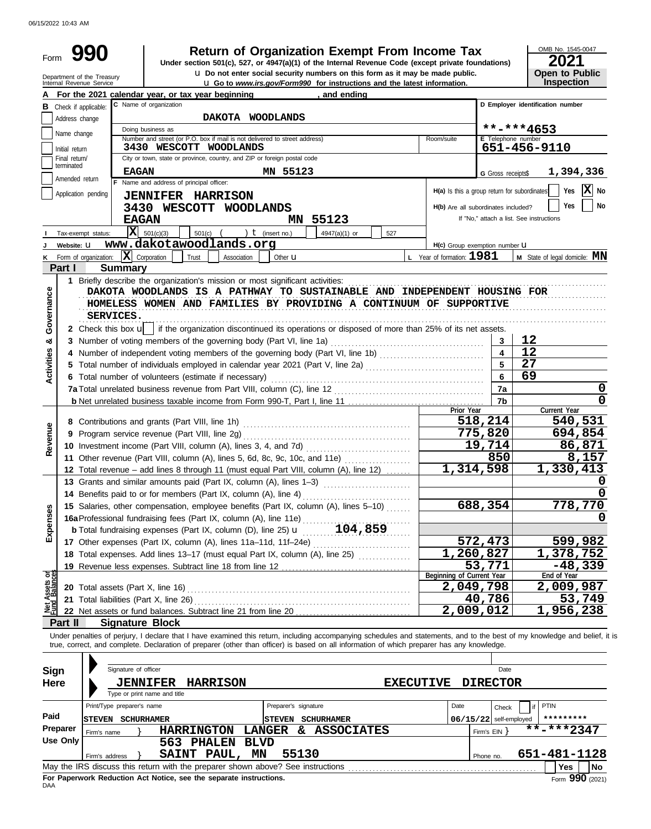| Form              | 990                                                    | <b>Return of Organization Exempt From Income Tax</b><br>Under section 501(c), 527, or 4947(a)(1) of the Internal Revenue Code (except private foundations)                                                                                                                                                               |                         | OMB No. 1545-0047<br>2021                |
|-------------------|--------------------------------------------------------|--------------------------------------------------------------------------------------------------------------------------------------------------------------------------------------------------------------------------------------------------------------------------------------------------------------------------|-------------------------|------------------------------------------|
|                   | Department of the Treasury<br>Internal Revenue Service | u Do not enter social security numbers on this form as it may be made public.<br><b>u</b> Go to www.irs.gov/Form990 for instructions and the latest information.                                                                                                                                                         |                         | Open to Public<br>Inspection             |
|                   |                                                        | For the 2021 calendar year, or tax year beginning<br>, and ending                                                                                                                                                                                                                                                        |                         |                                          |
|                   | <b>B</b> Check if applicable:                          | C Name of organization                                                                                                                                                                                                                                                                                                   |                         | D Employer identification number         |
|                   | Address change                                         | DAKOTA WOODLANDS                                                                                                                                                                                                                                                                                                         |                         |                                          |
|                   | Name change                                            | Doing business as<br>Number and street (or P.O. box if mail is not delivered to street address)<br>Room/suite                                                                                                                                                                                                            | E Telephone number      | **-***4653                               |
|                   | Initial return                                         | 3430 WESCOTT WOODLANDS                                                                                                                                                                                                                                                                                                   |                         | 651-456-9110                             |
|                   | Final return/<br>terminated                            | City or town, state or province, country, and ZIP or foreign postal code                                                                                                                                                                                                                                                 |                         |                                          |
|                   | Amended return                                         | MN 55123<br><b>EAGAN</b>                                                                                                                                                                                                                                                                                                 | G Gross receipts\$      | 1,394,336                                |
|                   |                                                        | F Name and address of principal officer:<br>H(a) Is this a group return for subordinates                                                                                                                                                                                                                                 |                         | $ \mathbf{X} $ No<br>Yes                 |
|                   | Application pending                                    | <b>JENNIFER HARRISON</b>                                                                                                                                                                                                                                                                                                 |                         |                                          |
|                   |                                                        | 3430 WESCOTT WOODLANDS<br>H(b) Are all subordinates included?                                                                                                                                                                                                                                                            |                         | Yes<br>No                                |
|                   |                                                        | MN 55123<br><b>EAGAN</b>                                                                                                                                                                                                                                                                                                 |                         | If "No," attach a list. See instructions |
|                   | Tax-exempt status:                                     | x<br>501(c)(3)<br>501(c)<br>) $t$ (insert no.)<br>527<br>4947(a)(1) or<br>www.dakotawoodlands.org                                                                                                                                                                                                                        |                         |                                          |
|                   | Website: U                                             | H(c) Group exemption number U<br> x <br>L Year of formation: $1981$<br>Corporation                                                                                                                                                                                                                                       |                         | M State of legal domicile: MN            |
| Part I            | K Form of organization:                                | Trust<br>Association<br>Other <b>u</b><br><b>Summary</b>                                                                                                                                                                                                                                                                 |                         |                                          |
|                   |                                                        | 1 Briefly describe the organization's mission or most significant activities:                                                                                                                                                                                                                                            |                         |                                          |
| Governance        |                                                        | DAKOTA WOODLANDS IS A PATHWAY TO SUSTAINABLE AND INDEPENDENT HOUSING FOR<br>HOMELESS WOMEN AND FAMILIES BY PROVIDING A CONTINUUM OF SUPPORTIVE<br>SERVICES.<br>2 Check this box $\mathbf{u}$ if the organization discontinued its operations or disposed of more than 25% of its net assets.                             |                         |                                          |
| න්                |                                                        | 3 Number of voting members of the governing body (Part VI, line 1a)                                                                                                                                                                                                                                                      | $\mathbf{3}$            | 12                                       |
|                   |                                                        | 4 Number of independent voting members of the governing body (Part VI, line 1b) [11] [11] Number of independent voting members of the governing body (Part VI, line 1b)                                                                                                                                                  | $\overline{\mathbf{4}}$ | 12                                       |
| <b>Activities</b> |                                                        | Total number of individuals employed in calendar year 2021 (Part V, line 2a) [[[[[[[[[[[[[[[[[[[[[[[[[[[[[[[[                                                                                                                                                                                                            | $5^{\circ}$             | 27                                       |
|                   |                                                        | 6 Total number of volunteers (estimate if necessary)                                                                                                                                                                                                                                                                     | $6\phantom{1}$          | 69                                       |
|                   |                                                        |                                                                                                                                                                                                                                                                                                                          | 7a                      | 0                                        |
|                   |                                                        |                                                                                                                                                                                                                                                                                                                          | 7 <sub>b</sub>          | 0                                        |
|                   |                                                        | Prior Year                                                                                                                                                                                                                                                                                                               |                         | Current Year<br>540,531                  |
|                   |                                                        | 518,214<br>775,820<br>9 Program service revenue (Part VIII, line 2g)                                                                                                                                                                                                                                                     |                         | 694,854                                  |
| Revenue           |                                                        |                                                                                                                                                                                                                                                                                                                          | 19,714                  | 86,871                                   |
|                   |                                                        | 11 Other revenue (Part VIII, column (A), lines 5, 6d, 8c, 9c, 10c, and 11e)                                                                                                                                                                                                                                              | 850                     | 8,157                                    |
|                   |                                                        | $\overline{1,314}$ , 598<br>12 Total revenue - add lines 8 through 11 (must equal Part VIII, column (A), line 12)                                                                                                                                                                                                        |                         | 1,330,413                                |
|                   |                                                        | 13 Grants and similar amounts paid (Part IX, column (A), lines 1-3)                                                                                                                                                                                                                                                      |                         | 0                                        |
|                   |                                                        | 14 Benefits paid to or for members (Part IX, column (A), line 4)                                                                                                                                                                                                                                                         |                         | Û                                        |
|                   |                                                        | 688,354<br>15 Salaries, other compensation, employee benefits (Part IX, column (A), lines 5-10)                                                                                                                                                                                                                          |                         | 778,770                                  |
| Expenses          |                                                        | 16a Professional fundraising fees (Part IX, column (A), line 11e)                                                                                                                                                                                                                                                        |                         | O                                        |
|                   |                                                        | <b>ba</b> Professional fundraising fees (Part IX, column (A), line TTe) $\ldots$ 104, 859.                                                                                                                                                                                                                               |                         |                                          |
|                   |                                                        | 572,473<br>17 Other expenses (Part IX, column (A), lines 11a-11d, 11f-24e)                                                                                                                                                                                                                                               |                         | 599,982                                  |
|                   |                                                        | $\overline{1,}$ 260, 827<br>18 Total expenses. Add lines 13-17 (must equal Part IX, column (A), line 25)                                                                                                                                                                                                                 |                         | 1,378,752                                |
|                   |                                                        | 19 Revenue less expenses. Subtract line 18 from line 12.                                                                                                                                                                                                                                                                 | 53,771                  | $-48,339$                                |
| Assets or         |                                                        | <b>Beginning of Current Year</b><br>2,049,798<br>20 Total assets (Part X, line 16)                                                                                                                                                                                                                                       |                         | End of Year<br>2,009,987                 |
|                   |                                                        | 21 Total liabilities (Part X, line 26)                                                                                                                                                                                                                                                                                   | 40,786                  | 53,749                                   |
|                   |                                                        | 2,009,012<br>22 Net assets or fund balances. Subtract line 21 from line 20                                                                                                                                                                                                                                               |                         | 1,956,238                                |
| Part II           |                                                        | <b>Signature Block</b>                                                                                                                                                                                                                                                                                                   |                         |                                          |
|                   |                                                        | Under penalties of perjury, I declare that I have examined this return, including accompanying schedules and statements, and to the best of my knowledge and belief, it is<br>true, correct, and complete. Declaration of preparer (other than officer) is based on all information of which preparer has any knowledge. |                         |                                          |
|                   |                                                        | Signature of officer                                                                                                                                                                                                                                                                                                     | Date                    |                                          |
| <b>Sign</b>       |                                                        |                                                                                                                                                                                                                                                                                                                          |                         |                                          |
| Here              |                                                        | <b>HARRISON</b><br><b>EXECUTIVE</b><br><b>JENNIFER</b><br>Type or print name and title                                                                                                                                                                                                                                   | <b>DIRECTOR</b>         |                                          |
|                   |                                                        | Print/Type preparer's name<br>Preparer's signature<br>Date                                                                                                                                                                                                                                                               | Check                   | <b>PTIN</b><br>if                        |
| Paid              |                                                        | $06/15/22$ self-employed<br>STEVEN SCHURHAMER<br>STEVEN SCHURHAMER                                                                                                                                                                                                                                                       |                         | *********                                |
| Preparer          | Firm's name                                            | HARRINGTON LANGER & ASSOCIATES                                                                                                                                                                                                                                                                                           | Firm's EIN              | $\overline{***}$ -***2347                |
| <b>Use Only</b>   | Firm's address                                         | 563 PHALEN BLVD<br>55130<br>SAINT PAUL, MN                                                                                                                                                                                                                                                                               | Phone no.               | 651-481-1128                             |
|                   |                                                        | May the IRS discuss this return with the preparer shown above? See instructions                                                                                                                                                                                                                                          |                         | <b>Yes</b><br>No                         |
|                   |                                                        | For Paperwork Reduction Act Notice, see the separate instructions.                                                                                                                                                                                                                                                       |                         | Form $990$ (2021)                        |

| May the IRS discuss this return with the preparer shown above? See instructions |  |
|---------------------------------------------------------------------------------|--|
| For Paperwork Reduction Act Notice, see the separate instructions.<br>DAA       |  |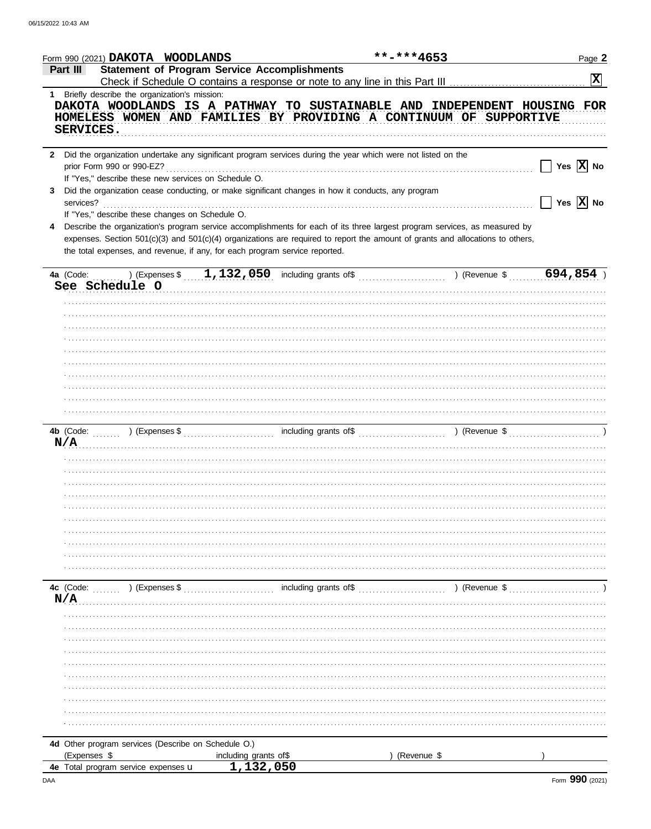|   | Form 990 (2021) DAKOTA WOODLANDS                                                                                                                                                                              | **-***4653    | Page 2                           |
|---|---------------------------------------------------------------------------------------------------------------------------------------------------------------------------------------------------------------|---------------|----------------------------------|
|   | <b>Statement of Program Service Accomplishments</b><br>Part III                                                                                                                                               |               | $\boxed{\mathbf{X}}$             |
|   | 1 Briefly describe the organization's mission:                                                                                                                                                                |               |                                  |
|   | DAKOTA WOODLANDS IS A PATHWAY TO SUSTAINABLE AND INDEPENDENT HOUSING FOR<br>HOMELESS WOMEN AND FAMILIES BY PROVIDING A CONTINUUM OF SUPPORTIVE<br>SERVICES.                                                   |               |                                  |
| 2 | Did the organization undertake any significant program services during the year which were not listed on the                                                                                                  |               | Yes $\overline{X}$ No            |
|   | If "Yes," describe these new services on Schedule O.                                                                                                                                                          |               |                                  |
| 3 | Did the organization cease conducting, or make significant changes in how it conducts, any program                                                                                                            |               | $\Box$ Yes $\boxed{\text{X}}$ No |
| 4 | If "Yes," describe these changes on Schedule O.<br>Describe the organization's program service accomplishments for each of its three largest program services, as measured by                                 |               |                                  |
|   | expenses. Section 501(c)(3) and 501(c)(4) organizations are required to report the amount of grants and allocations to others,<br>the total expenses, and revenue, if any, for each program service reported. |               |                                  |
|   | 4a (Code: (Expenses \$1,132,050 including grants of \$1,000 micles \$694,854)                                                                                                                                 |               |                                  |
|   | See Schedule O                                                                                                                                                                                                |               |                                  |
|   |                                                                                                                                                                                                               |               |                                  |
|   |                                                                                                                                                                                                               |               |                                  |
|   |                                                                                                                                                                                                               |               |                                  |
|   |                                                                                                                                                                                                               |               |                                  |
|   |                                                                                                                                                                                                               |               |                                  |
|   |                                                                                                                                                                                                               |               |                                  |
|   |                                                                                                                                                                                                               |               |                                  |
|   |                                                                                                                                                                                                               |               |                                  |
|   |                                                                                                                                                                                                               |               |                                  |
|   |                                                                                                                                                                                                               |               |                                  |
|   |                                                                                                                                                                                                               |               |                                  |
|   |                                                                                                                                                                                                               |               |                                  |
|   | N/A                                                                                                                                                                                                           |               |                                  |
|   |                                                                                                                                                                                                               |               |                                  |
|   |                                                                                                                                                                                                               |               |                                  |
|   |                                                                                                                                                                                                               |               |                                  |
|   |                                                                                                                                                                                                               |               |                                  |
|   |                                                                                                                                                                                                               |               |                                  |
|   |                                                                                                                                                                                                               |               |                                  |
|   |                                                                                                                                                                                                               |               |                                  |
|   |                                                                                                                                                                                                               |               |                                  |
|   |                                                                                                                                                                                                               |               |                                  |
|   |                                                                                                                                                                                                               |               |                                  |
|   | including grants of\$<br>4c (Code:<br>) (Expenses \$                                                                                                                                                          | ) (Revenue \$ |                                  |
|   | N/A                                                                                                                                                                                                           |               |                                  |
|   |                                                                                                                                                                                                               |               |                                  |
|   |                                                                                                                                                                                                               |               |                                  |
|   |                                                                                                                                                                                                               |               |                                  |
|   |                                                                                                                                                                                                               |               |                                  |
|   |                                                                                                                                                                                                               |               |                                  |
|   |                                                                                                                                                                                                               |               |                                  |
|   |                                                                                                                                                                                                               |               |                                  |
|   |                                                                                                                                                                                                               |               |                                  |
|   |                                                                                                                                                                                                               |               |                                  |
|   |                                                                                                                                                                                                               |               |                                  |
|   | 4d Other program services (Describe on Schedule O.)                                                                                                                                                           |               |                                  |
|   | (Expenses \$<br>including grants of\$                                                                                                                                                                         | (Revenue \$   |                                  |
|   | 1,132,050<br>4e Total program service expenses u                                                                                                                                                              |               |                                  |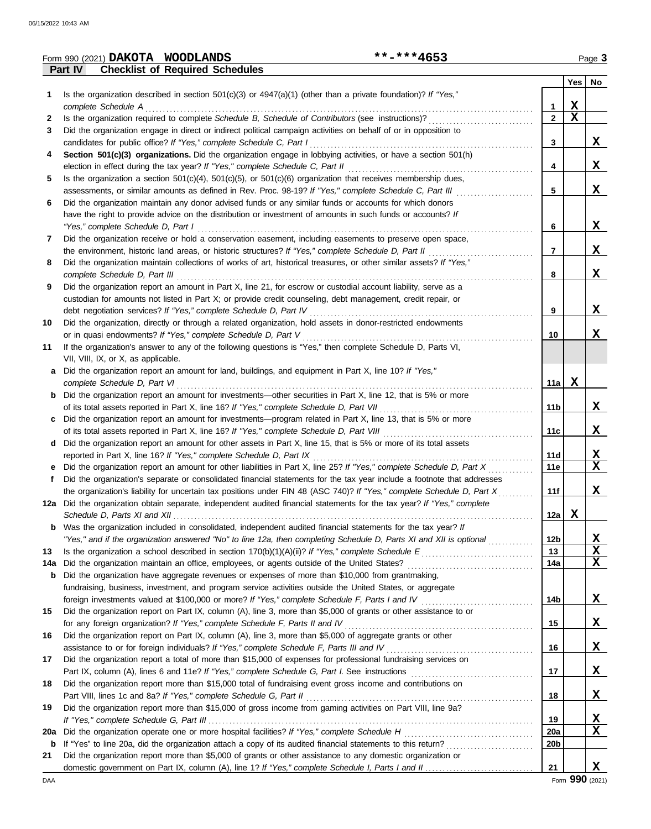|            | Form 990 (2021) DAKOTA WOODLANDS                                                                                                                                              | **-***4653 |                 |             | Page 3      |
|------------|-------------------------------------------------------------------------------------------------------------------------------------------------------------------------------|------------|-----------------|-------------|-------------|
|            | <b>Checklist of Required Schedules</b><br>Part IV                                                                                                                             |            |                 |             |             |
|            |                                                                                                                                                                               |            |                 |             | Yes   No    |
| 1          | Is the organization described in section $501(c)(3)$ or $4947(a)(1)$ (other than a private foundation)? If "Yes,"                                                             |            |                 |             |             |
|            | complete Schedule A                                                                                                                                                           |            | 1               | $\mathbf X$ |             |
| 2          | Is the organization required to complete Schedule B, Schedule of Contributors (see instructions)?                                                                             |            | $\mathbf{2}$    | $\mathbf X$ |             |
| 3          | Did the organization engage in direct or indirect political campaign activities on behalf of or in opposition to                                                              |            |                 |             |             |
|            | candidates for public office? If "Yes," complete Schedule C, Part I                                                                                                           |            | 3               |             | X           |
| 4          | Section 501(c)(3) organizations. Did the organization engage in lobbying activities, or have a section 501(h)                                                                 |            |                 |             |             |
|            | election in effect during the tax year? If "Yes," complete Schedule C, Part II                                                                                                |            | 4               |             | X           |
| 5          | Is the organization a section $501(c)(4)$ , $501(c)(5)$ , or $501(c)(6)$ organization that receives membership dues,                                                          |            |                 |             |             |
|            | assessments, or similar amounts as defined in Rev. Proc. 98-19? If "Yes," complete Schedule C, Part III                                                                       |            | 5               |             | X           |
| 6          | Did the organization maintain any donor advised funds or any similar funds or accounts for which donors                                                                       |            |                 |             |             |
|            | have the right to provide advice on the distribution or investment of amounts in such funds or accounts? If                                                                   |            |                 |             |             |
|            | "Yes," complete Schedule D, Part I                                                                                                                                            |            | 6               |             | X           |
| 7          | Did the organization receive or hold a conservation easement, including easements to preserve open space,                                                                     |            |                 |             |             |
|            | the environment, historic land areas, or historic structures? If "Yes," complete Schedule D, Part II                                                                          |            | $\overline{7}$  |             | X           |
| 8          | Did the organization maintain collections of works of art, historical treasures, or other similar assets? If "Yes,"                                                           |            |                 |             |             |
|            | complete Schedule D, Part III                                                                                                                                                 |            | 8               |             | X           |
| 9          | Did the organization report an amount in Part X, line 21, for escrow or custodial account liability, serve as a                                                               |            |                 |             |             |
|            | custodian for amounts not listed in Part X; or provide credit counseling, debt management, credit repair, or                                                                  |            |                 |             |             |
|            | debt negotiation services? If "Yes," complete Schedule D, Part IV                                                                                                             |            | 9               |             | X           |
| 10         | Did the organization, directly or through a related organization, hold assets in donor-restricted endowments                                                                  |            |                 |             | X           |
| 11         | or in quasi endowments? If "Yes," complete Schedule D, Part V<br>If the organization's answer to any of the following questions is "Yes," then complete Schedule D, Parts VI, |            | 10              |             |             |
|            | VII, VIII, IX, or X, as applicable.                                                                                                                                           |            |                 |             |             |
| a          | Did the organization report an amount for land, buildings, and equipment in Part X, line 10? If "Yes,"                                                                        |            |                 |             |             |
|            | complete Schedule D, Part VI                                                                                                                                                  |            | 11a             | X           |             |
|            | Did the organization report an amount for investments—other securities in Part X, line 12, that is 5% or more                                                                 |            |                 |             |             |
|            | of its total assets reported in Part X, line 16? If "Yes," complete Schedule D, Part VII                                                                                      |            | 11 <sub>b</sub> |             | x           |
| c          | Did the organization report an amount for investments—program related in Part X, line 13, that is 5% or more                                                                  |            |                 |             |             |
|            | of its total assets reported in Part X, line 16? If "Yes," complete Schedule D, Part VIII                                                                                     |            | 11 <sub>c</sub> |             | x           |
| d          | Did the organization report an amount for other assets in Part X, line 15, that is 5% or more of its total assets                                                             |            |                 |             |             |
|            | reported in Part X, line 16? If "Yes," complete Schedule D, Part IX                                                                                                           |            | 11d             |             | $\mathbf x$ |
|            | Did the organization report an amount for other liabilities in Part X, line 25? If "Yes," complete Schedule D, Part X                                                         |            | 11e             |             | X           |
| f          | Did the organization's separate or consolidated financial statements for the tax year include a footnote that addresses                                                       |            |                 |             |             |
|            | the organization's liability for uncertain tax positions under FIN 48 (ASC 740)? If "Yes," complete Schedule D, Part X                                                        |            | 11f             |             | X           |
|            | 12a Did the organization obtain separate, independent audited financial statements for the tax year? If "Yes," complete                                                       |            |                 |             |             |
|            |                                                                                                                                                                               |            | 12a             | X           |             |
| b          | Was the organization included in consolidated, independent audited financial statements for the tax year? If                                                                  |            |                 |             |             |
|            | "Yes," and if the organization answered "No" to line 12a, then completing Schedule D, Parts XI and XII is optional                                                            |            | 12b             |             | X           |
| 13         |                                                                                                                                                                               |            | 13              |             | X           |
| 14a        | Did the organization maintain an office, employees, or agents outside of the United States?                                                                                   |            | 14a             |             | X           |
| b          | Did the organization have aggregate revenues or expenses of more than \$10,000 from grantmaking,                                                                              |            |                 |             |             |
|            | fundraising, business, investment, and program service activities outside the United States, or aggregate                                                                     |            |                 |             |             |
|            | foreign investments valued at \$100,000 or more? If "Yes," complete Schedule F, Parts I and IV                                                                                |            | 14b             |             | X           |
| 15         | Did the organization report on Part IX, column (A), line 3, more than \$5,000 of grants or other assistance to or                                                             |            |                 |             |             |
|            | for any foreign organization? If "Yes," complete Schedule F, Parts II and IV                                                                                                  |            | 15              |             | X           |
| 16         | Did the organization report on Part IX, column (A), line 3, more than \$5,000 of aggregate grants or other                                                                    |            |                 |             |             |
|            |                                                                                                                                                                               |            | 16              |             | X           |
| 17         | Did the organization report a total of more than \$15,000 of expenses for professional fundraising services on                                                                |            |                 |             |             |
|            | Part IX, column (A), lines 6 and 11e? If "Yes," complete Schedule G, Part I. See instructions <i>conterent communition</i>                                                    |            | 17              |             | X           |
| 18         | Did the organization report more than \$15,000 total of fundraising event gross income and contributions on                                                                   |            |                 |             |             |
|            | Part VIII, lines 1c and 8a? If "Yes," complete Schedule G, Part II                                                                                                            |            | 18              |             | <u>x</u>    |
| 19         | Did the organization report more than \$15,000 of gross income from gaming activities on Part VIII, line 9a?                                                                  |            |                 |             |             |
|            |                                                                                                                                                                               |            | 19              |             | <u>x</u>    |
| <b>20a</b> | Did the organization operate one or more hospital facilities? If "Yes," complete Schedule H                                                                                   |            | <b>20a</b>      |             | $\mathbf X$ |
| b          |                                                                                                                                                                               |            | 20 <sub>b</sub> |             |             |
| 21         | Did the organization report more than \$5,000 of grants or other assistance to any domestic organization or                                                                   |            |                 |             |             |
|            |                                                                                                                                                                               |            | 21              |             | X           |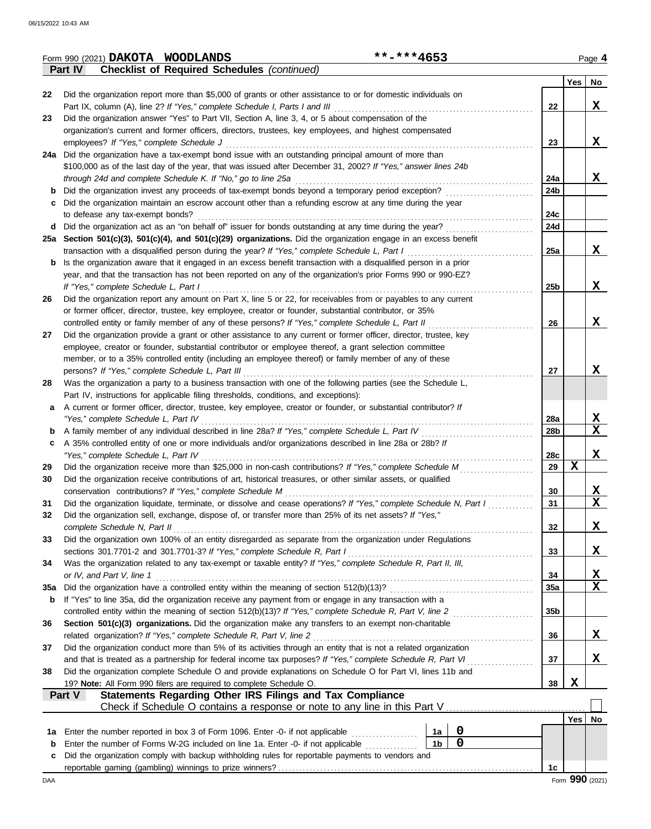|          | **-***4653<br>Form 990 (2021) DAKOTA WOODLANDS                                                                                                                                                                             |                  |               | Page 4      |
|----------|----------------------------------------------------------------------------------------------------------------------------------------------------------------------------------------------------------------------------|------------------|---------------|-------------|
|          | Part IV<br><b>Checklist of Required Schedules (continued)</b>                                                                                                                                                              |                  |               |             |
|          |                                                                                                                                                                                                                            |                  | $Yes \mid No$ |             |
| 22       | Did the organization report more than \$5,000 of grants or other assistance to or for domestic individuals on<br>Part IX, column (A), line 2? If "Yes," complete Schedule I, Parts I and III                               | 22               |               | $\mathbf x$ |
| 23       | Did the organization answer "Yes" to Part VII, Section A, line 3, 4, or 5 about compensation of the                                                                                                                        |                  |               |             |
|          | organization's current and former officers, directors, trustees, key employees, and highest compensated                                                                                                                    |                  |               |             |
|          | employees? If "Yes," complete Schedule J                                                                                                                                                                                   | 23               |               | X           |
|          | 24a Did the organization have a tax-exempt bond issue with an outstanding principal amount of more than                                                                                                                    |                  |               |             |
|          | \$100,000 as of the last day of the year, that was issued after December 31, 2002? If "Yes," answer lines 24b                                                                                                              |                  |               |             |
|          | through 24d and complete Schedule K. If "No," go to line 25a                                                                                                                                                               | 24a              |               | X           |
| b        | Did the organization invest any proceeds of tax-exempt bonds beyond a temporary period exception?                                                                                                                          | 24b              |               |             |
| с        | Did the organization maintain an escrow account other than a refunding escrow at any time during the year                                                                                                                  |                  |               |             |
|          | to defease any tax-exempt bonds?                                                                                                                                                                                           | 24c              |               |             |
| d        | Did the organization act as an "on behalf of" issuer for bonds outstanding at any time during the year?                                                                                                                    | 24d              |               |             |
|          | 25a Section 501(c)(3), 501(c)(4), and 501(c)(29) organizations. Did the organization engage in an excess benefit                                                                                                           |                  |               | X           |
|          | transaction with a disqualified person during the year? If "Yes," complete Schedule L, Part I<br>Is the organization aware that it engaged in an excess benefit transaction with a disqualified person in a prior          | 25a              |               |             |
| b        | year, and that the transaction has not been reported on any of the organization's prior Forms 990 or 990-EZ?                                                                                                               |                  |               |             |
|          | If "Yes," complete Schedule L, Part I                                                                                                                                                                                      | 25b              |               | X           |
| 26       | Did the organization report any amount on Part X, line 5 or 22, for receivables from or payables to any current                                                                                                            |                  |               |             |
|          | or former officer, director, trustee, key employee, creator or founder, substantial contributor, or 35%                                                                                                                    |                  |               |             |
|          | controlled entity or family member of any of these persons? If "Yes," complete Schedule L, Part II                                                                                                                         | 26               |               | X           |
| 27       | Did the organization provide a grant or other assistance to any current or former officer, director, trustee, key                                                                                                          |                  |               |             |
|          | employee, creator or founder, substantial contributor or employee thereof, a grant selection committee                                                                                                                     |                  |               |             |
|          | member, or to a 35% controlled entity (including an employee thereof) or family member of any of these                                                                                                                     |                  |               |             |
|          | persons? If "Yes," complete Schedule L, Part III                                                                                                                                                                           | 27               |               | X           |
| 28       | Was the organization a party to a business transaction with one of the following parties (see the Schedule L,                                                                                                              |                  |               |             |
|          | Part IV, instructions for applicable filing thresholds, conditions, and exceptions):                                                                                                                                       |                  |               |             |
| a        | A current or former officer, director, trustee, key employee, creator or founder, or substantial contributor? If                                                                                                           |                  |               |             |
|          | "Yes," complete Schedule L, Part IV                                                                                                                                                                                        | 28a<br>28b       |               | X<br>X      |
| b<br>c   | A 35% controlled entity of one or more individuals and/or organizations described in line 28a or 28b? If                                                                                                                   |                  |               |             |
|          | "Yes," complete Schedule L, Part IV                                                                                                                                                                                        | 28c              |               | X           |
| 29       | Did the organization receive more than \$25,000 in non-cash contributions? If "Yes," complete Schedule M                                                                                                                   | 29               | $\mathbf x$   |             |
| 30       | Did the organization receive contributions of art, historical treasures, or other similar assets, or qualified                                                                                                             |                  |               |             |
|          | conservation contributions? If "Yes," complete Schedule M                                                                                                                                                                  | 30               |               | X           |
| 31       | Did the organization liquidate, terminate, or dissolve and cease operations? If "Yes," complete Schedule N, Part I                                                                                                         | 31               |               | X           |
| 32       | Did the organization sell, exchange, dispose of, or transfer more than 25% of its net assets? If "Yes,"                                                                                                                    |                  |               |             |
|          | complete Schedule N, Part II                                                                                                                                                                                               | 32               |               | X           |
| 33       | Did the organization own 100% of an entity disregarded as separate from the organization under Regulations                                                                                                                 |                  |               |             |
|          | sections 301.7701-2 and 301.7701-3? If "Yes," complete Schedule R, Part I                                                                                                                                                  | 33               |               | X           |
| 34       | Was the organization related to any tax-exempt or taxable entity? If "Yes," complete Schedule R, Part II, III,                                                                                                             |                  |               |             |
|          | or IV, and Part V, line 1<br>Did the organization have a controlled entity within the meaning of section 512(b)(13)?                                                                                                       | 34<br><b>35a</b> |               | X<br>X      |
| 35a<br>b | If "Yes" to line 35a, did the organization receive any payment from or engage in any transaction with a                                                                                                                    |                  |               |             |
|          | controlled entity within the meaning of section 512(b)(13)? If "Yes," complete Schedule R, Part V, line 2                                                                                                                  | 35 <sub>b</sub>  |               |             |
| 36       | Section 501(c)(3) organizations. Did the organization make any transfers to an exempt non-charitable                                                                                                                       |                  |               |             |
|          | related organization? If "Yes," complete Schedule R, Part V, line 2                                                                                                                                                        | 36               |               | X           |
| 37       | Did the organization conduct more than 5% of its activities through an entity that is not a related organization                                                                                                           |                  |               |             |
|          | and that is treated as a partnership for federal income tax purposes? If "Yes," complete Schedule R, Part VI                                                                                                               | 37               |               | X           |
| 38       | Did the organization complete Schedule O and provide explanations on Schedule O for Part VI, lines 11b and                                                                                                                 |                  |               |             |
|          | 19? Note: All Form 990 filers are required to complete Schedule O.                                                                                                                                                         | 38               | X             |             |
|          | Statements Regarding Other IRS Filings and Tax Compliance<br>Part V                                                                                                                                                        |                  |               |             |
|          |                                                                                                                                                                                                                            |                  |               |             |
|          |                                                                                                                                                                                                                            |                  | Yes           | No          |
| 1a       | $\mathbf 0$<br>1a<br>Enter the number reported in box 3 of Form 1096. Enter -0- if not applicable<br>.<br>$\mathbf 0$<br>1 <sub>b</sub><br>Enter the number of Forms W-2G included on line 1a. Enter -0- if not applicable |                  |               |             |
| b<br>c   | Did the organization comply with backup withholding rules for reportable payments to vendors and                                                                                                                           |                  |               |             |
|          |                                                                                                                                                                                                                            | 1c               |               |             |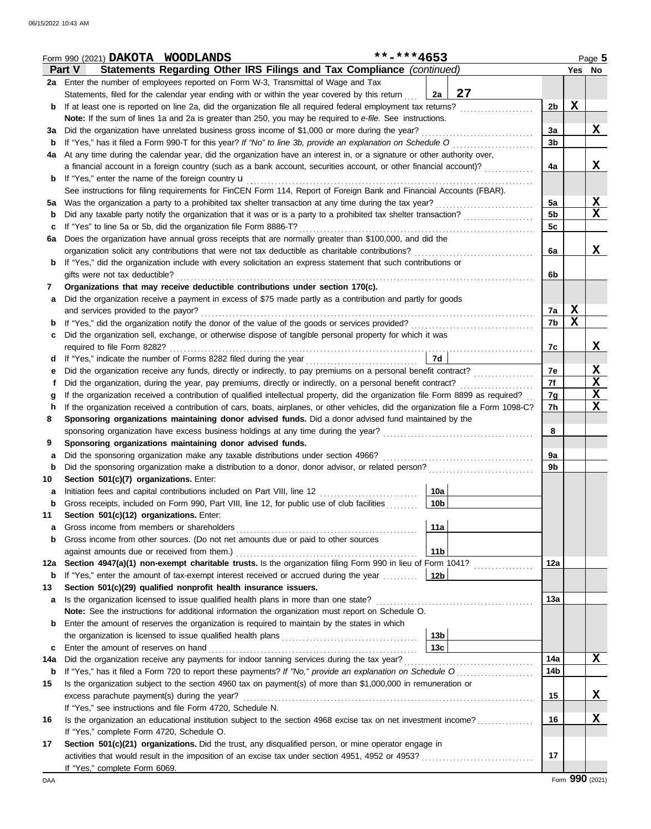|             | Form 990 (2021) DAKOTA WOODLANDS                                                                                                   | **-***4653 |                 |    |                |             | Page 5          |
|-------------|------------------------------------------------------------------------------------------------------------------------------------|------------|-----------------|----|----------------|-------------|-----------------|
|             | Statements Regarding Other IRS Filings and Tax Compliance (continued)<br>Part V                                                    |            |                 |    |                | Yes No      |                 |
|             | 2a Enter the number of employees reported on Form W-3, Transmittal of Wage and Tax                                                 |            |                 |    |                |             |                 |
|             | Statements, filed for the calendar year ending with or within the year covered by this return                                      |            | 2a              | 27 |                |             |                 |
| b           | If at least one is reported on line 2a, did the organization file all required federal employment tax returns?                     |            |                 |    | 2 <sub>b</sub> | $\mathbf X$ |                 |
|             | Note: If the sum of lines 1a and 2a is greater than 250, you may be required to e-file. See instructions.                          |            |                 |    |                |             |                 |
| За          | Did the organization have unrelated business gross income of \$1,000 or more during the year?                                      |            |                 |    | За             |             | X               |
| b           | If "Yes," has it filed a Form 990-T for this year? If "No" to line 3b, provide an explanation on Schedule O                        |            |                 |    | 3 <sub>b</sub> |             |                 |
| 4a          | At any time during the calendar year, did the organization have an interest in, or a signature or other authority over,            |            |                 |    |                |             |                 |
|             | a financial account in a foreign country (such as a bank account, securities account, or other financial account)?                 |            |                 |    | 4a             |             | X               |
| b           | If "Yes," enter the name of the foreign country <b>u</b>                                                                           |            |                 |    |                |             |                 |
|             | See instructions for filing requirements for FinCEN Form 114, Report of Foreign Bank and Financial Accounts (FBAR).                |            |                 |    |                |             |                 |
| 5a          |                                                                                                                                    |            |                 |    | 5a             |             | <u>x</u>        |
| b           | Did any taxable party notify the organization that it was or is a party to a prohibited tax shelter transaction?                   |            |                 |    | 5 <sub>b</sub> |             | $\mathbf X$     |
| с           | If "Yes" to line 5a or 5b, did the organization file Form 8886-T?                                                                  |            |                 |    | 5c             |             |                 |
| 6a          | Does the organization have annual gross receipts that are normally greater than \$100,000, and did the                             |            |                 |    |                |             |                 |
|             | organization solicit any contributions that were not tax deductible as charitable contributions?                                   |            |                 |    | 6a             |             | X               |
| b           | If "Yes," did the organization include with every solicitation an express statement that such contributions or                     |            |                 |    |                |             |                 |
|             | gifts were not tax deductible?                                                                                                     |            |                 |    | 6b             |             |                 |
| 7           | Organizations that may receive deductible contributions under section 170(c).                                                      |            |                 |    |                |             |                 |
| a           | Did the organization receive a payment in excess of \$75 made partly as a contribution and partly for goods                        |            |                 |    |                |             |                 |
|             | and services provided to the payor?                                                                                                |            |                 |    | 7a             | X           |                 |
| b           |                                                                                                                                    |            |                 |    | 7b             | X           |                 |
| с           | Did the organization sell, exchange, or otherwise dispose of tangible personal property for which it was                           |            |                 |    |                |             |                 |
|             | required to file Form 8282?                                                                                                        |            |                 |    | 7c             |             | X               |
| d           | If "Yes," indicate the number of Forms 8282 filed during the year<br>[[[[[[[[[[[[[]]]]]                                            |            | 7d              |    |                |             |                 |
| е           |                                                                                                                                    |            |                 |    | 7е             |             | X               |
| t           | Did the organization, during the year, pay premiums, directly or indirectly, on a personal benefit contract?                       |            |                 |    | 7f             |             | $\mathbf X$     |
| g           | If the organization received a contribution of qualified intellectual property, did the organization file Form 8899 as required?   |            |                 |    | 7g             |             | X               |
| h           | If the organization received a contribution of cars, boats, airplanes, or other vehicles, did the organization file a Form 1098-C? |            |                 |    | 7h             |             | $\mathbf X$     |
| 8           | Sponsoring organizations maintaining donor advised funds. Did a donor advised fund maintained by the                               |            |                 |    |                |             |                 |
|             |                                                                                                                                    |            |                 |    | 8              |             |                 |
| 9           | Sponsoring organizations maintaining donor advised funds.                                                                          |            |                 |    |                |             |                 |
| а           | Did the sponsoring organization make any taxable distributions under section 4966?                                                 |            |                 |    | 9a             |             |                 |
| $\mathbf b$ |                                                                                                                                    |            |                 |    | 9b             |             |                 |
| 10          | Section 501(c)(7) organizations. Enter:                                                                                            |            |                 |    |                |             |                 |
| а           | Initiation fees and capital contributions included on Part VIII, line 12 [11] [11] [12] [11] [11] [12] [11] [1                     |            | 10a             |    |                |             |                 |
| b           | Gross receipts, included on Form 990, Part VIII, line 12, for public use of club facilities                                        |            | 10b             |    |                |             |                 |
| 11          | Section 501(c)(12) organizations. Enter:                                                                                           |            |                 |    |                |             |                 |
| a           | Gross income from members or shareholders                                                                                          |            | 11a             |    |                |             |                 |
| $\mathbf b$ | Gross income from other sources. (Do not net amounts due or paid to other sources                                                  |            |                 |    |                |             |                 |
|             | against amounts due or received from them.)                                                                                        |            | 11 <sub>b</sub> |    |                |             |                 |
| 12a         | Section 4947(a)(1) non-exempt charitable trusts. Is the organization filing Form 990 in lieu of Form 1041?                         |            |                 |    | 12a            |             |                 |
| b           | If "Yes," enter the amount of tax-exempt interest received or accrued during the year                                              |            | 12b             |    |                |             |                 |
| 13          | Section 501(c)(29) qualified nonprofit health insurance issuers.                                                                   |            |                 |    |                |             |                 |
| a           | Is the organization licensed to issue qualified health plans in more than one state?                                               |            |                 |    | 13а            |             |                 |
|             | Note: See the instructions for additional information the organization must report on Schedule O.                                  |            |                 |    |                |             |                 |
| b           | Enter the amount of reserves the organization is required to maintain by the states in which                                       |            |                 |    |                |             |                 |
|             |                                                                                                                                    |            | 13 <sub>b</sub> |    |                |             |                 |
| c           | Enter the amount of reserves on hand                                                                                               |            | 13 <sub>c</sub> |    |                |             |                 |
| 14a         |                                                                                                                                    |            |                 |    | 14a            |             | X               |
| b           | If "Yes," has it filed a Form 720 to report these payments? If "No," provide an explanation on Schedule O                          |            |                 |    | 14b            |             |                 |
| 15          | Is the organization subject to the section 4960 tax on payment(s) of more than \$1,000,000 in remuneration or                      |            |                 |    |                |             |                 |
|             | excess parachute payment(s) during the year?                                                                                       |            |                 |    | 15             |             | X               |
|             | If "Yes," see instructions and file Form 4720, Schedule N.                                                                         |            |                 |    |                |             |                 |
| 16          | Is the organization an educational institution subject to the section 4968 excise tax on net investment income?                    |            |                 |    | 16             |             | x               |
|             | If "Yes," complete Form 4720, Schedule O.                                                                                          |            |                 |    |                |             |                 |
| 17          | Section 501(c)(21) organizations. Did the trust, any disqualified person, or mine operator engage in                               |            |                 |    |                |             |                 |
|             |                                                                                                                                    |            |                 |    | 17             |             |                 |
|             | If "Yes," complete Form 6069.                                                                                                      |            |                 |    |                |             | Form 990 (2021) |
| DAA         |                                                                                                                                    |            |                 |    |                |             |                 |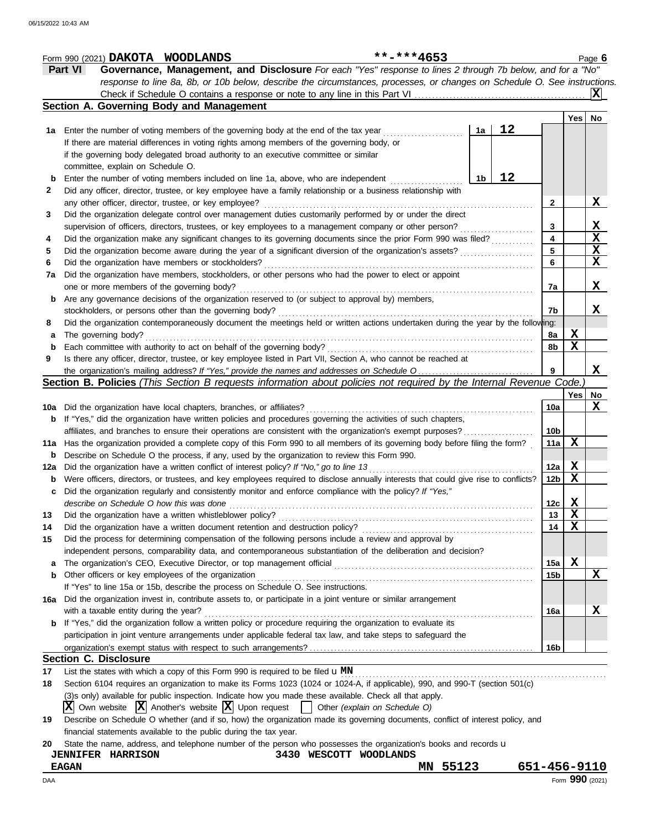|     | response to line 8a, 8b, or 10b below, describe the circumstances, processes, or changes on Schedule O. See instructions.                                                                                                       |                 |                  |                              |
|-----|---------------------------------------------------------------------------------------------------------------------------------------------------------------------------------------------------------------------------------|-----------------|------------------|------------------------------|
|     |                                                                                                                                                                                                                                 |                 |                  | X                            |
|     | Section A. Governing Body and Management                                                                                                                                                                                        |                 |                  |                              |
|     | 12                                                                                                                                                                                                                              |                 | Yes              | No                           |
| 1a  | Enter the number of voting members of the governing body at the end of the tax year<br>1a                                                                                                                                       |                 |                  |                              |
|     | If there are material differences in voting rights among members of the governing body, or                                                                                                                                      |                 |                  |                              |
|     | if the governing body delegated broad authority to an executive committee or similar                                                                                                                                            |                 |                  |                              |
|     | committee, explain on Schedule O.                                                                                                                                                                                               |                 |                  |                              |
| b   | 12<br>1 <sub>b</sub><br>Enter the number of voting members included on line 1a, above, who are independent                                                                                                                      |                 |                  |                              |
| 2   | Did any officer, director, trustee, or key employee have a family relationship or a business relationship with                                                                                                                  |                 |                  |                              |
|     | any other officer, director, trustee, or key employee?                                                                                                                                                                          | 2               |                  | X                            |
| 3   | Did the organization delegate control over management duties customarily performed by or under the direct                                                                                                                       |                 |                  |                              |
|     | supervision of officers, directors, trustees, or key employees to a management company or other person?                                                                                                                         | 3               |                  | X<br>$\overline{\mathbf{X}}$ |
| 4   | Did the organization make any significant changes to its governing documents since the prior Form 990 was filed?                                                                                                                | 4<br>5          |                  | X                            |
| 5   |                                                                                                                                                                                                                                 |                 |                  | X                            |
| 6   | Did the organization have members or stockholders?                                                                                                                                                                              | 6               |                  |                              |
| 7a  | Did the organization have members, stockholders, or other persons who had the power to elect or appoint                                                                                                                         |                 |                  |                              |
|     | one or more members of the governing body?                                                                                                                                                                                      | 7a              |                  | X                            |
| b   | Are any governance decisions of the organization reserved to (or subject to approval by) members,                                                                                                                               |                 |                  |                              |
|     | stockholders, or persons other than the governing body?                                                                                                                                                                         | 7b              |                  | X                            |
| 8   | Did the organization contemporaneously document the meetings held or written actions undertaken during the year by the following:                                                                                               |                 |                  |                              |
| а   | The governing body?                                                                                                                                                                                                             | 8a              | X                |                              |
| b   | Each committee with authority to act on behalf of the governing body?                                                                                                                                                           | 8b              | $\mathbf X$      |                              |
| 9   | Is there any officer, director, trustee, or key employee listed in Part VII, Section A, who cannot be reached at                                                                                                                |                 |                  |                              |
|     |                                                                                                                                                                                                                                 | 9               |                  | X                            |
|     | Section B. Policies (This Section B requests information about policies not required by the Internal Revenue Code.)                                                                                                             |                 |                  |                              |
|     |                                                                                                                                                                                                                                 |                 | Yes              | No                           |
| 10a | Did the organization have local chapters, branches, or affiliates?                                                                                                                                                              | 10a             |                  | X                            |
| b   | If "Yes," did the organization have written policies and procedures governing the activities of such chapters,                                                                                                                  |                 |                  |                              |
|     | affiliates, and branches to ensure their operations are consistent with the organization's exempt purposes?                                                                                                                     | 10 <sub>b</sub> |                  |                              |
| 11a | Has the organization provided a complete copy of this Form 990 to all members of its governing body before filing the form?                                                                                                     | 11a             | X                |                              |
| b   | Describe on Schedule O the process, if any, used by the organization to review this Form 990.                                                                                                                                   |                 |                  |                              |
| 12a | Did the organization have a written conflict of interest policy? If "No," go to line 13                                                                                                                                         | 12a             | X<br>X           |                              |
| b   | Were officers, directors, or trustees, and key employees required to disclose annually interests that could give rise to conflicts?                                                                                             | 12b             |                  |                              |
| c   | Did the organization regularly and consistently monitor and enforce compliance with the policy? If "Yes,"                                                                                                                       |                 |                  |                              |
|     | describe on Schedule O how this was done                                                                                                                                                                                        | 12c             | X                |                              |
| 13  |                                                                                                                                                                                                                                 | 13              | X<br>$\mathbf x$ |                              |
| 14  | Did the organization have a written document retention and destruction policy?                                                                                                                                                  | 14              |                  |                              |
| 15  | Did the process for determining compensation of the following persons include a review and approval by                                                                                                                          |                 |                  |                              |
|     | independent persons, comparability data, and contemporaneous substantiation of the deliberation and decision?                                                                                                                   |                 |                  |                              |
| a   |                                                                                                                                                                                                                                 | 15a             | X                |                              |
| b   | Other officers or key employees of the organization                                                                                                                                                                             | 15b             |                  | X                            |
|     | If "Yes" to line 15a or 15b, describe the process on Schedule O. See instructions.                                                                                                                                              |                 |                  |                              |
| 16а | Did the organization invest in, contribute assets to, or participate in a joint venture or similar arrangement                                                                                                                  |                 |                  |                              |
|     | with a taxable entity during the year?                                                                                                                                                                                          | 16a             |                  | X                            |
| b   | If "Yes," did the organization follow a written policy or procedure requiring the organization to evaluate its<br>participation in joint venture arrangements under applicable federal tax law, and take steps to safeguard the |                 |                  |                              |
|     |                                                                                                                                                                                                                                 |                 |                  |                              |
|     |                                                                                                                                                                                                                                 | 16b             |                  |                              |
|     | <b>Section C. Disclosure</b>                                                                                                                                                                                                    |                 |                  |                              |
| 17  | List the states with which a copy of this Form 990 is required to be filed $\mathbf{u}$ MN                                                                                                                                      |                 |                  |                              |
| 18  | Section 6104 requires an organization to make its Forms 1023 (1024 or 1024-A, if applicable), 990, and 990-T (section 501(c)                                                                                                    |                 |                  |                              |
|     | (3)s only) available for public inspection. Indicate how you made these available. Check all that apply.                                                                                                                        |                 |                  |                              |
|     | $ \mathbf{X} $ Own website $ \mathbf{X} $ Another's website $ \mathbf{X} $ Upon request $ \cdot $ Other (explain on Schedule O)                                                                                                 |                 |                  |                              |
| 19  | Describe on Schedule O whether (and if so, how) the organization made its governing documents, conflict of interest policy, and                                                                                                 |                 |                  |                              |
|     | financial statements available to the public during the tax year.                                                                                                                                                               |                 |                  |                              |
| 20  | State the name, address, and telephone number of the person who possesses the organization's books and records u                                                                                                                |                 |                  |                              |
|     | 3430 WESCOTT WOODLANDS<br><b>JENNIFER HARRISON</b>                                                                                                                                                                              |                 |                  |                              |
|     | MN 55123<br>651-456-9110<br><b>EAGAN</b>                                                                                                                                                                                        |                 |                  |                              |
| DAA |                                                                                                                                                                                                                                 |                 | Form 990 (2021)  |                              |

Form 990 (2021) Page **6 DAKOTA WOODLANDS \*\*-\*\*\*4653 Part VI Governance, Management, and Disclosure** *For each "Yes" response to lines 2 through 7b below, and for a "No"*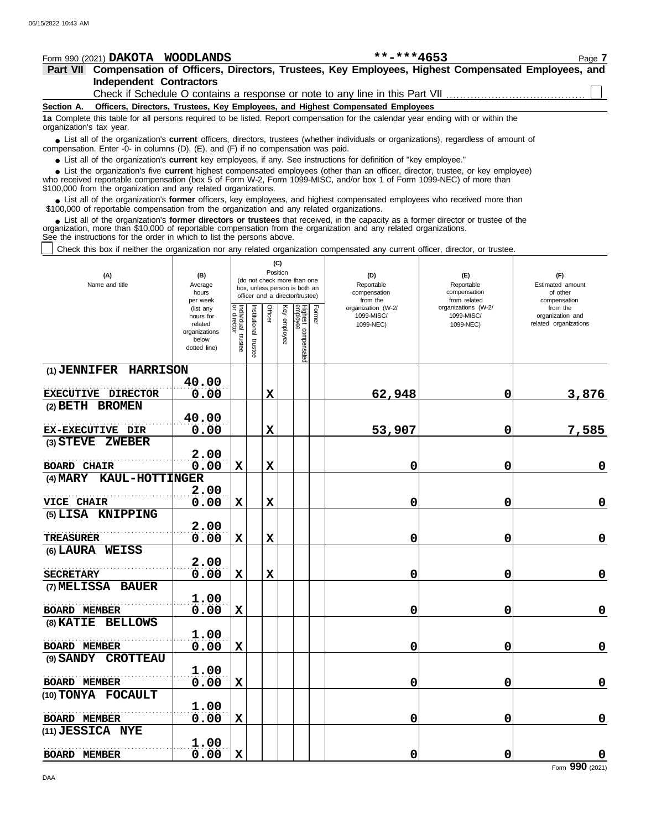| Form 990 (2021) DAKOTA WOODLANDS                                                                                                                                                                                                                                                                                                  |                          |                           |               |             |          |                                                                  |        | **-***4653                                                                      |                                     | Page 7                   |
|-----------------------------------------------------------------------------------------------------------------------------------------------------------------------------------------------------------------------------------------------------------------------------------------------------------------------------------|--------------------------|---------------------------|---------------|-------------|----------|------------------------------------------------------------------|--------|---------------------------------------------------------------------------------|-------------------------------------|--------------------------|
| Part VII Compensation of Officers, Directors, Trustees, Key Employees, Highest Compensated Employees, and                                                                                                                                                                                                                         |                          |                           |               |             |          |                                                                  |        |                                                                                 |                                     |                          |
| <b>Independent Contractors</b>                                                                                                                                                                                                                                                                                                    |                          |                           |               |             |          |                                                                  |        |                                                                                 |                                     |                          |
|                                                                                                                                                                                                                                                                                                                                   |                          |                           |               |             |          |                                                                  |        | Check if Schedule O contains a response or note to any line in this Part VII    |                                     |                          |
| Section A.                                                                                                                                                                                                                                                                                                                        |                          |                           |               |             |          |                                                                  |        | Officers, Directors, Trustees, Key Employees, and Highest Compensated Employees |                                     |                          |
| 1a Complete this table for all persons required to be listed. Report compensation for the calendar year ending with or within the<br>organization's tax year.                                                                                                                                                                     |                          |                           |               |             |          |                                                                  |        |                                                                                 |                                     |                          |
| • List all of the organization's <b>current</b> officers, directors, trustees (whether individuals or organizations), regardless of amount of<br>compensation. Enter -0- in columns (D), (E), and (F) if no compensation was paid.                                                                                                |                          |                           |               |             |          |                                                                  |        |                                                                                 |                                     |                          |
| • List all of the organization's current key employees, if any. See instructions for definition of "key employee."                                                                                                                                                                                                                |                          |                           |               |             |          |                                                                  |        |                                                                                 |                                     |                          |
| • List the organization's five current highest compensated employees (other than an officer, director, trustee, or key employee)<br>who received reportable compensation (box 5 of Form W-2, Form 1099-MISC, and/or box 1 of Form 1099-NEC) of more than<br>\$100,000 from the organization and any related organizations.        |                          |                           |               |             |          |                                                                  |        |                                                                                 |                                     |                          |
| • List all of the organization's former officers, key employees, and highest compensated employees who received more than<br>\$100,000 of reportable compensation from the organization and any related organizations.                                                                                                            |                          |                           |               |             |          |                                                                  |        |                                                                                 |                                     |                          |
| • List all of the organization's former directors or trustees that received, in the capacity as a former director or trustee of the<br>organization, more than \$10,000 of reportable compensation from the organization and any related organizations.<br>See the instructions for the order in which to list the persons above. |                          |                           |               |             |          |                                                                  |        |                                                                                 |                                     |                          |
| Check this box if neither the organization nor any related organization compensated any current officer, director, or trustee.                                                                                                                                                                                                    |                          |                           |               |             |          |                                                                  |        |                                                                                 |                                     |                          |
|                                                                                                                                                                                                                                                                                                                                   |                          |                           |               |             |          |                                                                  |        |                                                                                 |                                     |                          |
|                                                                                                                                                                                                                                                                                                                                   |                          |                           |               | Position    | (C)      |                                                                  |        |                                                                                 |                                     |                          |
| (A)<br>Name and title                                                                                                                                                                                                                                                                                                             | (B)<br>Average           |                           |               |             |          | (do not check more than one                                      |        | (D)<br>Reportable                                                               | (E)<br>Reportable                   | (F)<br>Estimated amount  |
|                                                                                                                                                                                                                                                                                                                                   | hours                    |                           |               |             |          | box, unless person is both an<br>officer and a director/trustee) |        | compensation                                                                    | compensation                        | of other                 |
|                                                                                                                                                                                                                                                                                                                                   | per week<br>(list any    |                           |               |             |          |                                                                  |        | from the<br>organization (W-2/                                                  | from related<br>organizations (W-2/ | compensation<br>from the |
|                                                                                                                                                                                                                                                                                                                                   | hours for                | Individual<br>or director | Institutional | Officer     | Key      |                                                                  | Former | 1099-MISC/                                                                      | 1099-MISC/                          | organization and         |
|                                                                                                                                                                                                                                                                                                                                   | related<br>organizations |                           |               |             | employee |                                                                  |        | 1099-NEC)                                                                       | 1099-NEC)                           | related organizations    |
|                                                                                                                                                                                                                                                                                                                                   | below                    | trustee                   |               |             |          |                                                                  |        |                                                                                 |                                     |                          |
|                                                                                                                                                                                                                                                                                                                                   | dotted line)             |                           | trustee       |             |          | Highest compensated<br>employee                                  |        |                                                                                 |                                     |                          |
| (1) JENNIFER HARRISON                                                                                                                                                                                                                                                                                                             |                          |                           |               |             |          |                                                                  |        |                                                                                 |                                     |                          |
|                                                                                                                                                                                                                                                                                                                                   | 40.00                    |                           |               |             |          |                                                                  |        |                                                                                 |                                     |                          |
| EXECUTIVE DIRECTOR                                                                                                                                                                                                                                                                                                                | 0.00                     |                           |               | $\mathbf x$ |          |                                                                  |        | 62,948                                                                          | 0                                   | 3,876                    |
| (2) BETH BROMEN                                                                                                                                                                                                                                                                                                                   |                          |                           |               |             |          |                                                                  |        |                                                                                 |                                     |                          |
|                                                                                                                                                                                                                                                                                                                                   | 40.00                    |                           |               |             |          |                                                                  |        |                                                                                 |                                     |                          |
| EX-EXECUTIVE DIR                                                                                                                                                                                                                                                                                                                  | 0.00                     |                           |               | $\mathbf x$ |          |                                                                  |        | 53,907                                                                          | 0                                   | 7,585                    |
| (3) STEVE ZWEBER                                                                                                                                                                                                                                                                                                                  |                          |                           |               |             |          |                                                                  |        |                                                                                 |                                     |                          |
|                                                                                                                                                                                                                                                                                                                                   | 2.00                     |                           |               |             |          |                                                                  |        |                                                                                 |                                     |                          |
| <b>BOARD CHAIR</b>                                                                                                                                                                                                                                                                                                                | 0.00                     | X                         |               | X           |          |                                                                  |        | 0                                                                               | 0                                   | 0                        |
| (4) MARY KAUL-HOTTINGER                                                                                                                                                                                                                                                                                                           |                          |                           |               |             |          |                                                                  |        |                                                                                 |                                     |                          |
|                                                                                                                                                                                                                                                                                                                                   | 2.00                     |                           |               |             |          |                                                                  |        |                                                                                 |                                     |                          |
| <b>VICE CHAIR</b>                                                                                                                                                                                                                                                                                                                 | 0.00                     | $\mathbf X$               |               | $\mathbf x$ |          |                                                                  |        | <sup>0</sup>                                                                    | <sup>0</sup>                        | $\mathbf 0$              |
| (5) LISA KNIPPING                                                                                                                                                                                                                                                                                                                 |                          |                           |               |             |          |                                                                  |        |                                                                                 |                                     |                          |
|                                                                                                                                                                                                                                                                                                                                   | 2.00                     |                           |               |             |          |                                                                  |        |                                                                                 |                                     |                          |
| <b>TREASURER</b>                                                                                                                                                                                                                                                                                                                  | 0.00                     | $\mathbf x$               |               | $\mathbf x$ |          |                                                                  |        | 0                                                                               | $\mathbf 0$                         | $\pmb{0}$                |
| (6) LAURA WEISS                                                                                                                                                                                                                                                                                                                   |                          |                           |               |             |          |                                                                  |        |                                                                                 |                                     |                          |
|                                                                                                                                                                                                                                                                                                                                   | 2.00                     |                           |               |             |          |                                                                  |        |                                                                                 |                                     |                          |
| <b>SECRETARY</b>                                                                                                                                                                                                                                                                                                                  | 0.00                     | $\mathbf x$               |               | $\mathbf x$ |          |                                                                  |        | 0                                                                               | $\mathbf 0$                         | $\pmb{0}$                |
| (7) MELISSA BAUER                                                                                                                                                                                                                                                                                                                 |                          |                           |               |             |          |                                                                  |        |                                                                                 |                                     |                          |
|                                                                                                                                                                                                                                                                                                                                   | 1.00                     |                           |               |             |          |                                                                  |        |                                                                                 |                                     |                          |
| BOARD MEMBER                                                                                                                                                                                                                                                                                                                      | 0.00                     | $\mathbf X$               |               |             |          |                                                                  |        | 0                                                                               | $\mathbf 0$                         | $\mathbf 0$              |
| (8) KATIE BELLOWS                                                                                                                                                                                                                                                                                                                 |                          |                           |               |             |          |                                                                  |        |                                                                                 |                                     |                          |
|                                                                                                                                                                                                                                                                                                                                   | 1.00                     |                           |               |             |          |                                                                  |        |                                                                                 |                                     |                          |
| <b>BOARD MEMBER</b>                                                                                                                                                                                                                                                                                                               | 0.00                     | $\mathbf X$               |               |             |          |                                                                  |        | 0                                                                               | $\mathbf 0$                         | $\mathbf 0$              |
| (9) SANDY CROTTEAU                                                                                                                                                                                                                                                                                                                |                          |                           |               |             |          |                                                                  |        |                                                                                 |                                     |                          |
|                                                                                                                                                                                                                                                                                                                                   | 1.00                     |                           |               |             |          |                                                                  |        |                                                                                 |                                     |                          |
| BOARD MEMBER                                                                                                                                                                                                                                                                                                                      | 0.00                     | $\mathbf X$               |               |             |          |                                                                  |        | 0                                                                               | 0                                   | $\pmb{0}$                |
| (10) TONYA FOCAULT                                                                                                                                                                                                                                                                                                                |                          |                           |               |             |          |                                                                  |        |                                                                                 |                                     |                          |
|                                                                                                                                                                                                                                                                                                                                   | 1.00                     |                           |               |             |          |                                                                  |        |                                                                                 |                                     |                          |
| <b>BOARD MEMBER</b>                                                                                                                                                                                                                                                                                                               | 0.00                     | $\mathbf X$               |               |             |          |                                                                  |        | 0                                                                               | 0                                   | $\mathbf 0$              |
| (11) JESSICA NYE                                                                                                                                                                                                                                                                                                                  |                          |                           |               |             |          |                                                                  |        |                                                                                 |                                     |                          |
|                                                                                                                                                                                                                                                                                                                                   | 1.00                     |                           |               |             |          |                                                                  |        |                                                                                 |                                     |                          |

**BOARD MEMBER**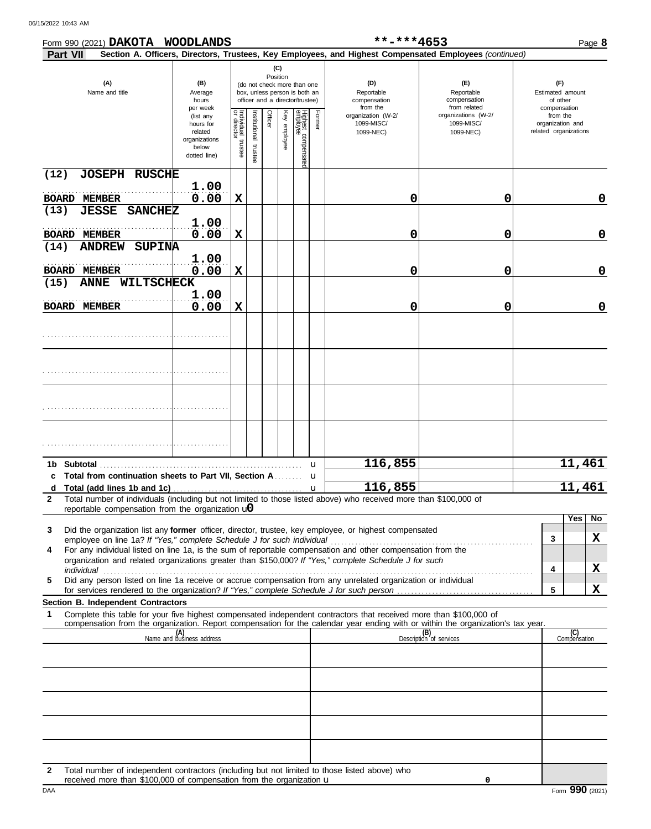| Form 990 (2021) DAKOTA WOODLANDS                                        |                |                                                                             |                                   |                          |                                                                                                                    |              |                                 |        | **-***4653                                                                                                                                                                                                           |                                                                                                                                                                    | Page 8                                                |
|-------------------------------------------------------------------------|----------------|-----------------------------------------------------------------------------|-----------------------------------|--------------------------|--------------------------------------------------------------------------------------------------------------------|--------------|---------------------------------|--------|----------------------------------------------------------------------------------------------------------------------------------------------------------------------------------------------------------------------|--------------------------------------------------------------------------------------------------------------------------------------------------------------------|-------------------------------------------------------|
| <b>Part VII</b>                                                         |                |                                                                             |                                   |                          |                                                                                                                    |              |                                 |        |                                                                                                                                                                                                                      | Section A. Officers, Directors, Trustees, Key Employees, and Highest Compensated Employees (continued)                                                             |                                                       |
| (A)<br>Name and title                                                   |                | (B)<br>Average<br>hours<br>per week                                         |                                   |                          | (C)<br>Position<br>(do not check more than one<br>box, unless person is both an<br>officer and a director/trustee) |              |                                 |        | (D)<br>Reportable<br>compensation<br>from the                                                                                                                                                                        | (E)<br>Reportable<br>compensation<br>from related                                                                                                                  | (F)<br>Estimated amount<br>of other<br>compensation   |
|                                                                         |                | (list any<br>hours for<br>related<br>organizations<br>below<br>dotted line) | Individual trustee<br>or director | Institutional<br>trustee | Officer                                                                                                            | Key employee | Highest compensatec<br>employee | Former | organization (W-2/<br>1099-MISC/<br>1099-NEC)                                                                                                                                                                        | organizations (W-2/<br>1099-MISC/<br>1099-NEC)                                                                                                                     | from the<br>organization and<br>related organizations |
| (12)<br><b>JOSEPH RUSCHE</b>                                            |                |                                                                             |                                   |                          |                                                                                                                    |              |                                 |        |                                                                                                                                                                                                                      |                                                                                                                                                                    |                                                       |
| <b>BOARD MEMBER</b>                                                     |                | 1.00<br>0.00                                                                | $\mathbf X$                       |                          |                                                                                                                    |              |                                 |        | 0                                                                                                                                                                                                                    | 0                                                                                                                                                                  | 0                                                     |
| (13)<br><b>JESSE</b>                                                    | <b>SANCHEZ</b> | 1.00                                                                        |                                   |                          |                                                                                                                    |              |                                 |        |                                                                                                                                                                                                                      |                                                                                                                                                                    |                                                       |
| <b>BOARD MEMBER</b><br>(14)<br><b>ANDREW</b>                            | <b>SUPINA</b>  | 0.00                                                                        | $\mathbf x$                       |                          |                                                                                                                    |              |                                 |        | 0                                                                                                                                                                                                                    | 0                                                                                                                                                                  | 0                                                     |
| <b>BOARD MEMBER</b>                                                     |                | 1.00<br>0.00                                                                | $\mathbf x$                       |                          |                                                                                                                    |              |                                 |        | 0                                                                                                                                                                                                                    | 0                                                                                                                                                                  | 0                                                     |
| ANNE WILTSCHECK<br>(15)                                                 |                |                                                                             |                                   |                          |                                                                                                                    |              |                                 |        |                                                                                                                                                                                                                      |                                                                                                                                                                    |                                                       |
| <b>BOARD MEMBER</b>                                                     |                | 1.00<br>0.00                                                                | $\mathbf x$                       |                          |                                                                                                                    |              |                                 |        | 0                                                                                                                                                                                                                    | 0                                                                                                                                                                  | 0                                                     |
|                                                                         |                |                                                                             |                                   |                          |                                                                                                                    |              |                                 |        |                                                                                                                                                                                                                      |                                                                                                                                                                    |                                                       |
|                                                                         |                |                                                                             |                                   |                          |                                                                                                                    |              |                                 |        |                                                                                                                                                                                                                      |                                                                                                                                                                    |                                                       |
|                                                                         |                |                                                                             |                                   |                          |                                                                                                                    |              |                                 |        |                                                                                                                                                                                                                      |                                                                                                                                                                    |                                                       |
|                                                                         |                |                                                                             |                                   |                          |                                                                                                                    |              |                                 |        |                                                                                                                                                                                                                      |                                                                                                                                                                    |                                                       |
|                                                                         |                |                                                                             |                                   |                          |                                                                                                                    |              |                                 | u      | 116,855                                                                                                                                                                                                              |                                                                                                                                                                    | 11,461                                                |
| c Total from continuation sheets to Part VII, Section A<br>$\mathbf{2}$ |                |                                                                             |                                   |                          |                                                                                                                    |              |                                 | u      | d Total (add lines 1b and 1c) $\frac{116}{855}$<br>Total number of individuals (including but not limited to those listed above) who received more than \$100,000 of                                                 |                                                                                                                                                                    | 11,<br>,461                                           |
| reportable compensation from the organization $\mathbf{u}$              |                |                                                                             |                                   |                          |                                                                                                                    |              |                                 |        |                                                                                                                                                                                                                      |                                                                                                                                                                    | Yes<br>N <sub>o</sub>                                 |
| 3                                                                       |                |                                                                             |                                   |                          |                                                                                                                    |              |                                 |        | Did the organization list any former officer, director, trustee, key employee, or highest compensated                                                                                                                |                                                                                                                                                                    | X<br>3                                                |
| 4                                                                       |                |                                                                             |                                   |                          |                                                                                                                    |              |                                 |        | For any individual listed on line 1a, is the sum of reportable compensation and other compensation from the<br>organization and related organizations greater than \$150,000? If "Yes," complete Schedule J for such |                                                                                                                                                                    | X<br>4                                                |
| 5                                                                       |                |                                                                             |                                   |                          |                                                                                                                    |              |                                 |        |                                                                                                                                                                                                                      | individual<br>Did any person listed on line 1a receive or accrue compensation from any unrelated organization or individual                                        |                                                       |
|                                                                         |                |                                                                             |                                   |                          |                                                                                                                    |              |                                 |        |                                                                                                                                                                                                                      |                                                                                                                                                                    | X<br>5                                                |
| Section B. Independent Contractors<br>1                                 |                |                                                                             |                                   |                          |                                                                                                                    |              |                                 |        | Complete this table for your five highest compensated independent contractors that received more than \$100,000 of                                                                                                   |                                                                                                                                                                    |                                                       |
|                                                                         |                | (A)<br>Name and business address                                            |                                   |                          |                                                                                                                    |              |                                 |        |                                                                                                                                                                                                                      | compensation from the organization. Report compensation for the calendar year ending with or within the organization's tax year.<br>(B)<br>Description of services | (C)<br>Compensation                                   |
|                                                                         |                |                                                                             |                                   |                          |                                                                                                                    |              |                                 |        |                                                                                                                                                                                                                      |                                                                                                                                                                    |                                                       |
|                                                                         |                |                                                                             |                                   |                          |                                                                                                                    |              |                                 |        |                                                                                                                                                                                                                      |                                                                                                                                                                    |                                                       |
|                                                                         |                |                                                                             |                                   |                          |                                                                                                                    |              |                                 |        |                                                                                                                                                                                                                      |                                                                                                                                                                    |                                                       |
|                                                                         |                |                                                                             |                                   |                          |                                                                                                                    |              |                                 |        |                                                                                                                                                                                                                      |                                                                                                                                                                    |                                                       |
|                                                                         |                |                                                                             |                                   |                          |                                                                                                                    |              |                                 |        |                                                                                                                                                                                                                      |                                                                                                                                                                    |                                                       |
|                                                                         |                |                                                                             |                                   |                          |                                                                                                                    |              |                                 |        |                                                                                                                                                                                                                      |                                                                                                                                                                    |                                                       |

| Total number of independent contractors (including but not limited to those listed above) who |
|-----------------------------------------------------------------------------------------------|
| received more than \$100,000 of compensation from the organization $\mathbf u$                |

**0**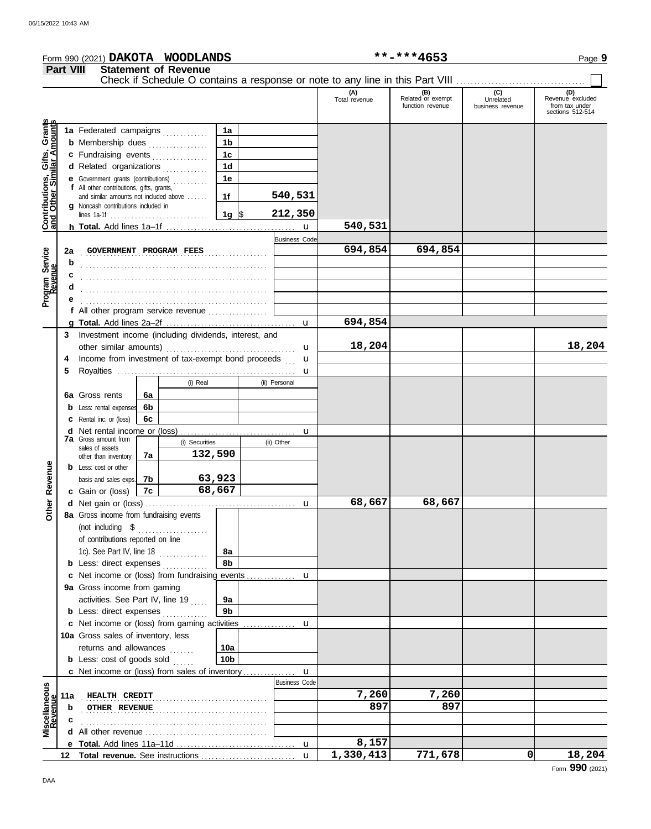#### Form 990 (2021) Page **9 DAKOTA WOODLANDS \*\*-\*\*\*4653 Part VIII Statement of Revenue** Check if Schedule O contains a response or note to any line in this Part VIII. **(B) (C) (D) Related** or exempt **Unrelated Revenue excluded** (A) (B)<br>Total revenue Related or exemptunction revenue from tax under<br>sections 512-514 business revenue Gifts, Grants<br>illar Amounts **Contributions, Gifts, Grants and Other Similar Amounts 1a 1a** Federated campaigns . . . . . . . . . . . **1b b** Membership dues . . . . . . . . . . . . . . . **1c c** Fundraising events . . . . . . . . . . . . . **1d d** Related organizations . . . . . . . . . . . **Contributions,<br>and Other Sim 1e e** Government grants (contributions) . . . . . . . . . . **f** All other contributions, gifts, grants, **1f 540,531** and similar amounts not included above . . **g** Noncash contributions included in lines 1a-1f . . . . . . . . . . . . . . . . . . **1g** \$ . . . . . . . . . . . . . . . . . . . . **212,350 540,531** u **h Total.** Add lines 1a–1f . . . . . . . . . . . . . . . . . . . . . . . . . . . . . . . . . . . . . Business Code Program Service<br>Revenue **Program Service** . . . . . . . . . . . . . . . . . . . . . . . . . . . . . . . . . . . . . . . . . . . . . . . . . . . . . **2a GOVERNMENT PROGRAM FEES 694,854 694,854 b** . . . . . . . . . . . . . . . . . . . . . . . . . . . . . . . . . . . . . . . . . . . . . . . . . . . . . **c** . . . . . . . . . . . . . . . . . . . . . . . . . . . . . . . . . . . . . . . . . . . . . . . . . . . . . **d** . . . . . . . . . . . . . . . . . . . . . . . . . . . . . . . . . . . . . . . . . . . . . . . . . . . . . **e** . . . . . . . . . . . . . . . . . . . . . . . . . . . . . . . . . . . . . . . . . . . . . . . . . . . . . **f** All other program service revenue . . . . . . . . . . . . . . . . . **694,854 g Total.** Add lines 2a–2f . . . . . . . . . . . . . . . . . . . . . . . . . . . . . . . . . . . . . u **3** Investment income (including dividends, interest, and **18,204 18,204** u other similar amounts) . . . . . . . . . . . . . . . . . . . . . . . . . . . . . . . . . . . . . u **4** Income from investment of tax-exempt bond proceeds . . . **5** Royalties . . . . . . . . . . . . . . . . . . . . . . . . . . . . . . . . . . . . . . . . . . . . . . . . . . . u (i) Real (ii) Personal **6a 6a** Gross rents **6b b** Less: rental expenses **6c c** Rental inc. or (loss) **d** Net rental income or (loss) . . . . . . . . . . . . . . . . . . . . . . . . . . . . . . . . . u **7a** Gross amount from (i) Securities (ii) Other sales of assets **132,590 7a** other than inventory Revenue **Other Revenue b** Less: cost or other **63,923** basis and sales exps. **7b 68,667 7c c** Gain or (loss) Other | **68,667 68,667 d** u Net gain or (loss) . . . . . . . . . . . . . . . . . . . . . . . . . . . . . . . . . . . . . . . . . . . **8a** Gross income from fundraising events (not including \$ ..................... of contributions reported on line 1c). See Part IV, line 18 **8a 8b b** Less: direct expenses . . . . . . . . . . . . **c** Net income or (loss) from fundraising events . . . . . . . . . . . . . . u **9a** Gross income from gaming activities. See Part IV, line 19 **9a 9b b** Less: direct expenses ............. Net income or (loss) from gaming activities . . . . . . . . . . . . . . . **c** u 10a Gross sales of inventory, less returns and allowances ....... **10a 10b b** Less:  $\cosh$  of goods  $\sinh$ Net income or (loss) from sales of inventory . . . . . . . . . . . . . . . **c** u liscellaneous<br>Revenue Business Code **Miscellaneous 11a** . . . . . . . . . . . . . . . . . . . . . . . . . . . . . . . . . . . . . . . . . . . . . . . . . . . . . **HEALTH CREDIT 7,260 7,260 b** . . . . . . . . . . . . . . . . . . . . . . . . . . . . . . . . . . . . . . . . . . . . . . . . . . . . . **OTHER REVENUE 897 897 c** . . . . . . . . . . . . . . . . . . . . . . . . . . . . . . . . . . . . . . . . . . . . . . . . . . . . . **d** All other revenue . . . . . . . . . . . . . . . . . . . . . . . . . . . . . . . . . . . **8,157** u **e Total.** Add lines 11a–11d . . . . . . . . . . . . . . . . . . . . . . . . . . . . . . . . . . **1,330,413 771,678 0 18,204** u **Total revenue.** See instructions . . . . . . . . . . . . . . . . . . . . . . . . . . . **12**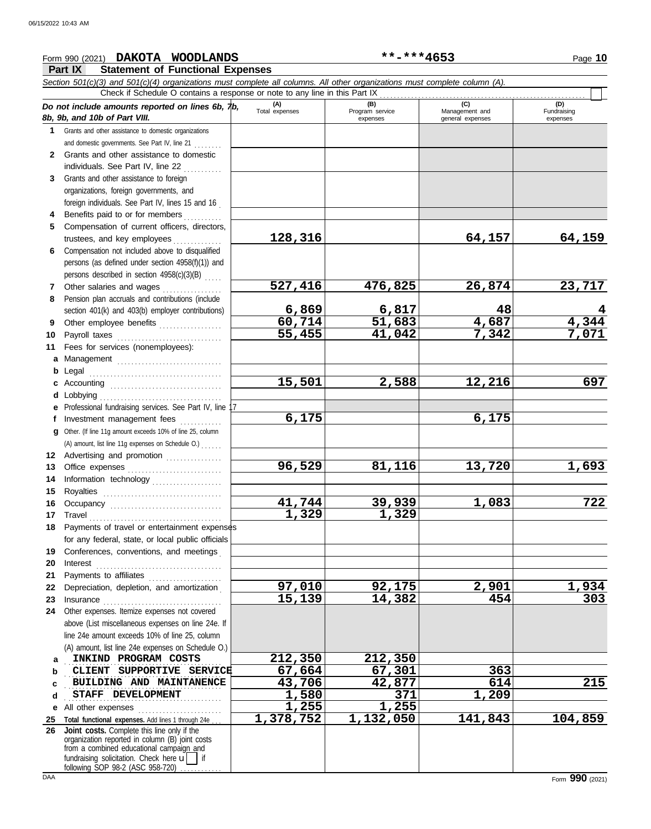### Form 990 (2021) Page **10 DAKOTA WOODLANDS \*\*-\*\*\*4653**

**Part IX Statement of Functional Expenses**

| Section 501(c)(3) and 501(c)(4) organizations must complete all columns. All other organizations must complete column (A).<br>Check if Schedule O contains a response or note to any line in this Part IX<br>(A)<br>Total expenses<br>(B)<br>(D)<br>(C)<br>Do not include amounts reported on lines 6b, 1b,<br>Fundraising<br>Program service<br>Management and<br>8b, 9b, and 10b of Part VIII.<br>general expenses<br>expenses<br>expenses<br>1 Grants and other assistance to domestic organizations<br>and domestic governments. See Part IV, line 21<br>Grants and other assistance to domestic<br>2<br>individuals. See Part IV, line 22<br>Grants and other assistance to foreign<br>3<br>organizations, foreign governments, and<br>foreign individuals. See Part IV, lines 15 and 16<br>Benefits paid to or for members<br>4<br>Compensation of current officers, directors,<br>5.<br>128,316<br>64,159<br>64,157<br>trustees, and key employees<br>Compensation not included above to disqualified<br>6.<br>persons (as defined under section 4958(f)(1)) and<br>persons described in section 4958(c)(3)(B)<br>527,416<br>476,825<br>26,874<br>23,717<br>Other salaries and wages<br>7<br>Pension plan accruals and contributions (include<br>8<br>6,869<br>6,817<br>48<br>section 401(k) and 403(b) employer contributions)<br>4,344<br>4,687<br>51,683<br>60,714<br>Other employee benefits<br>9<br>7,342<br>7,071<br>55,455<br>41,042<br>10<br>Fees for services (nonemployees):<br>11<br>a Management<br>b<br>15,501<br>12,216<br>697<br>2,588<br>c<br>d<br>Professional fundraising services. See Part IV, line 17<br>е<br>6,175<br>6,175<br>Investment management fees<br>t.<br>g Other. (If line 11g amount exceeds 10% of line 25, column<br>(A) amount, list line 11g expenses on Schedule O.)<br>12 Advertising and promotion<br>96,529<br>81,116<br>13,720<br>1,693<br>13<br>Information technology<br>14<br>15<br>Royalties<br>41,744<br>39,939<br>1,083<br>16<br>1,329<br>1,329<br>17 Travel<br>18 Payments of travel or entertainment expenses<br>for any federal, state, or local public officials<br>Conferences, conventions, and meetings<br>19<br>20<br>Interest<br>Payments to affiliates<br>21<br>97,010<br>92,175<br>2,901<br><u>1,934</u><br>Depreciation, depletion, and amortization<br>22<br>15,139<br>454<br>14,382<br>23<br>Other expenses. Itemize expenses not covered<br>24<br>above (List miscellaneous expenses on line 24e. If<br>line 24e amount exceeds 10% of line 25, column<br>(A) amount, list line 24e expenses on Schedule O.)<br>212,350<br>212,350<br>INKIND PROGRAM COSTS<br>а<br>67,664<br>67,301<br>363<br>CLIENT SUPPORTIVE SERVICE<br>b<br>43,706<br>42,877<br>614<br>215<br>BUILDING AND MAINTANENCE<br>c<br>1,580<br>371<br>1,209<br>STAFF DEVELOPMENT<br>d<br>1,255<br>1,255<br>All other expenses<br>е<br>1,132,050<br>104,859<br>1,378,752<br>141,843<br>Total functional expenses. Add lines 1 through 24e<br>25<br>Joint costs. Complete this line only if the<br>26<br>organization reported in column (B) joint costs<br>from a combined educational campaign and<br>fundraising solicitation. Check here $\mathbf{u}$<br>  if | <b>Part IX</b><br>Statement of Functional Expenses |  |  |
|----------------------------------------------------------------------------------------------------------------------------------------------------------------------------------------------------------------------------------------------------------------------------------------------------------------------------------------------------------------------------------------------------------------------------------------------------------------------------------------------------------------------------------------------------------------------------------------------------------------------------------------------------------------------------------------------------------------------------------------------------------------------------------------------------------------------------------------------------------------------------------------------------------------------------------------------------------------------------------------------------------------------------------------------------------------------------------------------------------------------------------------------------------------------------------------------------------------------------------------------------------------------------------------------------------------------------------------------------------------------------------------------------------------------------------------------------------------------------------------------------------------------------------------------------------------------------------------------------------------------------------------------------------------------------------------------------------------------------------------------------------------------------------------------------------------------------------------------------------------------------------------------------------------------------------------------------------------------------------------------------------------------------------------------------------------------------------------------------------------------------------------------------------------------------------------------------------------------------------------------------------------------------------------------------------------------------------------------------------------------------------------------------------------------------------------------------------------------------------------------------------------------------------------------------------------------------------------------------------------------------------------------------------------------------------------------------------------------------------------------------------------------------------------------------------------------------------------------------------------------------------------------------------------------------------------------------------------------------------------------------------------------------------------------------------------------------------------------------------------------------------------------------------------------------------------------------|----------------------------------------------------|--|--|
|                                                                                                                                                                                                                                                                                                                                                                                                                                                                                                                                                                                                                                                                                                                                                                                                                                                                                                                                                                                                                                                                                                                                                                                                                                                                                                                                                                                                                                                                                                                                                                                                                                                                                                                                                                                                                                                                                                                                                                                                                                                                                                                                                                                                                                                                                                                                                                                                                                                                                                                                                                                                                                                                                                                                                                                                                                                                                                                                                                                                                                                                                                                                                                                                    |                                                    |  |  |
|                                                                                                                                                                                                                                                                                                                                                                                                                                                                                                                                                                                                                                                                                                                                                                                                                                                                                                                                                                                                                                                                                                                                                                                                                                                                                                                                                                                                                                                                                                                                                                                                                                                                                                                                                                                                                                                                                                                                                                                                                                                                                                                                                                                                                                                                                                                                                                                                                                                                                                                                                                                                                                                                                                                                                                                                                                                                                                                                                                                                                                                                                                                                                                                                    |                                                    |  |  |
|                                                                                                                                                                                                                                                                                                                                                                                                                                                                                                                                                                                                                                                                                                                                                                                                                                                                                                                                                                                                                                                                                                                                                                                                                                                                                                                                                                                                                                                                                                                                                                                                                                                                                                                                                                                                                                                                                                                                                                                                                                                                                                                                                                                                                                                                                                                                                                                                                                                                                                                                                                                                                                                                                                                                                                                                                                                                                                                                                                                                                                                                                                                                                                                                    |                                                    |  |  |
| 722<br>$\overline{303}$                                                                                                                                                                                                                                                                                                                                                                                                                                                                                                                                                                                                                                                                                                                                                                                                                                                                                                                                                                                                                                                                                                                                                                                                                                                                                                                                                                                                                                                                                                                                                                                                                                                                                                                                                                                                                                                                                                                                                                                                                                                                                                                                                                                                                                                                                                                                                                                                                                                                                                                                                                                                                                                                                                                                                                                                                                                                                                                                                                                                                                                                                                                                                                            |                                                    |  |  |
|                                                                                                                                                                                                                                                                                                                                                                                                                                                                                                                                                                                                                                                                                                                                                                                                                                                                                                                                                                                                                                                                                                                                                                                                                                                                                                                                                                                                                                                                                                                                                                                                                                                                                                                                                                                                                                                                                                                                                                                                                                                                                                                                                                                                                                                                                                                                                                                                                                                                                                                                                                                                                                                                                                                                                                                                                                                                                                                                                                                                                                                                                                                                                                                                    |                                                    |  |  |
|                                                                                                                                                                                                                                                                                                                                                                                                                                                                                                                                                                                                                                                                                                                                                                                                                                                                                                                                                                                                                                                                                                                                                                                                                                                                                                                                                                                                                                                                                                                                                                                                                                                                                                                                                                                                                                                                                                                                                                                                                                                                                                                                                                                                                                                                                                                                                                                                                                                                                                                                                                                                                                                                                                                                                                                                                                                                                                                                                                                                                                                                                                                                                                                                    |                                                    |  |  |
|                                                                                                                                                                                                                                                                                                                                                                                                                                                                                                                                                                                                                                                                                                                                                                                                                                                                                                                                                                                                                                                                                                                                                                                                                                                                                                                                                                                                                                                                                                                                                                                                                                                                                                                                                                                                                                                                                                                                                                                                                                                                                                                                                                                                                                                                                                                                                                                                                                                                                                                                                                                                                                                                                                                                                                                                                                                                                                                                                                                                                                                                                                                                                                                                    |                                                    |  |  |
|                                                                                                                                                                                                                                                                                                                                                                                                                                                                                                                                                                                                                                                                                                                                                                                                                                                                                                                                                                                                                                                                                                                                                                                                                                                                                                                                                                                                                                                                                                                                                                                                                                                                                                                                                                                                                                                                                                                                                                                                                                                                                                                                                                                                                                                                                                                                                                                                                                                                                                                                                                                                                                                                                                                                                                                                                                                                                                                                                                                                                                                                                                                                                                                                    |                                                    |  |  |
|                                                                                                                                                                                                                                                                                                                                                                                                                                                                                                                                                                                                                                                                                                                                                                                                                                                                                                                                                                                                                                                                                                                                                                                                                                                                                                                                                                                                                                                                                                                                                                                                                                                                                                                                                                                                                                                                                                                                                                                                                                                                                                                                                                                                                                                                                                                                                                                                                                                                                                                                                                                                                                                                                                                                                                                                                                                                                                                                                                                                                                                                                                                                                                                                    |                                                    |  |  |
|                                                                                                                                                                                                                                                                                                                                                                                                                                                                                                                                                                                                                                                                                                                                                                                                                                                                                                                                                                                                                                                                                                                                                                                                                                                                                                                                                                                                                                                                                                                                                                                                                                                                                                                                                                                                                                                                                                                                                                                                                                                                                                                                                                                                                                                                                                                                                                                                                                                                                                                                                                                                                                                                                                                                                                                                                                                                                                                                                                                                                                                                                                                                                                                                    |                                                    |  |  |
|                                                                                                                                                                                                                                                                                                                                                                                                                                                                                                                                                                                                                                                                                                                                                                                                                                                                                                                                                                                                                                                                                                                                                                                                                                                                                                                                                                                                                                                                                                                                                                                                                                                                                                                                                                                                                                                                                                                                                                                                                                                                                                                                                                                                                                                                                                                                                                                                                                                                                                                                                                                                                                                                                                                                                                                                                                                                                                                                                                                                                                                                                                                                                                                                    |                                                    |  |  |
|                                                                                                                                                                                                                                                                                                                                                                                                                                                                                                                                                                                                                                                                                                                                                                                                                                                                                                                                                                                                                                                                                                                                                                                                                                                                                                                                                                                                                                                                                                                                                                                                                                                                                                                                                                                                                                                                                                                                                                                                                                                                                                                                                                                                                                                                                                                                                                                                                                                                                                                                                                                                                                                                                                                                                                                                                                                                                                                                                                                                                                                                                                                                                                                                    |                                                    |  |  |
|                                                                                                                                                                                                                                                                                                                                                                                                                                                                                                                                                                                                                                                                                                                                                                                                                                                                                                                                                                                                                                                                                                                                                                                                                                                                                                                                                                                                                                                                                                                                                                                                                                                                                                                                                                                                                                                                                                                                                                                                                                                                                                                                                                                                                                                                                                                                                                                                                                                                                                                                                                                                                                                                                                                                                                                                                                                                                                                                                                                                                                                                                                                                                                                                    |                                                    |  |  |
|                                                                                                                                                                                                                                                                                                                                                                                                                                                                                                                                                                                                                                                                                                                                                                                                                                                                                                                                                                                                                                                                                                                                                                                                                                                                                                                                                                                                                                                                                                                                                                                                                                                                                                                                                                                                                                                                                                                                                                                                                                                                                                                                                                                                                                                                                                                                                                                                                                                                                                                                                                                                                                                                                                                                                                                                                                                                                                                                                                                                                                                                                                                                                                                                    |                                                    |  |  |
|                                                                                                                                                                                                                                                                                                                                                                                                                                                                                                                                                                                                                                                                                                                                                                                                                                                                                                                                                                                                                                                                                                                                                                                                                                                                                                                                                                                                                                                                                                                                                                                                                                                                                                                                                                                                                                                                                                                                                                                                                                                                                                                                                                                                                                                                                                                                                                                                                                                                                                                                                                                                                                                                                                                                                                                                                                                                                                                                                                                                                                                                                                                                                                                                    |                                                    |  |  |
|                                                                                                                                                                                                                                                                                                                                                                                                                                                                                                                                                                                                                                                                                                                                                                                                                                                                                                                                                                                                                                                                                                                                                                                                                                                                                                                                                                                                                                                                                                                                                                                                                                                                                                                                                                                                                                                                                                                                                                                                                                                                                                                                                                                                                                                                                                                                                                                                                                                                                                                                                                                                                                                                                                                                                                                                                                                                                                                                                                                                                                                                                                                                                                                                    |                                                    |  |  |
|                                                                                                                                                                                                                                                                                                                                                                                                                                                                                                                                                                                                                                                                                                                                                                                                                                                                                                                                                                                                                                                                                                                                                                                                                                                                                                                                                                                                                                                                                                                                                                                                                                                                                                                                                                                                                                                                                                                                                                                                                                                                                                                                                                                                                                                                                                                                                                                                                                                                                                                                                                                                                                                                                                                                                                                                                                                                                                                                                                                                                                                                                                                                                                                                    |                                                    |  |  |
|                                                                                                                                                                                                                                                                                                                                                                                                                                                                                                                                                                                                                                                                                                                                                                                                                                                                                                                                                                                                                                                                                                                                                                                                                                                                                                                                                                                                                                                                                                                                                                                                                                                                                                                                                                                                                                                                                                                                                                                                                                                                                                                                                                                                                                                                                                                                                                                                                                                                                                                                                                                                                                                                                                                                                                                                                                                                                                                                                                                                                                                                                                                                                                                                    |                                                    |  |  |
|                                                                                                                                                                                                                                                                                                                                                                                                                                                                                                                                                                                                                                                                                                                                                                                                                                                                                                                                                                                                                                                                                                                                                                                                                                                                                                                                                                                                                                                                                                                                                                                                                                                                                                                                                                                                                                                                                                                                                                                                                                                                                                                                                                                                                                                                                                                                                                                                                                                                                                                                                                                                                                                                                                                                                                                                                                                                                                                                                                                                                                                                                                                                                                                                    |                                                    |  |  |
|                                                                                                                                                                                                                                                                                                                                                                                                                                                                                                                                                                                                                                                                                                                                                                                                                                                                                                                                                                                                                                                                                                                                                                                                                                                                                                                                                                                                                                                                                                                                                                                                                                                                                                                                                                                                                                                                                                                                                                                                                                                                                                                                                                                                                                                                                                                                                                                                                                                                                                                                                                                                                                                                                                                                                                                                                                                                                                                                                                                                                                                                                                                                                                                                    |                                                    |  |  |
|                                                                                                                                                                                                                                                                                                                                                                                                                                                                                                                                                                                                                                                                                                                                                                                                                                                                                                                                                                                                                                                                                                                                                                                                                                                                                                                                                                                                                                                                                                                                                                                                                                                                                                                                                                                                                                                                                                                                                                                                                                                                                                                                                                                                                                                                                                                                                                                                                                                                                                                                                                                                                                                                                                                                                                                                                                                                                                                                                                                                                                                                                                                                                                                                    |                                                    |  |  |
|                                                                                                                                                                                                                                                                                                                                                                                                                                                                                                                                                                                                                                                                                                                                                                                                                                                                                                                                                                                                                                                                                                                                                                                                                                                                                                                                                                                                                                                                                                                                                                                                                                                                                                                                                                                                                                                                                                                                                                                                                                                                                                                                                                                                                                                                                                                                                                                                                                                                                                                                                                                                                                                                                                                                                                                                                                                                                                                                                                                                                                                                                                                                                                                                    |                                                    |  |  |
|                                                                                                                                                                                                                                                                                                                                                                                                                                                                                                                                                                                                                                                                                                                                                                                                                                                                                                                                                                                                                                                                                                                                                                                                                                                                                                                                                                                                                                                                                                                                                                                                                                                                                                                                                                                                                                                                                                                                                                                                                                                                                                                                                                                                                                                                                                                                                                                                                                                                                                                                                                                                                                                                                                                                                                                                                                                                                                                                                                                                                                                                                                                                                                                                    |                                                    |  |  |
|                                                                                                                                                                                                                                                                                                                                                                                                                                                                                                                                                                                                                                                                                                                                                                                                                                                                                                                                                                                                                                                                                                                                                                                                                                                                                                                                                                                                                                                                                                                                                                                                                                                                                                                                                                                                                                                                                                                                                                                                                                                                                                                                                                                                                                                                                                                                                                                                                                                                                                                                                                                                                                                                                                                                                                                                                                                                                                                                                                                                                                                                                                                                                                                                    |                                                    |  |  |
|                                                                                                                                                                                                                                                                                                                                                                                                                                                                                                                                                                                                                                                                                                                                                                                                                                                                                                                                                                                                                                                                                                                                                                                                                                                                                                                                                                                                                                                                                                                                                                                                                                                                                                                                                                                                                                                                                                                                                                                                                                                                                                                                                                                                                                                                                                                                                                                                                                                                                                                                                                                                                                                                                                                                                                                                                                                                                                                                                                                                                                                                                                                                                                                                    |                                                    |  |  |
|                                                                                                                                                                                                                                                                                                                                                                                                                                                                                                                                                                                                                                                                                                                                                                                                                                                                                                                                                                                                                                                                                                                                                                                                                                                                                                                                                                                                                                                                                                                                                                                                                                                                                                                                                                                                                                                                                                                                                                                                                                                                                                                                                                                                                                                                                                                                                                                                                                                                                                                                                                                                                                                                                                                                                                                                                                                                                                                                                                                                                                                                                                                                                                                                    |                                                    |  |  |
|                                                                                                                                                                                                                                                                                                                                                                                                                                                                                                                                                                                                                                                                                                                                                                                                                                                                                                                                                                                                                                                                                                                                                                                                                                                                                                                                                                                                                                                                                                                                                                                                                                                                                                                                                                                                                                                                                                                                                                                                                                                                                                                                                                                                                                                                                                                                                                                                                                                                                                                                                                                                                                                                                                                                                                                                                                                                                                                                                                                                                                                                                                                                                                                                    |                                                    |  |  |
|                                                                                                                                                                                                                                                                                                                                                                                                                                                                                                                                                                                                                                                                                                                                                                                                                                                                                                                                                                                                                                                                                                                                                                                                                                                                                                                                                                                                                                                                                                                                                                                                                                                                                                                                                                                                                                                                                                                                                                                                                                                                                                                                                                                                                                                                                                                                                                                                                                                                                                                                                                                                                                                                                                                                                                                                                                                                                                                                                                                                                                                                                                                                                                                                    |                                                    |  |  |
|                                                                                                                                                                                                                                                                                                                                                                                                                                                                                                                                                                                                                                                                                                                                                                                                                                                                                                                                                                                                                                                                                                                                                                                                                                                                                                                                                                                                                                                                                                                                                                                                                                                                                                                                                                                                                                                                                                                                                                                                                                                                                                                                                                                                                                                                                                                                                                                                                                                                                                                                                                                                                                                                                                                                                                                                                                                                                                                                                                                                                                                                                                                                                                                                    |                                                    |  |  |
|                                                                                                                                                                                                                                                                                                                                                                                                                                                                                                                                                                                                                                                                                                                                                                                                                                                                                                                                                                                                                                                                                                                                                                                                                                                                                                                                                                                                                                                                                                                                                                                                                                                                                                                                                                                                                                                                                                                                                                                                                                                                                                                                                                                                                                                                                                                                                                                                                                                                                                                                                                                                                                                                                                                                                                                                                                                                                                                                                                                                                                                                                                                                                                                                    |                                                    |  |  |
|                                                                                                                                                                                                                                                                                                                                                                                                                                                                                                                                                                                                                                                                                                                                                                                                                                                                                                                                                                                                                                                                                                                                                                                                                                                                                                                                                                                                                                                                                                                                                                                                                                                                                                                                                                                                                                                                                                                                                                                                                                                                                                                                                                                                                                                                                                                                                                                                                                                                                                                                                                                                                                                                                                                                                                                                                                                                                                                                                                                                                                                                                                                                                                                                    |                                                    |  |  |
|                                                                                                                                                                                                                                                                                                                                                                                                                                                                                                                                                                                                                                                                                                                                                                                                                                                                                                                                                                                                                                                                                                                                                                                                                                                                                                                                                                                                                                                                                                                                                                                                                                                                                                                                                                                                                                                                                                                                                                                                                                                                                                                                                                                                                                                                                                                                                                                                                                                                                                                                                                                                                                                                                                                                                                                                                                                                                                                                                                                                                                                                                                                                                                                                    |                                                    |  |  |
|                                                                                                                                                                                                                                                                                                                                                                                                                                                                                                                                                                                                                                                                                                                                                                                                                                                                                                                                                                                                                                                                                                                                                                                                                                                                                                                                                                                                                                                                                                                                                                                                                                                                                                                                                                                                                                                                                                                                                                                                                                                                                                                                                                                                                                                                                                                                                                                                                                                                                                                                                                                                                                                                                                                                                                                                                                                                                                                                                                                                                                                                                                                                                                                                    |                                                    |  |  |
|                                                                                                                                                                                                                                                                                                                                                                                                                                                                                                                                                                                                                                                                                                                                                                                                                                                                                                                                                                                                                                                                                                                                                                                                                                                                                                                                                                                                                                                                                                                                                                                                                                                                                                                                                                                                                                                                                                                                                                                                                                                                                                                                                                                                                                                                                                                                                                                                                                                                                                                                                                                                                                                                                                                                                                                                                                                                                                                                                                                                                                                                                                                                                                                                    |                                                    |  |  |
|                                                                                                                                                                                                                                                                                                                                                                                                                                                                                                                                                                                                                                                                                                                                                                                                                                                                                                                                                                                                                                                                                                                                                                                                                                                                                                                                                                                                                                                                                                                                                                                                                                                                                                                                                                                                                                                                                                                                                                                                                                                                                                                                                                                                                                                                                                                                                                                                                                                                                                                                                                                                                                                                                                                                                                                                                                                                                                                                                                                                                                                                                                                                                                                                    |                                                    |  |  |
|                                                                                                                                                                                                                                                                                                                                                                                                                                                                                                                                                                                                                                                                                                                                                                                                                                                                                                                                                                                                                                                                                                                                                                                                                                                                                                                                                                                                                                                                                                                                                                                                                                                                                                                                                                                                                                                                                                                                                                                                                                                                                                                                                                                                                                                                                                                                                                                                                                                                                                                                                                                                                                                                                                                                                                                                                                                                                                                                                                                                                                                                                                                                                                                                    |                                                    |  |  |
|                                                                                                                                                                                                                                                                                                                                                                                                                                                                                                                                                                                                                                                                                                                                                                                                                                                                                                                                                                                                                                                                                                                                                                                                                                                                                                                                                                                                                                                                                                                                                                                                                                                                                                                                                                                                                                                                                                                                                                                                                                                                                                                                                                                                                                                                                                                                                                                                                                                                                                                                                                                                                                                                                                                                                                                                                                                                                                                                                                                                                                                                                                                                                                                                    |                                                    |  |  |
|                                                                                                                                                                                                                                                                                                                                                                                                                                                                                                                                                                                                                                                                                                                                                                                                                                                                                                                                                                                                                                                                                                                                                                                                                                                                                                                                                                                                                                                                                                                                                                                                                                                                                                                                                                                                                                                                                                                                                                                                                                                                                                                                                                                                                                                                                                                                                                                                                                                                                                                                                                                                                                                                                                                                                                                                                                                                                                                                                                                                                                                                                                                                                                                                    |                                                    |  |  |
|                                                                                                                                                                                                                                                                                                                                                                                                                                                                                                                                                                                                                                                                                                                                                                                                                                                                                                                                                                                                                                                                                                                                                                                                                                                                                                                                                                                                                                                                                                                                                                                                                                                                                                                                                                                                                                                                                                                                                                                                                                                                                                                                                                                                                                                                                                                                                                                                                                                                                                                                                                                                                                                                                                                                                                                                                                                                                                                                                                                                                                                                                                                                                                                                    |                                                    |  |  |
|                                                                                                                                                                                                                                                                                                                                                                                                                                                                                                                                                                                                                                                                                                                                                                                                                                                                                                                                                                                                                                                                                                                                                                                                                                                                                                                                                                                                                                                                                                                                                                                                                                                                                                                                                                                                                                                                                                                                                                                                                                                                                                                                                                                                                                                                                                                                                                                                                                                                                                                                                                                                                                                                                                                                                                                                                                                                                                                                                                                                                                                                                                                                                                                                    |                                                    |  |  |
|                                                                                                                                                                                                                                                                                                                                                                                                                                                                                                                                                                                                                                                                                                                                                                                                                                                                                                                                                                                                                                                                                                                                                                                                                                                                                                                                                                                                                                                                                                                                                                                                                                                                                                                                                                                                                                                                                                                                                                                                                                                                                                                                                                                                                                                                                                                                                                                                                                                                                                                                                                                                                                                                                                                                                                                                                                                                                                                                                                                                                                                                                                                                                                                                    |                                                    |  |  |
|                                                                                                                                                                                                                                                                                                                                                                                                                                                                                                                                                                                                                                                                                                                                                                                                                                                                                                                                                                                                                                                                                                                                                                                                                                                                                                                                                                                                                                                                                                                                                                                                                                                                                                                                                                                                                                                                                                                                                                                                                                                                                                                                                                                                                                                                                                                                                                                                                                                                                                                                                                                                                                                                                                                                                                                                                                                                                                                                                                                                                                                                                                                                                                                                    |                                                    |  |  |
|                                                                                                                                                                                                                                                                                                                                                                                                                                                                                                                                                                                                                                                                                                                                                                                                                                                                                                                                                                                                                                                                                                                                                                                                                                                                                                                                                                                                                                                                                                                                                                                                                                                                                                                                                                                                                                                                                                                                                                                                                                                                                                                                                                                                                                                                                                                                                                                                                                                                                                                                                                                                                                                                                                                                                                                                                                                                                                                                                                                                                                                                                                                                                                                                    |                                                    |  |  |
|                                                                                                                                                                                                                                                                                                                                                                                                                                                                                                                                                                                                                                                                                                                                                                                                                                                                                                                                                                                                                                                                                                                                                                                                                                                                                                                                                                                                                                                                                                                                                                                                                                                                                                                                                                                                                                                                                                                                                                                                                                                                                                                                                                                                                                                                                                                                                                                                                                                                                                                                                                                                                                                                                                                                                                                                                                                                                                                                                                                                                                                                                                                                                                                                    |                                                    |  |  |
|                                                                                                                                                                                                                                                                                                                                                                                                                                                                                                                                                                                                                                                                                                                                                                                                                                                                                                                                                                                                                                                                                                                                                                                                                                                                                                                                                                                                                                                                                                                                                                                                                                                                                                                                                                                                                                                                                                                                                                                                                                                                                                                                                                                                                                                                                                                                                                                                                                                                                                                                                                                                                                                                                                                                                                                                                                                                                                                                                                                                                                                                                                                                                                                                    |                                                    |  |  |
|                                                                                                                                                                                                                                                                                                                                                                                                                                                                                                                                                                                                                                                                                                                                                                                                                                                                                                                                                                                                                                                                                                                                                                                                                                                                                                                                                                                                                                                                                                                                                                                                                                                                                                                                                                                                                                                                                                                                                                                                                                                                                                                                                                                                                                                                                                                                                                                                                                                                                                                                                                                                                                                                                                                                                                                                                                                                                                                                                                                                                                                                                                                                                                                                    |                                                    |  |  |
|                                                                                                                                                                                                                                                                                                                                                                                                                                                                                                                                                                                                                                                                                                                                                                                                                                                                                                                                                                                                                                                                                                                                                                                                                                                                                                                                                                                                                                                                                                                                                                                                                                                                                                                                                                                                                                                                                                                                                                                                                                                                                                                                                                                                                                                                                                                                                                                                                                                                                                                                                                                                                                                                                                                                                                                                                                                                                                                                                                                                                                                                                                                                                                                                    |                                                    |  |  |
|                                                                                                                                                                                                                                                                                                                                                                                                                                                                                                                                                                                                                                                                                                                                                                                                                                                                                                                                                                                                                                                                                                                                                                                                                                                                                                                                                                                                                                                                                                                                                                                                                                                                                                                                                                                                                                                                                                                                                                                                                                                                                                                                                                                                                                                                                                                                                                                                                                                                                                                                                                                                                                                                                                                                                                                                                                                                                                                                                                                                                                                                                                                                                                                                    |                                                    |  |  |
|                                                                                                                                                                                                                                                                                                                                                                                                                                                                                                                                                                                                                                                                                                                                                                                                                                                                                                                                                                                                                                                                                                                                                                                                                                                                                                                                                                                                                                                                                                                                                                                                                                                                                                                                                                                                                                                                                                                                                                                                                                                                                                                                                                                                                                                                                                                                                                                                                                                                                                                                                                                                                                                                                                                                                                                                                                                                                                                                                                                                                                                                                                                                                                                                    |                                                    |  |  |
|                                                                                                                                                                                                                                                                                                                                                                                                                                                                                                                                                                                                                                                                                                                                                                                                                                                                                                                                                                                                                                                                                                                                                                                                                                                                                                                                                                                                                                                                                                                                                                                                                                                                                                                                                                                                                                                                                                                                                                                                                                                                                                                                                                                                                                                                                                                                                                                                                                                                                                                                                                                                                                                                                                                                                                                                                                                                                                                                                                                                                                                                                                                                                                                                    |                                                    |  |  |
|                                                                                                                                                                                                                                                                                                                                                                                                                                                                                                                                                                                                                                                                                                                                                                                                                                                                                                                                                                                                                                                                                                                                                                                                                                                                                                                                                                                                                                                                                                                                                                                                                                                                                                                                                                                                                                                                                                                                                                                                                                                                                                                                                                                                                                                                                                                                                                                                                                                                                                                                                                                                                                                                                                                                                                                                                                                                                                                                                                                                                                                                                                                                                                                                    |                                                    |  |  |
|                                                                                                                                                                                                                                                                                                                                                                                                                                                                                                                                                                                                                                                                                                                                                                                                                                                                                                                                                                                                                                                                                                                                                                                                                                                                                                                                                                                                                                                                                                                                                                                                                                                                                                                                                                                                                                                                                                                                                                                                                                                                                                                                                                                                                                                                                                                                                                                                                                                                                                                                                                                                                                                                                                                                                                                                                                                                                                                                                                                                                                                                                                                                                                                                    |                                                    |  |  |
|                                                                                                                                                                                                                                                                                                                                                                                                                                                                                                                                                                                                                                                                                                                                                                                                                                                                                                                                                                                                                                                                                                                                                                                                                                                                                                                                                                                                                                                                                                                                                                                                                                                                                                                                                                                                                                                                                                                                                                                                                                                                                                                                                                                                                                                                                                                                                                                                                                                                                                                                                                                                                                                                                                                                                                                                                                                                                                                                                                                                                                                                                                                                                                                                    |                                                    |  |  |
|                                                                                                                                                                                                                                                                                                                                                                                                                                                                                                                                                                                                                                                                                                                                                                                                                                                                                                                                                                                                                                                                                                                                                                                                                                                                                                                                                                                                                                                                                                                                                                                                                                                                                                                                                                                                                                                                                                                                                                                                                                                                                                                                                                                                                                                                                                                                                                                                                                                                                                                                                                                                                                                                                                                                                                                                                                                                                                                                                                                                                                                                                                                                                                                                    |                                                    |  |  |

following SOP 98-2 (ASC 958-720) .............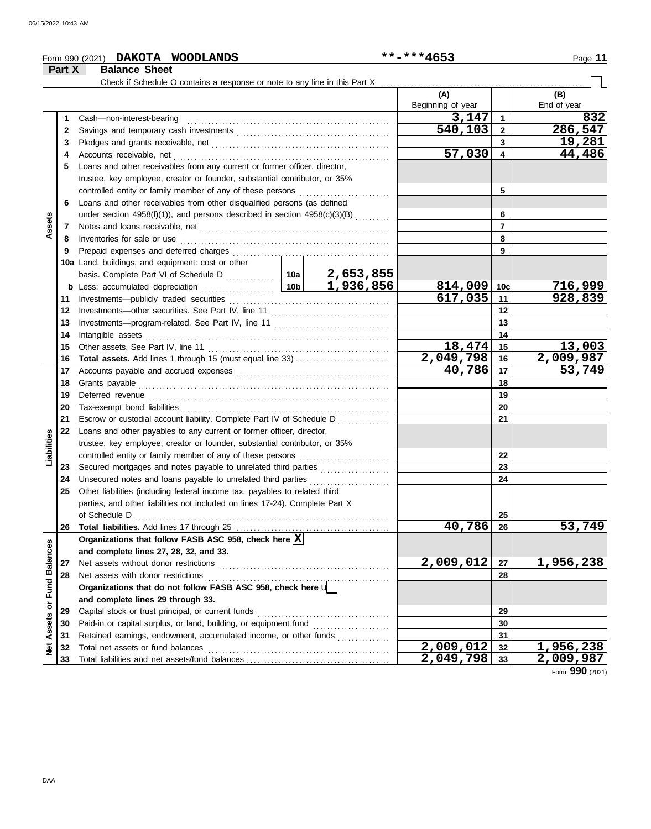#### Form 990 (2021) Page **11 DAKOTA WOODLANDS \*\*-\*\*\*4653 Part X Balance Sheet** Check if Schedule O contains a response or note to any line in this Part X **(A) (B)** Beginning of year | | End of year **3,147 832** Cash—non-interest-bearing . . . . . . . . . . . . . . . . . . . . . . . . . . . . . . . . . . . . . . . . . . . . . . . . . . . . . . . . . . **1 1 540,103 286,547 2 2** Savings and temporary cash investments . . . . . . . . . . . . . . . . . . . . . . . . . . . . . . . . . . . . . . . . . . . . **3 19,281 3** Pledges and grants receivable, net **chanocologies** contains and state of the state of the state of the state of the state of the state of the state of the state of the state of the state of the state of the state of th **57,030 44,486 4 4** Accounts receivable, net . . . . . . . . . . . . . . . . . . . . . . . . . . . . . . . . . . . . . . . . . . . . . . . . . . . . . . . . . . . . . . **5** Loans and other receivables from any current or former officer, director, trustee, key employee, creator or founder, substantial contributor, or 35% controlled entity or family member of any of these persons **5 6** Loans and other receivables from other disqualified persons (as defined **6** under section 4958(f)(1)), and persons described in section 4958(c)(3)(B) .......... **Assets 7 7** Notes and loans receivable, net . . . . . . . . . . . . . . . . . . . . . . . . . . . . . . . . . . . . . . . . . . . . . . . . . . . . . . Inventories for sale or use . . . . . . . . . . . . . . . . . . . . . . . . . . . . . . . . . . . . . . . . . . . . . . . . . . . . . . . . . . . . **8 8 9 9** Prepaid expenses and deferred charges . . . . . . . . . . . . . . . . . . . . . . . . . . . . . . . . . . . . . . . . . . . . . **10a** Land, buildings, and equipment: cost or other basis. Complete Part VI of Schedule D .............. **10a 2,653,855 10b 1,936,856 814,009 716,999 10c b** Less: accumulated depreciation ..................... **617,035 928,839 11** Investments--publicly traded securities **11** Investments—publicly traded securities . . . . . . . . . . . . . . . . . . . . . . . . . . . . . . . . . . . . . . . . . . . . . . **12 12** Investments—other securities. See Part IV, line 11 . . . . . . . . . . . . . . . . . . . . . . . . . . . . . . . . . . **13 13** Investments—program-related. See Part IV, line 11 ................................. 14 Intangible assets **14** Intangible assets . . . . . . . . . . . . . . . . . . . . . . . . . . . . . . . . . . . . . . . . . . . . . . . . . . . . . . . . . . . . . . . . . . . . . . Other assets. See Part IV, line 11 . . . . . . . . . . . . . . . . . . . . . . . . . . . . . . . . . . . . . . . . . . . . . . . . . . . . **18,474 13,003 15 15 2,049,798 2,009,987 16 Total assets.** Add lines 1 through 15 (must equal line 33) . . . . . . . . . . . . . . . . . . . . . . . . . . . **16 40,786 53,749** Accounts payable and accrued expenses . . . . . . . . . . . . . . . . . . . . . . . . . . . . . . . . . . . . . . . . . . . . **17 17** Grants payable . . . . . . . . . . . . . . . . . . . . . . . . . . . . . . . . . . . . . . . . . . . . . . . . . . . . . . . . . . . . . . . . . . . . . . . . **18 18 19** Deferred revenue . . . . . . . . . . . . . . . . . . . . . . . . . . . . . . . . . . . . . . . . . . . . . . . . . . . . . . . . . . . . . . . . . . . . . **19** Tax-exempt bond liabilities . . . . . . . . . . . . . . . . . . . . . . . . . . . . . . . . . . . . . . . . . . . . . . . . . . . . . . . . . . . . **20 20 21** Escrow or custodial account liability. Complete Part IV of Schedule D **21 22** Loans and other payables to any current or former officer, director, **Liabilities** trustee, key employee, creator or founder, substantial contributor, or 35% controlled entity or family member of any of these persons . . . . . . . . . . . . . . . . . . . . . . . . . . **22** Secured mortgages and notes payable to unrelated third parties . . . . . . . . . . . . . . . . . . . . **23 23 24 24** Unsecured notes and loans payable to unrelated third parties ..................... **25** Other liabilities (including federal income tax, payables to related third parties, and other liabilities not included on lines 17-24). Complete Part X of Schedule D . . . . . . . . . . . . . . . . . . . . . . . . . . . . . . . . . . . . . . . . . . . . . . . . . . . . . . . . . . . . . . . . . . . . . . . . . **25 40,786 53,749 26 26 Total liabilities.** Add lines 17 through 25 ............. Organizations that follow FASB ASC 958, check here  $\boxed{\text{X}}$ Net Assets or Fund Balances **Net Assets or Fund Balances and complete lines 27, 28, 32, and 33.** Net assets without donor restrictions **2,009,012 1,956,238 27 27** Net assets with donor restrictions . . . . . . . . . . . . . . . . . . . . . . . . . . . . . . . . . . . . . . . . . . . . . . . . . . . . . **28 28 Organizations that do not follow FASB ASC 958, check here** u **and complete lines 29 through 33.** Capital stock or trust principal, or current funds . . . . . . . . . . . . . . . . . . . . . . . . . . . . . . . . . . . . . . **29 29** Paid-in or capital surplus, or land, building, or equipment fund . . . . . . . . . . . . . . . . . . . . . . **30 30** Retained earnings, endowment, accumulated income, or other funds . . . . . . . . . . . . . . . . . . **31 31 2,009,012 1,956,238** Total net assets or fund balances . . . . . . . . . . . . . . . . . . . . . . . . . . . . . . . . . . . . . . . . . . . . . . . . . . . . . **32 32 2,049,798 2,009,987 33** Total liabilities and net assets/fund balances . . . . . . . . . . . . . . . . . . . . . . . . . . . . . . . . . . . . . . . . . **33**

Form **990** (2021)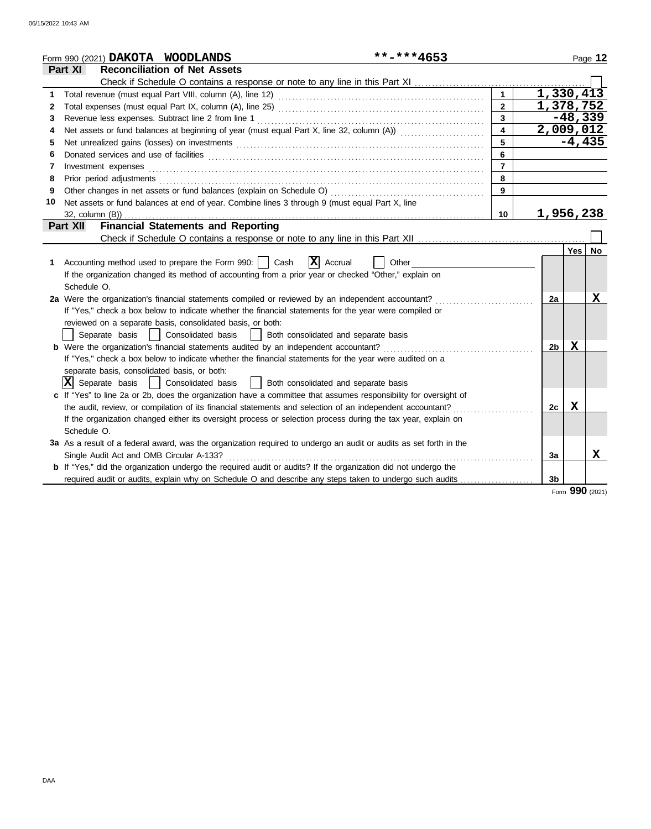|    | **-***4653<br>Form 990 (2021) DAKOTA WOODLANDS                                                                                                                                                                                 |                |                | Page 12     |           |
|----|--------------------------------------------------------------------------------------------------------------------------------------------------------------------------------------------------------------------------------|----------------|----------------|-------------|-----------|
|    | Part XI<br><b>Reconciliation of Net Assets</b>                                                                                                                                                                                 |                |                |             |           |
|    |                                                                                                                                                                                                                                |                |                |             |           |
| 1  |                                                                                                                                                                                                                                | $\mathbf{1}$   |                | 1,330,413   |           |
| 2  |                                                                                                                                                                                                                                | $\overline{2}$ |                | 1,378,752   |           |
| 3  | Revenue less expenses. Subtract line 2 from line 1                                                                                                                                                                             | $\overline{3}$ |                | $-48,339$   |           |
| 4  | Net assets or fund balances at beginning of year (must equal Part X, line 32, column (A))                                                                                                                                      | $\mathbf{A}$   |                | 2,009,012   |           |
| 5  | Net unrealized gains (losses) on investments [11] match and the contract of the state of the state of the state of the state of the state of the state of the state of the state of the state of the state of the state of the | 5              |                | $-4,435$    |           |
| 6  |                                                                                                                                                                                                                                | $6\phantom{a}$ |                |             |           |
| 7  | $Investment \textit{ expenses} \textit{________} \label{ex:ex:ex:1} \begin{minipage}[c]{0.9\linewidth} \textit{Investment} \textit{expenses} \end{minipage}$                                                                   | $\overline{7}$ |                |             |           |
| 8  | Prior period adjustments [11, 12] and the contract of the contract of the contract of the contract of the contract of the contract of the contract of the contract of the contract of the contract of the contract of the cont | 8              |                |             |           |
| 9  | Other changes in net assets or fund balances (explain on Schedule O) [11] content changes in net assets or fund balances (explain on Schedule O) [11] content changes in net assets or fund balances (explain on Schedule O) [ | $\overline{9}$ |                |             |           |
| 10 | Net assets or fund balances at end of year. Combine lines 3 through 9 (must equal Part X, line                                                                                                                                 |                |                |             |           |
|    | 32, column (B)).                                                                                                                                                                                                               | 10             |                | 1,956,238   |           |
|    | <b>Financial Statements and Reporting</b><br><b>Part XII</b>                                                                                                                                                                   |                |                |             |           |
|    |                                                                                                                                                                                                                                |                |                |             |           |
|    |                                                                                                                                                                                                                                |                |                | Yes         | <b>No</b> |
| 1. | $ \mathbf{X} $ Accrual<br>Accounting method used to prepare the Form 990:     Cash<br>Other                                                                                                                                    |                |                |             |           |
|    | If the organization changed its method of accounting from a prior year or checked "Other," explain on                                                                                                                          |                |                |             |           |
|    | Schedule O.                                                                                                                                                                                                                    |                |                |             |           |
|    | 2a Were the organization's financial statements compiled or reviewed by an independent accountant?                                                                                                                             |                | 2a             |             | х         |
|    | If "Yes," check a box below to indicate whether the financial statements for the year were compiled or                                                                                                                         |                |                |             |           |
|    | reviewed on a separate basis, consolidated basis, or both:                                                                                                                                                                     |                |                |             |           |
|    | Separate basis     Consolidated basis     Both consolidated and separate basis                                                                                                                                                 |                |                |             |           |
|    | b Were the organization's financial statements audited by an independent accountant?                                                                                                                                           |                | 2b             | $\mathbf x$ |           |
|    | If "Yes," check a box below to indicate whether the financial statements for the year were audited on a                                                                                                                        |                |                |             |           |
|    | separate basis, consolidated basis, or both:                                                                                                                                                                                   |                |                |             |           |
|    | $ \mathbf{X} $ Separate basis<br>  Consolidated basis<br>Both consolidated and separate basis                                                                                                                                  |                |                |             |           |
|    | c If "Yes" to line 2a or 2b, does the organization have a committee that assumes responsibility for oversight of                                                                                                               |                |                |             |           |
|    | the audit, review, or compilation of its financial statements and selection of an independent accountant?                                                                                                                      |                | 2c             | Х           |           |
|    | If the organization changed either its oversight process or selection process during the tax year, explain on                                                                                                                  |                |                |             |           |
|    | Schedule O.                                                                                                                                                                                                                    |                |                |             |           |
|    | 3a As a result of a federal award, was the organization required to undergo an audit or audits as set forth in the                                                                                                             |                |                |             |           |
|    | Single Audit Act and OMB Circular A-133?                                                                                                                                                                                       |                | 3a             |             | X         |
|    | <b>b</b> If "Yes," did the organization undergo the required audit or audits? If the organization did not undergo the                                                                                                          |                |                |             |           |
|    | required audit or audits, explain why on Schedule O and describe any steps taken to undergo such audits                                                                                                                        |                | 3 <sub>b</sub> |             |           |

Form **990** (2021)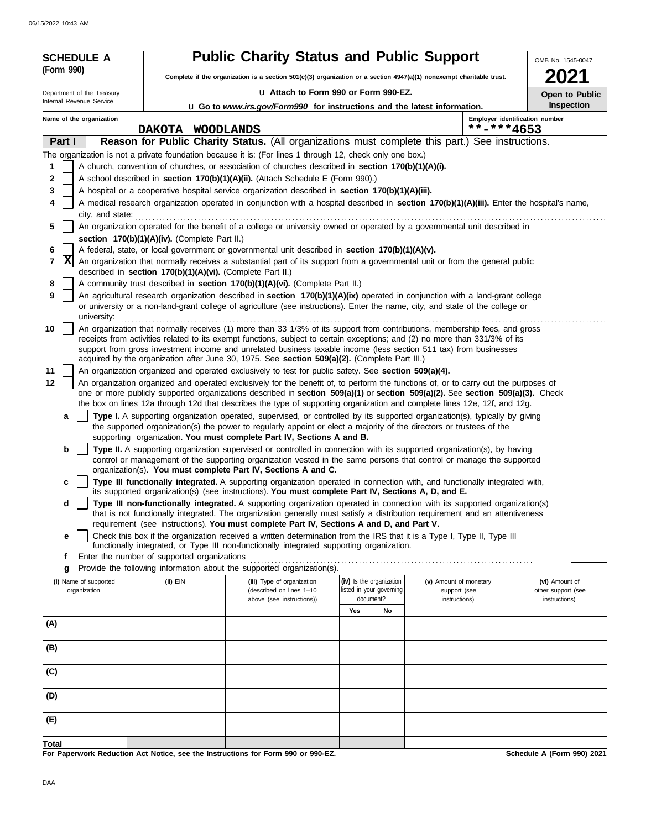06/15/2022 10:43 AM

| <b>SCHEDULE A</b>          |                                                            | <b>Public Charity Status and Public Support</b>                                                                                                                                                                                                                                                                                                                                |                          |                        | OMB No. 1545-0047              |
|----------------------------|------------------------------------------------------------|--------------------------------------------------------------------------------------------------------------------------------------------------------------------------------------------------------------------------------------------------------------------------------------------------------------------------------------------------------------------------------|--------------------------|------------------------|--------------------------------|
| (Form 990)                 |                                                            | Complete if the organization is a section $501(c)(3)$ organization or a section $4947(a)(1)$ nonexempt charitable trust.                                                                                                                                                                                                                                                       |                          |                        |                                |
| Department of the Treasury |                                                            | u Attach to Form 990 or Form 990-EZ.                                                                                                                                                                                                                                                                                                                                           |                          |                        |                                |
| Internal Revenue Service   |                                                            | u Go to www.irs.gov/Form990 for instructions and the latest information.                                                                                                                                                                                                                                                                                                       |                          |                        | Open to Public<br>Inspection   |
| Name of the organization   |                                                            |                                                                                                                                                                                                                                                                                                                                                                                |                          |                        | Employer identification number |
|                            | DAKOTA WOODLANDS                                           |                                                                                                                                                                                                                                                                                                                                                                                |                          |                        | **-***4653                     |
| Part I                     |                                                            | Reason for Public Charity Status. (All organizations must complete this part.) See instructions.                                                                                                                                                                                                                                                                               |                          |                        |                                |
|                            |                                                            | The organization is not a private foundation because it is: (For lines 1 through 12, check only one box.)                                                                                                                                                                                                                                                                      |                          |                        |                                |
| 1                          |                                                            | A church, convention of churches, or association of churches described in section 170(b)(1)(A)(i).                                                                                                                                                                                                                                                                             |                          |                        |                                |
| 2                          |                                                            | A school described in section 170(b)(1)(A)(ii). (Attach Schedule E (Form 990).)                                                                                                                                                                                                                                                                                                |                          |                        |                                |
| 3                          |                                                            | A hospital or a cooperative hospital service organization described in section 170(b)(1)(A)(iii).                                                                                                                                                                                                                                                                              |                          |                        |                                |
| 4<br>city, and state:      |                                                            | A medical research organization operated in conjunction with a hospital described in section 170(b)(1)(A)(iii). Enter the hospital's name,                                                                                                                                                                                                                                     |                          |                        |                                |
| 5                          |                                                            | An organization operated for the benefit of a college or university owned or operated by a governmental unit described in                                                                                                                                                                                                                                                      |                          |                        |                                |
|                            | section 170(b)(1)(A)(iv). (Complete Part II.)              |                                                                                                                                                                                                                                                                                                                                                                                |                          |                        |                                |
| 6                          |                                                            | A federal, state, or local government or governmental unit described in section 170(b)(1)(A)(v).                                                                                                                                                                                                                                                                               |                          |                        |                                |
| $ {\bf x} $<br>7           | described in section 170(b)(1)(A)(vi). (Complete Part II.) | An organization that normally receives a substantial part of its support from a governmental unit or from the general public                                                                                                                                                                                                                                                   |                          |                        |                                |
| 8                          |                                                            | A community trust described in section 170(b)(1)(A)(vi). (Complete Part II.)                                                                                                                                                                                                                                                                                                   |                          |                        |                                |
| 9<br>university:           |                                                            | An agricultural research organization described in section 170(b)(1)(A)(ix) operated in conjunction with a land-grant college<br>or university or a non-land-grant college of agriculture (see instructions). Enter the name, city, and state of the college or                                                                                                                |                          |                        |                                |
| 10                         |                                                            | An organization that normally receives (1) more than 33 1/3% of its support from contributions, membership fees, and gross<br>receipts from activities related to its exempt functions, subject to certain exceptions; and (2) no more than 331/3% of its<br>support from gross investment income and unrelated business taxable income (less section 511 tax) from businesses |                          |                        |                                |
|                            |                                                            | acquired by the organization after June 30, 1975. See section 509(a)(2). (Complete Part III.)                                                                                                                                                                                                                                                                                  |                          |                        |                                |
| 11                         |                                                            | An organization organized and operated exclusively to test for public safety. See section 509(a)(4).                                                                                                                                                                                                                                                                           |                          |                        |                                |
| 12                         |                                                            | An organization organized and operated exclusively for the benefit of, to perform the functions of, or to carry out the purposes of<br>one or more publicly supported organizations described in section 509(a)(1) or section 509(a)(2). See section 509(a)(3). Check                                                                                                          |                          |                        |                                |
|                            |                                                            | the box on lines 12a through 12d that describes the type of supporting organization and complete lines 12e, 12f, and 12g.                                                                                                                                                                                                                                                      |                          |                        |                                |
| a                          |                                                            | Type I. A supporting organization operated, supervised, or controlled by its supported organization(s), typically by giving                                                                                                                                                                                                                                                    |                          |                        |                                |
|                            |                                                            | the supported organization(s) the power to regularly appoint or elect a majority of the directors or trustees of the                                                                                                                                                                                                                                                           |                          |                        |                                |
| b                          |                                                            | supporting organization. You must complete Part IV, Sections A and B.<br>Type II. A supporting organization supervised or controlled in connection with its supported organization(s), by having                                                                                                                                                                               |                          |                        |                                |
|                            |                                                            | control or management of the supporting organization vested in the same persons that control or manage the supported<br>organization(s). You must complete Part IV, Sections A and C.                                                                                                                                                                                          |                          |                        |                                |
| c                          |                                                            | Type III functionally integrated. A supporting organization operated in connection with, and functionally integrated with,<br>its supported organization(s) (see instructions). You must complete Part IV, Sections A, D, and E.                                                                                                                                               |                          |                        |                                |
| d                          |                                                            | Type III non-functionally integrated. A supporting organization operated in connection with its supported organization(s)<br>that is not functionally integrated. The organization generally must satisfy a distribution requirement and an attentiveness                                                                                                                      |                          |                        |                                |
|                            |                                                            | requirement (see instructions). You must complete Part IV, Sections A and D, and Part V.                                                                                                                                                                                                                                                                                       |                          |                        |                                |
| е                          |                                                            | Check this box if the organization received a written determination from the IRS that it is a Type I, Type II, Type III                                                                                                                                                                                                                                                        |                          |                        |                                |
|                            |                                                            | functionally integrated, or Type III non-functionally integrated supporting organization.                                                                                                                                                                                                                                                                                      |                          |                        |                                |
| t<br>g                     | Enter the number of supported organizations                | Provide the following information about the supported organization(s).                                                                                                                                                                                                                                                                                                         |                          |                        |                                |
| (i) Name of supported      | (ii) EIN                                                   | (iii) Type of organization                                                                                                                                                                                                                                                                                                                                                     | (iv) Is the organization | (v) Amount of monetary | (vi) Amount of                 |
| organization               |                                                            | (described on lines 1-10                                                                                                                                                                                                                                                                                                                                                       | listed in your governing | support (see           | other support (see             |
|                            |                                                            | above (see instructions))                                                                                                                                                                                                                                                                                                                                                      | document?                | instructions)          | instructions)                  |
| (A)                        |                                                            |                                                                                                                                                                                                                                                                                                                                                                                | Yes<br>No                |                        |                                |
|                            |                                                            |                                                                                                                                                                                                                                                                                                                                                                                |                          |                        |                                |
| (B)                        |                                                            |                                                                                                                                                                                                                                                                                                                                                                                |                          |                        |                                |
| (C)                        |                                                            |                                                                                                                                                                                                                                                                                                                                                                                |                          |                        |                                |
| (D)                        |                                                            |                                                                                                                                                                                                                                                                                                                                                                                |                          |                        |                                |
| (E)                        |                                                            |                                                                                                                                                                                                                                                                                                                                                                                |                          |                        |                                |
| Total                      |                                                            |                                                                                                                                                                                                                                                                                                                                                                                |                          |                        |                                |
|                            |                                                            | Ear Panarwark Paduation Act Nation, son the Instructions for Earm 000 or 000 EZ                                                                                                                                                                                                                                                                                                |                          |                        | Schodule A (Form 000) 2024     |

**For Paperwork Reduction Act Notice, see the Instructions for Form 990 or 990-EZ.**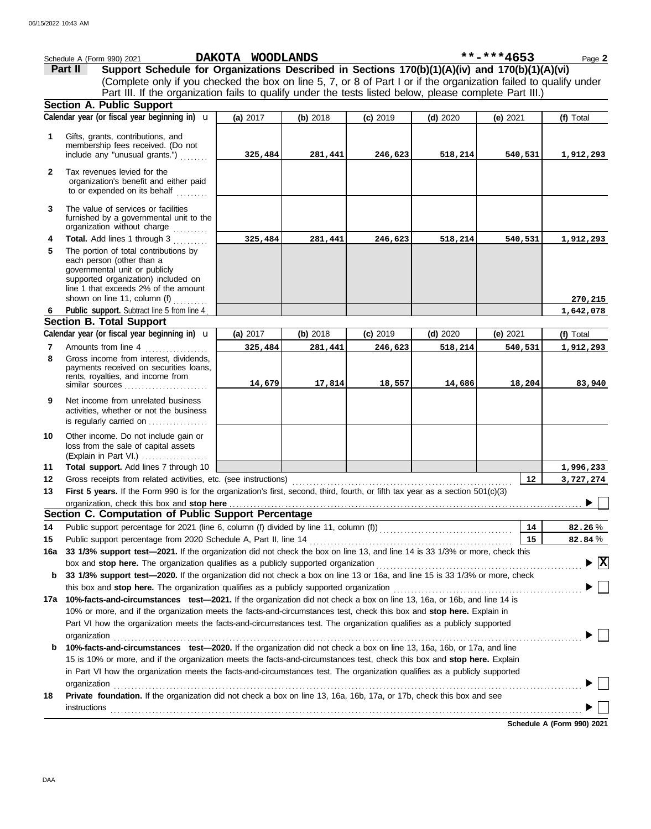|              | Schedule A (Form 990) 2021                                                                                                                                                                                                     | DAKOTA WOODLANDS |          |            |            | **-***4653 | Page 2                          |
|--------------|--------------------------------------------------------------------------------------------------------------------------------------------------------------------------------------------------------------------------------|------------------|----------|------------|------------|------------|---------------------------------|
|              | Support Schedule for Organizations Described in Sections 170(b)(1)(A)(iv) and 170(b)(1)(A)(vi)<br>Part II                                                                                                                      |                  |          |            |            |            |                                 |
|              | (Complete only if you checked the box on line 5, 7, or 8 of Part I or if the organization failed to qualify under                                                                                                              |                  |          |            |            |            |                                 |
|              | Part III. If the organization fails to qualify under the tests listed below, please complete Part III.)                                                                                                                        |                  |          |            |            |            |                                 |
|              | <b>Section A. Public Support</b>                                                                                                                                                                                               |                  |          |            |            |            |                                 |
|              | Calendar year (or fiscal year beginning in) $\mathbf u$                                                                                                                                                                        | (a) 2017         | (b) 2018 | $(c)$ 2019 | $(d)$ 2020 | (e) $2021$ | (f) Total                       |
| 1            | Gifts, grants, contributions, and                                                                                                                                                                                              |                  |          |            |            |            |                                 |
|              | membership fees received. (Do not                                                                                                                                                                                              |                  |          |            |            |            |                                 |
|              | include any "unusual grants.")                                                                                                                                                                                                 | 325,484          | 281,441  | 246,623    | 518, 214   | 540,531    | 1,912,293                       |
| $\mathbf{2}$ | Tax revenues levied for the                                                                                                                                                                                                    |                  |          |            |            |            |                                 |
|              | organization's benefit and either paid                                                                                                                                                                                         |                  |          |            |            |            |                                 |
|              | to or expended on its behalf                                                                                                                                                                                                   |                  |          |            |            |            |                                 |
| 3            | The value of services or facilities                                                                                                                                                                                            |                  |          |            |            |            |                                 |
|              | furnished by a governmental unit to the                                                                                                                                                                                        |                  |          |            |            |            |                                 |
|              | organization without charge                                                                                                                                                                                                    |                  |          |            |            |            |                                 |
| 4            | Total. Add lines 1 through 3<br>The portion of total contributions by                                                                                                                                                          | 325,484          | 281,441  | 246,623    | 518,214    | 540,531    | 1,912,293                       |
| 5            | each person (other than a                                                                                                                                                                                                      |                  |          |            |            |            |                                 |
|              | governmental unit or publicly                                                                                                                                                                                                  |                  |          |            |            |            |                                 |
|              | supported organization) included on                                                                                                                                                                                            |                  |          |            |            |            |                                 |
|              | line 1 that exceeds 2% of the amount<br>shown on line 11, column (f) $\ldots$                                                                                                                                                  |                  |          |            |            |            | 270,215                         |
| 6            | Public support. Subtract line 5 from line 4.                                                                                                                                                                                   |                  |          |            |            |            | 1,642,078                       |
|              | <b>Section B. Total Support</b>                                                                                                                                                                                                |                  |          |            |            |            |                                 |
|              | Calendar year (or fiscal year beginning in) <b>u</b>                                                                                                                                                                           | (a) 2017         | (b) 2018 | $(c)$ 2019 | $(d)$ 2020 | (e) $2021$ | (f) Total                       |
| 7            | Amounts from line 4                                                                                                                                                                                                            | 325,484          | 281,441  | 246,623    | 518,214    | 540,531    | 1,912,293                       |
| 8            | Gross income from interest, dividends,                                                                                                                                                                                         |                  |          |            |            |            |                                 |
|              | payments received on securities loans,                                                                                                                                                                                         |                  |          |            |            |            |                                 |
|              | rents, royalties, and income from<br>similar sources                                                                                                                                                                           | 14,679           | 17,814   | 18,557     | 14,686     | 18,204     | 83,940                          |
| 9            | Net income from unrelated business                                                                                                                                                                                             |                  |          |            |            |            |                                 |
|              | activities, whether or not the business                                                                                                                                                                                        |                  |          |            |            |            |                                 |
|              | is regularly carried on                                                                                                                                                                                                        |                  |          |            |            |            |                                 |
| 10           | Other income. Do not include gain or                                                                                                                                                                                           |                  |          |            |            |            |                                 |
|              | loss from the sale of capital assets                                                                                                                                                                                           |                  |          |            |            |            |                                 |
|              | (Explain in Part VI.)                                                                                                                                                                                                          |                  |          |            |            |            |                                 |
| 11           | Total support. Add lines 7 through 10                                                                                                                                                                                          |                  |          |            |            |            | 1,996,233                       |
| 12           |                                                                                                                                                                                                                                |                  |          |            |            | 12         | 3,727,274                       |
| 13           | First 5 years. If the Form 990 is for the organization's first, second, third, fourth, or fifth tax year as a section $501(c)(3)$                                                                                              |                  |          |            |            |            | $\sim$ $\Box$                   |
|              |                                                                                                                                                                                                                                |                  |          |            |            |            |                                 |
|              | Section C. Computation of Public Support Percentage                                                                                                                                                                            |                  |          |            |            |            |                                 |
| 14           |                                                                                                                                                                                                                                |                  |          |            |            | 14         | 82.26%                          |
| 15           |                                                                                                                                                                                                                                |                  |          |            |            | 15         | 82.84%                          |
| 16a          | 33 1/3% support test-2021. If the organization did not check the box on line 13, and line 14 is 33 1/3% or more, check this                                                                                                    |                  |          |            |            |            | $\blacktriangleright$ $\vert$ X |
| b            | box and stop here. The organization qualifies as a publicly supported organization<br>33 1/3% support test-2020. If the organization did not check a box on line 13 or 16a, and line 15 is 33 1/3% or more, check              |                  |          |            |            |            |                                 |
|              | this box and stop here. The organization qualifies as a publicly supported organization [11] content content content content of the content of the state of the state of the state of the state or state or state or state or  |                  |          |            |            |            |                                 |
|              | 17a 10%-facts-and-circumstances test-2021. If the organization did not check a box on line 13, 16a, or 16b, and line 14 is                                                                                                     |                  |          |            |            |            |                                 |
|              | 10% or more, and if the organization meets the facts-and-circumstances test, check this box and stop here. Explain in                                                                                                          |                  |          |            |            |            |                                 |
|              | Part VI how the organization meets the facts-and-circumstances test. The organization qualifies as a publicly supported                                                                                                        |                  |          |            |            |            |                                 |
|              | organization                                                                                                                                                                                                                   |                  |          |            |            |            |                                 |
| b            | 10%-facts-and-circumstances test-2020. If the organization did not check a box on line 13, 16a, 16b, or 17a, and line                                                                                                          |                  |          |            |            |            |                                 |
|              | 15 is 10% or more, and if the organization meets the facts-and-circumstances test, check this box and stop here. Explain                                                                                                       |                  |          |            |            |            |                                 |
|              | in Part VI how the organization meets the facts-and-circumstances test. The organization qualifies as a publicly supported                                                                                                     |                  |          |            |            |            |                                 |
|              | organization with the contract of the contract of the contract of the contract of the contract of the contract of the contract of the contract of the contract of the contract of the contract of the contract of the contract |                  |          |            |            |            |                                 |
| 18           | Private foundation. If the organization did not check a box on line 13, 16a, 16b, 17a, or 17b, check this box and see                                                                                                          |                  |          |            |            |            |                                 |
|              |                                                                                                                                                                                                                                |                  |          |            |            |            |                                 |
|              |                                                                                                                                                                                                                                |                  |          |            |            |            |                                 |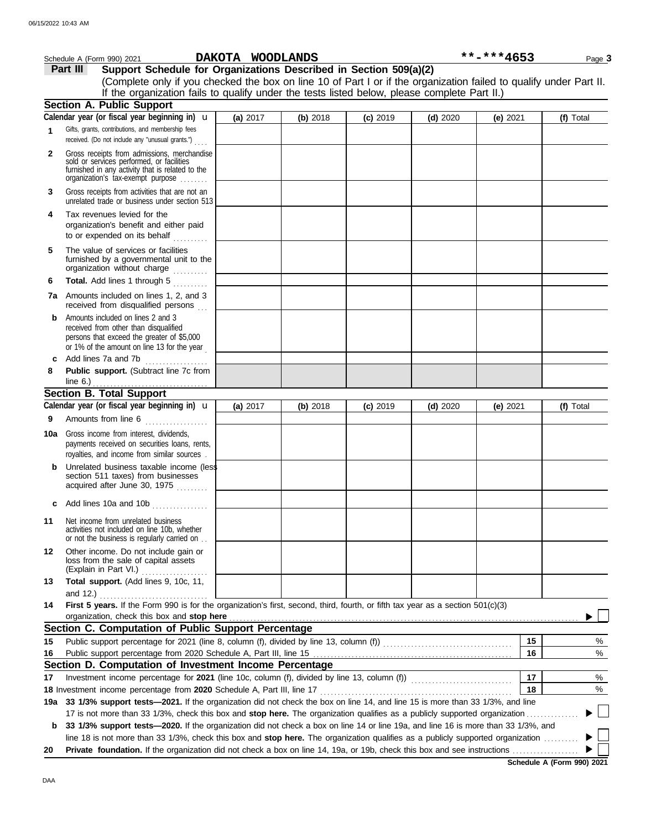|     | Schedule A (Form 990) 2021                                                                                                                                                                                                                                      | DAKOTA WOODLANDS |          |            |            | **-***4653 |    | Page 3    |
|-----|-----------------------------------------------------------------------------------------------------------------------------------------------------------------------------------------------------------------------------------------------------------------|------------------|----------|------------|------------|------------|----|-----------|
|     | Part III<br>Support Schedule for Organizations Described in Section 509(a)(2)                                                                                                                                                                                   |                  |          |            |            |            |    |           |
|     | (Complete only if you checked the box on line 10 of Part I or if the organization failed to qualify under Part II.                                                                                                                                              |                  |          |            |            |            |    |           |
|     | If the organization fails to qualify under the tests listed below, please complete Part II.)                                                                                                                                                                    |                  |          |            |            |            |    |           |
|     | <b>Section A. Public Support</b>                                                                                                                                                                                                                                |                  |          |            |            |            |    |           |
|     | Calendar year (or fiscal year beginning in) $\mathbf u$                                                                                                                                                                                                         | (a) 2017         | (b) 2018 | $(c)$ 2019 | $(d)$ 2020 | (e) $2021$ |    | (f) Total |
| 1   | Gifts, grants, contributions, and membership fees<br>received. (Do not include any "unusual grants.")                                                                                                                                                           |                  |          |            |            |            |    |           |
| 2   | Gross receipts from admissions, merchandise<br>sold or services performed, or facilities<br>furnished in any activity that is related to the<br>organization's tax-exempt purpose                                                                               |                  |          |            |            |            |    |           |
| 3   | Gross receipts from activities that are not an<br>unrelated trade or business under section 513                                                                                                                                                                 |                  |          |            |            |            |    |           |
| 4   | Tax revenues levied for the<br>organization's benefit and either paid<br>to or expended on its behalf                                                                                                                                                           |                  |          |            |            |            |    |           |
| 5   | The value of services or facilities<br>furnished by a governmental unit to the<br>organization without charge                                                                                                                                                   |                  |          |            |            |            |    |           |
| 6   | Total. Add lines 1 through 5                                                                                                                                                                                                                                    |                  |          |            |            |            |    |           |
|     | 7a Amounts included on lines 1, 2, and 3<br>received from disqualified persons                                                                                                                                                                                  |                  |          |            |            |            |    |           |
| b   | Amounts included on lines 2 and 3<br>received from other than disqualified<br>persons that exceed the greater of \$5,000<br>or 1% of the amount on line 13 for the year                                                                                         |                  |          |            |            |            |    |           |
| c   | Add lines 7a and 7b<br>.                                                                                                                                                                                                                                        |                  |          |            |            |            |    |           |
| 8   | Public support. (Subtract line 7c from                                                                                                                                                                                                                          |                  |          |            |            |            |    |           |
|     | <b>Section B. Total Support</b>                                                                                                                                                                                                                                 |                  |          |            |            |            |    |           |
|     | Calendar year (or fiscal year beginning in) <b>u</b>                                                                                                                                                                                                            | (a) $2017$       | (b) 2018 | $(c)$ 2019 | $(d)$ 2020 | (e) $2021$ |    | (f) Total |
| 9   | Amounts from line 6                                                                                                                                                                                                                                             |                  |          |            |            |            |    |           |
| 10a | Gross income from interest, dividends,<br>payments received on securities loans, rents,<br>royalties, and income from similar sources.                                                                                                                          |                  |          |            |            |            |    |           |
|     | Unrelated business taxable income (less<br>section 511 taxes) from businesses<br>acquired after June 30, 1975                                                                                                                                                   |                  |          |            |            |            |    |           |
|     | c Add lines 10a and 10b                                                                                                                                                                                                                                         |                  |          |            |            |            |    |           |
| 11  | Net income from unrelated business<br>activities not included on line 10b, whether<br>or not the business is regularly carried on                                                                                                                               |                  |          |            |            |            |    |           |
| 12  | Other income. Do not include gain or<br>loss from the sale of capital assets<br>(Explain in Part VI.)<br>.                                                                                                                                                      |                  |          |            |            |            |    |           |
| 13  | Total support. (Add lines 9, 10c, 11,<br>and 12.)                                                                                                                                                                                                               |                  |          |            |            |            |    |           |
| 14  | First 5 years. If the Form 990 is for the organization's first, second, third, fourth, or fifth tax year as a section 501(c)(3)<br>organization, check this box and stop here                                                                                   |                  |          |            |            |            |    |           |
|     | Section C. Computation of Public Support Percentage                                                                                                                                                                                                             |                  |          |            |            |            |    |           |
| 15  |                                                                                                                                                                                                                                                                 |                  |          |            |            |            | 15 | %         |
| 16  |                                                                                                                                                                                                                                                                 |                  |          |            |            |            | 16 | %         |
|     | Section D. Computation of Investment Income Percentage                                                                                                                                                                                                          |                  |          |            |            |            |    |           |
| 17  |                                                                                                                                                                                                                                                                 |                  |          |            |            |            | 17 | %         |
|     | 18 Investment income percentage from 2020 Schedule A, Part III, line 17                                                                                                                                                                                         |                  |          |            |            |            | 18 | %         |
|     | 19a 33 1/3% support tests-2021. If the organization did not check the box on line 14, and line 15 is more than 33 1/3%, and line                                                                                                                                |                  |          |            |            |            |    |           |
|     | 17 is not more than 33 1/3%, check this box and stop here. The organization qualifies as a publicly supported organization<br>33 1/3% support tests—2020. If the organization did not check a box on line 14 or line 19a, and line 16 is more than 33 1/3%, and |                  |          |            |            |            |    |           |
| b   | line 18 is not more than 33 1/3%, check this box and stop here. The organization qualifies as a publicly supported organization                                                                                                                                 |                  |          |            |            |            |    |           |
| 20  |                                                                                                                                                                                                                                                                 |                  |          |            |            |            |    |           |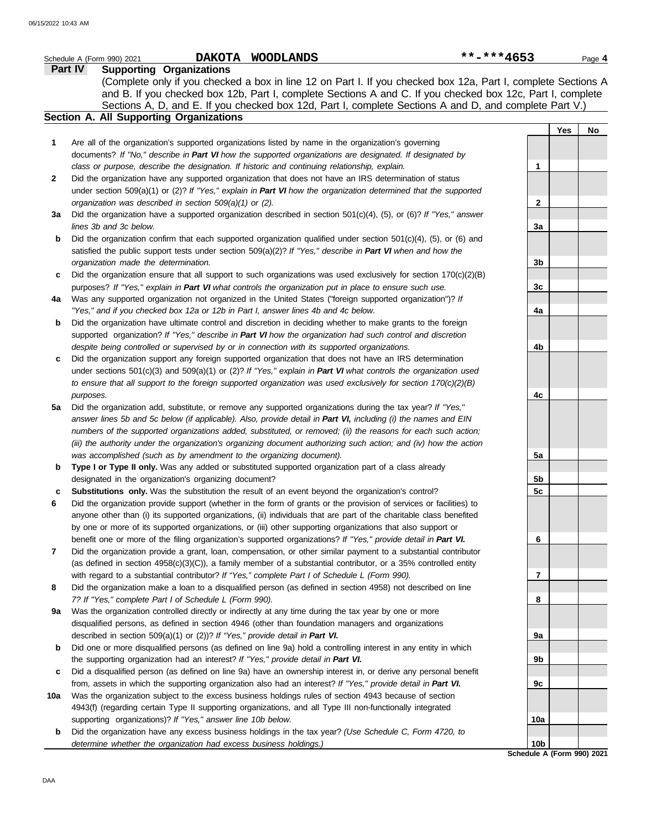|     | DAKOTA WOODLANDS<br>Schedule A (Form 990) 2021                                                                                                | **-***4653      |            | Page 4 |
|-----|-----------------------------------------------------------------------------------------------------------------------------------------------|-----------------|------------|--------|
|     | <b>Supporting Organizations</b><br>Part IV                                                                                                    |                 |            |        |
|     | (Complete only if you checked a box in line 12 on Part I. If you checked box 12a, Part I, complete Sections A                                 |                 |            |        |
|     | and B. If you checked box 12b, Part I, complete Sections A and C. If you checked box 12c, Part I, complete                                    |                 |            |        |
|     | Sections A, D, and E. If you checked box 12d, Part I, complete Sections A and D, and complete Part V.)                                        |                 |            |        |
|     | Section A. All Supporting Organizations                                                                                                       |                 |            |        |
|     |                                                                                                                                               |                 | <b>Yes</b> | No     |
| 1   | Are all of the organization's supported organizations listed by name in the organization's governing                                          |                 |            |        |
|     | documents? If "No," describe in Part VI how the supported organizations are designated. If designated by                                      |                 |            |        |
|     | class or purpose, describe the designation. If historic and continuing relationship, explain.                                                 | 1               |            |        |
| 2   | Did the organization have any supported organization that does not have an IRS determination of status                                        |                 |            |        |
|     | under section 509(a)(1) or (2)? If "Yes," explain in Part VI how the organization determined that the supported                               |                 |            |        |
|     | organization was described in section 509(a)(1) or (2).                                                                                       | $\mathbf{2}$    |            |        |
|     |                                                                                                                                               |                 |            |        |
| За  | Did the organization have a supported organization described in section $501(c)(4)$ , (5), or (6)? If "Yes," answer<br>lines 3b and 3c below. |                 |            |        |
|     |                                                                                                                                               | 3a              |            |        |
| b   | Did the organization confirm that each supported organization qualified under section $501(c)(4)$ , (5), or (6) and                           |                 |            |        |
|     | satisfied the public support tests under section 509(a)(2)? If "Yes," describe in Part VI when and how the                                    |                 |            |        |
|     | organization made the determination.                                                                                                          | 3b              |            |        |
| c   | Did the organization ensure that all support to such organizations was used exclusively for section $170(c)(2)(B)$                            |                 |            |        |
|     | purposes? If "Yes," explain in Part VI what controls the organization put in place to ensure such use.                                        | 3c              |            |        |
| 4a  | Was any supported organization not organized in the United States ("foreign supported organization")? If                                      |                 |            |        |
|     | "Yes," and if you checked box 12a or 12b in Part I, answer lines 4b and 4c below.                                                             | 4a              |            |        |
| b   | Did the organization have ultimate control and discretion in deciding whether to make grants to the foreign                                   |                 |            |        |
|     | supported organization? If "Yes," describe in Part VI how the organization had such control and discretion                                    |                 |            |        |
|     | despite being controlled or supervised by or in connection with its supported organizations.                                                  | 4b              |            |        |
| c   | Did the organization support any foreign supported organization that does not have an IRS determination                                       |                 |            |        |
|     | under sections $501(c)(3)$ and $509(a)(1)$ or $(2)$ ? If "Yes," explain in Part VI what controls the organization used                        |                 |            |        |
|     | to ensure that all support to the foreign supported organization was used exclusively for section $170(c)(2)(B)$                              |                 |            |        |
|     | purposes.                                                                                                                                     | 4c              |            |        |
| 5a  | Did the organization add, substitute, or remove any supported organizations during the tax year? If "Yes,"                                    |                 |            |        |
|     | answer lines 5b and 5c below (if applicable). Also, provide detail in Part VI, including (i) the names and EIN                                |                 |            |        |
|     | numbers of the supported organizations added, substituted, or removed; (ii) the reasons for each such action;                                 |                 |            |        |
|     | (iii) the authority under the organization's organizing document authorizing such action; and (iv) how the action                             |                 |            |        |
|     | was accomplished (such as by amendment to the organizing document).                                                                           | 5a              |            |        |
| b   | Type I or Type II only. Was any added or substituted supported organization part of a class already                                           |                 |            |        |
|     | designated in the organization's organizing document?                                                                                         | 5b              |            |        |
|     | Substitutions only. Was the substitution the result of an event beyond the organization's control?                                            | 5c              |            |        |
|     | Did the organization provide support (whether in the form of grants or the provision of services or facilities) to                            |                 |            |        |
|     | anyone other than (i) its supported organizations, (ii) individuals that are part of the charitable class benefited                           |                 |            |        |
|     |                                                                                                                                               |                 |            |        |
|     | by one or more of its supported organizations, or (iii) other supporting organizations that also support or                                   |                 |            |        |
|     | benefit one or more of the filing organization's supported organizations? If "Yes," provide detail in Part VI.                                | 6               |            |        |
| 7   | Did the organization provide a grant, loan, compensation, or other similar payment to a substantial contributor                               |                 |            |        |
|     | (as defined in section $4958(c)(3)(C)$ ), a family member of a substantial contributor, or a 35% controlled entity                            |                 |            |        |
|     | with regard to a substantial contributor? If "Yes," complete Part I of Schedule L (Form 990).                                                 | 7               |            |        |
| 8   | Did the organization make a loan to a disqualified person (as defined in section 4958) not described on line                                  |                 |            |        |
|     | 7? If "Yes," complete Part I of Schedule L (Form 990).                                                                                        | 8               |            |        |
| 9a  | Was the organization controlled directly or indirectly at any time during the tax year by one or more                                         |                 |            |        |
|     | disqualified persons, as defined in section 4946 (other than foundation managers and organizations                                            |                 |            |        |
|     | described in section 509(a)(1) or (2))? If "Yes," provide detail in Part VI.                                                                  | 9a              |            |        |
| b   | Did one or more disqualified persons (as defined on line 9a) hold a controlling interest in any entity in which                               |                 |            |        |
|     | the supporting organization had an interest? If "Yes," provide detail in Part VI.                                                             | 9b              |            |        |
| c   | Did a disqualified person (as defined on line 9a) have an ownership interest in, or derive any personal benefit                               |                 |            |        |
|     | from, assets in which the supporting organization also had an interest? If "Yes," provide detail in Part VI.                                  | 9c              |            |        |
| 10a | Was the organization subject to the excess business holdings rules of section 4943 because of section                                         |                 |            |        |
|     | 4943(f) (regarding certain Type II supporting organizations, and all Type III non-functionally integrated                                     |                 |            |        |
|     | supporting organizations)? If "Yes," answer line 10b below.                                                                                   | 10a             |            |        |
| b   | Did the organization have any excess business holdings in the tax year? (Use Schedule C, Form 4720, to                                        |                 |            |        |
|     | determine whether the organization had excess business holdings.)                                                                             | 10 <sub>b</sub> |            |        |

**Schedule A (Form 990) 2021**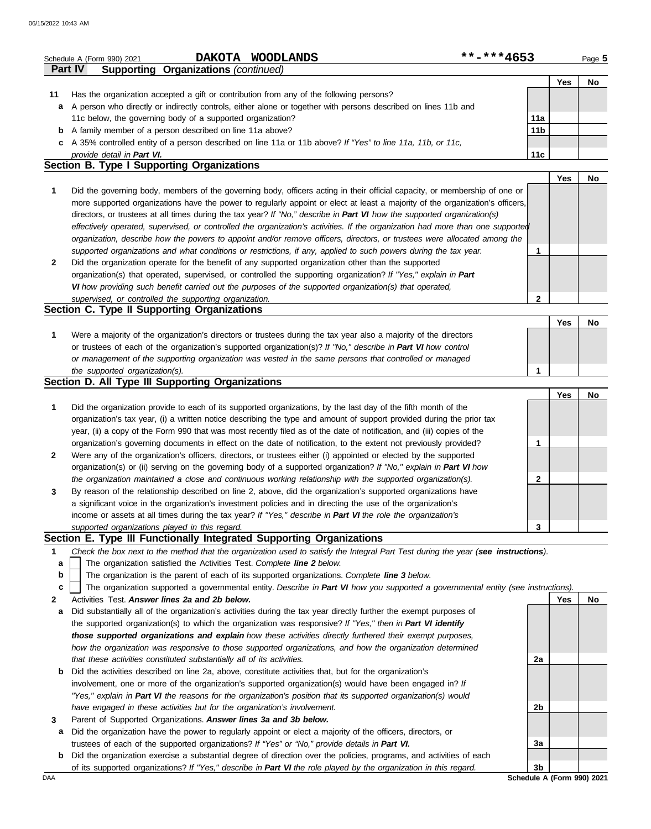|              | Schedule A (Form 990) 2021 |                                                                          |  | DAKOTA WOODLANDS |                                                                                                                                                                                                                       | **-***4653 |                 |     | Page 5 |
|--------------|----------------------------|--------------------------------------------------------------------------|--|------------------|-----------------------------------------------------------------------------------------------------------------------------------------------------------------------------------------------------------------------|------------|-----------------|-----|--------|
|              | Part IV                    | <b>Supporting Organizations (continued)</b>                              |  |                  |                                                                                                                                                                                                                       |            |                 |     |        |
|              |                            |                                                                          |  |                  |                                                                                                                                                                                                                       |            |                 | Yes | No     |
| 11           |                            |                                                                          |  |                  | Has the organization accepted a gift or contribution from any of the following persons?                                                                                                                               |            |                 |     |        |
|              |                            |                                                                          |  |                  | a A person who directly or indirectly controls, either alone or together with persons described on lines 11b and                                                                                                      |            |                 |     |        |
|              |                            | 11c below, the governing body of a supported organization?               |  |                  |                                                                                                                                                                                                                       |            | 11a             |     |        |
|              |                            | <b>b</b> A family member of a person described on line 11a above?        |  |                  |                                                                                                                                                                                                                       |            | 11 <sub>b</sub> |     |        |
|              |                            |                                                                          |  |                  | c A 35% controlled entity of a person described on line 11a or 11b above? If "Yes" to line 11a, 11b, or 11c,                                                                                                          |            |                 |     |        |
|              |                            | provide detail in Part VI.<br>Section B. Type I Supporting Organizations |  |                  |                                                                                                                                                                                                                       |            | 11c             |     |        |
|              |                            |                                                                          |  |                  |                                                                                                                                                                                                                       |            |                 | Yes | No     |
| 1            |                            |                                                                          |  |                  | Did the governing body, members of the governing body, officers acting in their official capacity, or membership of one or                                                                                            |            |                 |     |        |
|              |                            |                                                                          |  |                  | more supported organizations have the power to regularly appoint or elect at least a majority of the organization's officers,                                                                                         |            |                 |     |        |
|              |                            |                                                                          |  |                  | directors, or trustees at all times during the tax year? If "No," describe in Part VI how the supported organization(s)                                                                                               |            |                 |     |        |
|              |                            |                                                                          |  |                  | effectively operated, supervised, or controlled the organization's activities. If the organization had more than one supported                                                                                        |            |                 |     |        |
|              |                            |                                                                          |  |                  | organization, describe how the powers to appoint and/or remove officers, directors, or trustees were allocated among the                                                                                              |            |                 |     |        |
|              |                            |                                                                          |  |                  | supported organizations and what conditions or restrictions, if any, applied to such powers during the tax year.                                                                                                      |            | 1               |     |        |
| $\mathbf{2}$ |                            |                                                                          |  |                  | Did the organization operate for the benefit of any supported organization other than the supported                                                                                                                   |            |                 |     |        |
|              |                            |                                                                          |  |                  | organization(s) that operated, supervised, or controlled the supporting organization? If "Yes," explain in Part                                                                                                       |            |                 |     |        |
|              |                            |                                                                          |  |                  | VI how providing such benefit carried out the purposes of the supported organization(s) that operated,                                                                                                                |            |                 |     |        |
|              |                            | supervised, or controlled the supporting organization.                   |  |                  |                                                                                                                                                                                                                       |            | $\mathbf{2}$    |     |        |
|              |                            | <b>Section C. Type II Supporting Organizations</b>                       |  |                  |                                                                                                                                                                                                                       |            |                 |     |        |
|              |                            |                                                                          |  |                  |                                                                                                                                                                                                                       |            |                 | Yes | No     |
| 1            |                            |                                                                          |  |                  | Were a majority of the organization's directors or trustees during the tax year also a majority of the directors                                                                                                      |            |                 |     |        |
|              |                            |                                                                          |  |                  | or trustees of each of the organization's supported organization(s)? If "No," describe in Part VI how control                                                                                                         |            |                 |     |        |
|              |                            | the supported organization(s).                                           |  |                  | or management of the supporting organization was vested in the same persons that controlled or managed                                                                                                                |            | 1               |     |        |
|              |                            | Section D. All Type III Supporting Organizations                         |  |                  |                                                                                                                                                                                                                       |            |                 |     |        |
|              |                            |                                                                          |  |                  |                                                                                                                                                                                                                       |            |                 | Yes | No     |
| 1            |                            |                                                                          |  |                  | Did the organization provide to each of its supported organizations, by the last day of the fifth month of the                                                                                                        |            |                 |     |        |
|              |                            |                                                                          |  |                  | organization's tax year, (i) a written notice describing the type and amount of support provided during the prior tax                                                                                                 |            |                 |     |        |
|              |                            |                                                                          |  |                  | year, (ii) a copy of the Form 990 that was most recently filed as of the date of notification, and (iii) copies of the                                                                                                |            |                 |     |        |
|              |                            |                                                                          |  |                  | organization's governing documents in effect on the date of notification, to the extent not previously provided?                                                                                                      |            | 1               |     |        |
| $\mathbf{2}$ |                            |                                                                          |  |                  | Were any of the organization's officers, directors, or trustees either (i) appointed or elected by the supported                                                                                                      |            |                 |     |        |
|              |                            |                                                                          |  |                  | organization(s) or (ii) serving on the governing body of a supported organization? If "No," explain in Part VI how                                                                                                    |            |                 |     |        |
|              |                            |                                                                          |  |                  | the organization maintained a close and continuous working relationship with the supported organization(s).                                                                                                           |            | $\mathbf{2}$    |     |        |
| 3            |                            |                                                                          |  |                  | By reason of the relationship described on line 2, above, did the organization's supported organizations have                                                                                                         |            |                 |     |        |
|              |                            |                                                                          |  |                  | a significant voice in the organization's investment policies and in directing the use of the organization's                                                                                                          |            |                 |     |        |
|              |                            |                                                                          |  |                  | income or assets at all times during the tax year? If "Yes," describe in Part VI the role the organization's                                                                                                          |            |                 |     |        |
|              |                            | supported organizations played in this regard.                           |  |                  |                                                                                                                                                                                                                       |            | 3               |     |        |
|              |                            |                                                                          |  |                  | Section E. Type III Functionally Integrated Supporting Organizations                                                                                                                                                  |            |                 |     |        |
| 1<br>a       |                            | The organization satisfied the Activities Test. Complete line 2 below.   |  |                  | Check the box next to the method that the organization used to satisfy the Integral Part Test during the year (see instructions).                                                                                     |            |                 |     |        |
| b            |                            |                                                                          |  |                  | The organization is the parent of each of its supported organizations. Complete line 3 below.                                                                                                                         |            |                 |     |        |
| c            |                            |                                                                          |  |                  | The organization supported a governmental entity. Describe in Part VI how you supported a governmental entity (see instructions).                                                                                     |            |                 |     |        |
| 2            |                            | Activities Test. Answer lines 2a and 2b below.                           |  |                  |                                                                                                                                                                                                                       |            |                 | Yes | No     |
| а            |                            |                                                                          |  |                  | Did substantially all of the organization's activities during the tax year directly further the exempt purposes of                                                                                                    |            |                 |     |        |
|              |                            |                                                                          |  |                  | the supported organization(s) to which the organization was responsive? If "Yes," then in Part VI identify                                                                                                            |            |                 |     |        |
|              |                            |                                                                          |  |                  | those supported organizations and explain how these activities directly furthered their exempt purposes,                                                                                                              |            |                 |     |        |
|              |                            |                                                                          |  |                  | how the organization was responsive to those supported organizations, and how the organization determined                                                                                                             |            |                 |     |        |
|              |                            | that these activities constituted substantially all of its activities.   |  |                  |                                                                                                                                                                                                                       |            | 2a              |     |        |
| b            |                            |                                                                          |  |                  | Did the activities described on line 2a, above, constitute activities that, but for the organization's                                                                                                                |            |                 |     |        |
|              |                            |                                                                          |  |                  | involvement, one or more of the organization's supported organization(s) would have been engaged in? If                                                                                                               |            |                 |     |        |
|              |                            |                                                                          |  |                  | "Yes," explain in Part VI the reasons for the organization's position that its supported organization(s) would                                                                                                        |            |                 |     |        |
|              |                            | have engaged in these activities but for the organization's involvement. |  |                  |                                                                                                                                                                                                                       |            | 2b              |     |        |
| 3            |                            | Parent of Supported Organizations. Answer lines 3a and 3b below.         |  |                  |                                                                                                                                                                                                                       |            |                 |     |        |
| a            |                            |                                                                          |  |                  | Did the organization have the power to regularly appoint or elect a majority of the officers, directors, or                                                                                                           |            |                 |     |        |
| b            |                            |                                                                          |  |                  | trustees of each of the supported organizations? If "Yes" or "No," provide details in Part VI.<br>Did the organization exercise a substantial degree of direction over the policies, programs, and activities of each |            | 3a              |     |        |
|              |                            |                                                                          |  |                  | of its supported organizations? If "Yes," describe in Part VI the role played by the organization in this regard.                                                                                                     |            | 3b              |     |        |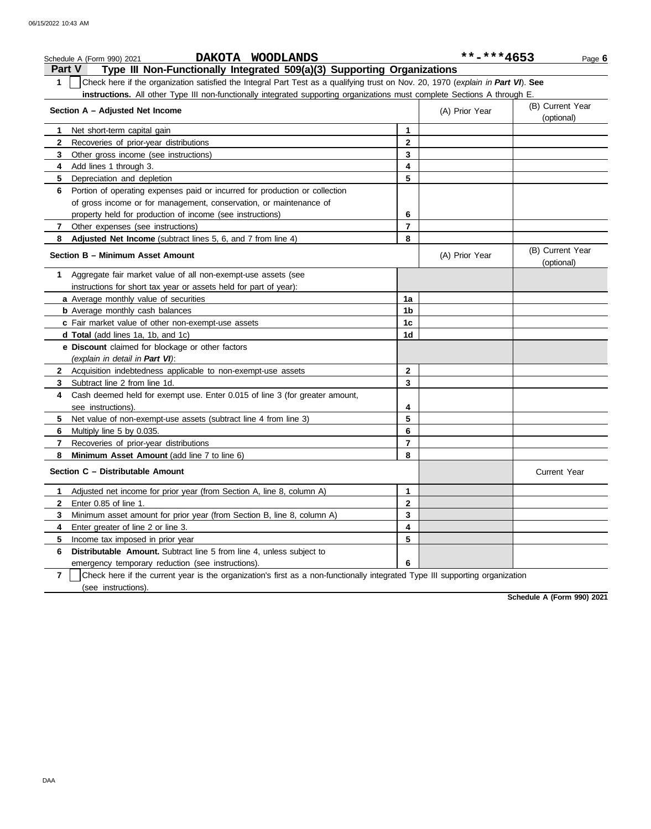|              | DAKOTA WOODLANDS<br>Schedule A (Form 990) 2021                                                                                   |                | **-***4653     | Page 6                         |
|--------------|----------------------------------------------------------------------------------------------------------------------------------|----------------|----------------|--------------------------------|
|              | Type III Non-Functionally Integrated 509(a)(3) Supporting Organizations<br>Part V                                                |                |                |                                |
| 1            | Check here if the organization satisfied the Integral Part Test as a qualifying trust on Nov. 20, 1970 (explain in Part VI). See |                |                |                                |
|              | instructions. All other Type III non-functionally integrated supporting organizations must complete Sections A through E.        |                |                |                                |
|              | Section A - Adjusted Net Income                                                                                                  |                | (A) Prior Year | (B) Current Year<br>(optional) |
| 1            | Net short-term capital gain                                                                                                      | 1              |                |                                |
| $\mathbf{2}$ | Recoveries of prior-year distributions                                                                                           | $\overline{2}$ |                |                                |
| 3            | Other gross income (see instructions)                                                                                            | 3              |                |                                |
| 4            | Add lines 1 through 3.                                                                                                           | 4              |                |                                |
| 5            | Depreciation and depletion                                                                                                       | 5              |                |                                |
| 6            | Portion of operating expenses paid or incurred for production or collection                                                      |                |                |                                |
|              | of gross income or for management, conservation, or maintenance of                                                               |                |                |                                |
|              | property held for production of income (see instructions)                                                                        | 6              |                |                                |
| 7            | Other expenses (see instructions)                                                                                                | $\overline{7}$ |                |                                |
| 8            | Adjusted Net Income (subtract lines 5, 6, and 7 from line 4)                                                                     | 8              |                |                                |
|              | Section B - Minimum Asset Amount                                                                                                 |                | (A) Prior Year | (B) Current Year<br>(optional) |
| 1            | Aggregate fair market value of all non-exempt-use assets (see                                                                    |                |                |                                |
|              | instructions for short tax year or assets held for part of year):                                                                |                |                |                                |
|              | a Average monthly value of securities                                                                                            | 1a             |                |                                |
|              | <b>b</b> Average monthly cash balances                                                                                           | 1b             |                |                                |
|              | c Fair market value of other non-exempt-use assets                                                                               | 1 <sub>c</sub> |                |                                |
|              | d Total (add lines 1a, 1b, and 1c)                                                                                               | 1 <sub>d</sub> |                |                                |
|              | e Discount claimed for blockage or other factors                                                                                 |                |                |                                |
|              | (explain in detail in Part VI):                                                                                                  |                |                |                                |
|              | 2 Acquisition indebtedness applicable to non-exempt-use assets                                                                   | $\mathbf{2}$   |                |                                |
| 3.           | Subtract line 2 from line 1d.                                                                                                    | 3              |                |                                |
| 4            | Cash deemed held for exempt use. Enter 0.015 of line 3 (for greater amount,                                                      |                |                |                                |
|              | see instructions).                                                                                                               | 4              |                |                                |
| 5.           | Net value of non-exempt-use assets (subtract line 4 from line 3)                                                                 | 5              |                |                                |
| 6            | Multiply line 5 by 0.035.                                                                                                        | 6              |                |                                |
| 7            | Recoveries of prior-year distributions                                                                                           | $\overline{7}$ |                |                                |
| 8            | Minimum Asset Amount (add line 7 to line 6)                                                                                      | 8              |                |                                |
|              | Section C - Distributable Amount                                                                                                 |                |                | <b>Current Year</b>            |
|              | Adjusted net income for prior year (from Section A, line 8, column A)                                                            | 1              |                |                                |
| 2            | Enter 0.85 of line 1.                                                                                                            | $\mathbf 2$    |                |                                |
| 3            | Minimum asset amount for prior year (from Section B, line 8, column A)                                                           | 3              |                |                                |
| 4            | Enter greater of line 2 or line 3.                                                                                               | 4              |                |                                |
| 5            | Income tax imposed in prior year                                                                                                 | 5              |                |                                |
| 6            | Distributable Amount. Subtract line 5 from line 4, unless subject to                                                             |                |                |                                |
|              | emergency temporary reduction (see instructions).                                                                                | 6              |                |                                |
| 7            | Check here if the current year is the organization's first as a non-functionally integrated Type III supporting organization     |                |                |                                |
|              | (see instructions).                                                                                                              |                |                |                                |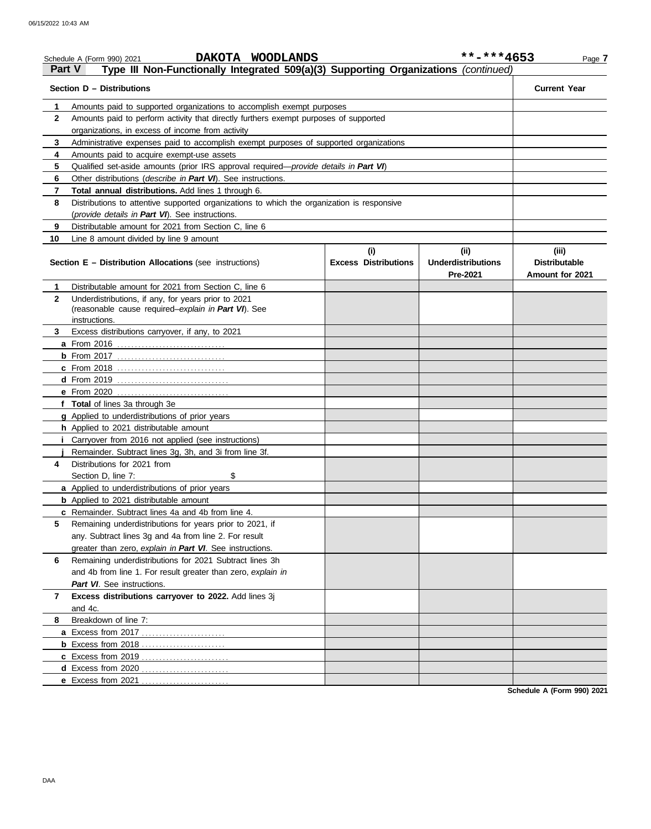|              | DAKOTA WOODLANDS<br>Schedule A (Form 990) 2021<br>Part V<br>Type III Non-Functionally Integrated 509(a)(3) Supporting Organizations (continued) |                                    | **-***4653                                    | Page 7                                           |
|--------------|-------------------------------------------------------------------------------------------------------------------------------------------------|------------------------------------|-----------------------------------------------|--------------------------------------------------|
|              | Section D - Distributions                                                                                                                       |                                    |                                               | <b>Current Year</b>                              |
| 1            | Amounts paid to supported organizations to accomplish exempt purposes                                                                           |                                    |                                               |                                                  |
| $\mathbf{2}$ | Amounts paid to perform activity that directly furthers exempt purposes of supported                                                            |                                    |                                               |                                                  |
|              | organizations, in excess of income from activity                                                                                                |                                    |                                               |                                                  |
| 3            | Administrative expenses paid to accomplish exempt purposes of supported organizations                                                           |                                    |                                               |                                                  |
| 4            | Amounts paid to acquire exempt-use assets                                                                                                       |                                    |                                               |                                                  |
| 5            | Qualified set-aside amounts (prior IRS approval required-provide details in Part VI)                                                            |                                    |                                               |                                                  |
| 6            | Other distributions (describe in Part VI). See instructions.                                                                                    |                                    |                                               |                                                  |
| 7            | Total annual distributions. Add lines 1 through 6.                                                                                              |                                    |                                               |                                                  |
| 8            | Distributions to attentive supported organizations to which the organization is responsive                                                      |                                    |                                               |                                                  |
|              | (provide details in Part VI). See instructions.                                                                                                 |                                    |                                               |                                                  |
| 9            | Distributable amount for 2021 from Section C, line 6                                                                                            |                                    |                                               |                                                  |
| 10           | Line 8 amount divided by line 9 amount                                                                                                          |                                    |                                               |                                                  |
|              | <b>Section E - Distribution Allocations (see instructions)</b>                                                                                  | (i)<br><b>Excess Distributions</b> | (ii)<br><b>Underdistributions</b><br>Pre-2021 | (iii)<br><b>Distributable</b><br>Amount for 2021 |
| 1            | Distributable amount for 2021 from Section C, line 6                                                                                            |                                    |                                               |                                                  |
| $\mathbf{2}$ | Underdistributions, if any, for years prior to 2021<br>(reasonable cause required-explain in Part VI). See<br>instructions.                     |                                    |                                               |                                                  |
| 3            | Excess distributions carryover, if any, to 2021                                                                                                 |                                    |                                               |                                                  |
|              |                                                                                                                                                 |                                    |                                               |                                                  |
|              |                                                                                                                                                 |                                    |                                               |                                                  |
|              | <b>c</b> From 2018                                                                                                                              |                                    |                                               |                                                  |
|              |                                                                                                                                                 |                                    |                                               |                                                  |
|              |                                                                                                                                                 |                                    |                                               |                                                  |
|              | f Total of lines 3a through 3e                                                                                                                  |                                    |                                               |                                                  |
|              | g Applied to underdistributions of prior years                                                                                                  |                                    |                                               |                                                  |
|              | h Applied to 2021 distributable amount                                                                                                          |                                    |                                               |                                                  |
|              | <i>i</i> Carryover from 2016 not applied (see instructions)                                                                                     |                                    |                                               |                                                  |
|              | Remainder. Subtract lines 3g, 3h, and 3i from line 3f.                                                                                          |                                    |                                               |                                                  |
| 4            | Distributions for 2021 from                                                                                                                     |                                    |                                               |                                                  |
|              | \$<br>Section D, line 7:                                                                                                                        |                                    |                                               |                                                  |
|              | a Applied to underdistributions of prior years                                                                                                  |                                    |                                               |                                                  |
|              | <b>b</b> Applied to 2021 distributable amount                                                                                                   |                                    |                                               |                                                  |
|              | <b>c</b> Remainder. Subtract lines 4a and 4b from line 4.                                                                                       |                                    |                                               |                                                  |
| 5            | Remaining underdistributions for years prior to 2021, if                                                                                        |                                    |                                               |                                                  |
|              | any. Subtract lines 3g and 4a from line 2. For result                                                                                           |                                    |                                               |                                                  |
|              | greater than zero, explain in Part VI. See instructions.                                                                                        |                                    |                                               |                                                  |
| 6            | Remaining underdistributions for 2021 Subtract lines 3h                                                                                         |                                    |                                               |                                                  |
|              | and 4b from line 1. For result greater than zero, explain in                                                                                    |                                    |                                               |                                                  |
|              | Part VI. See instructions.                                                                                                                      |                                    |                                               |                                                  |
| 7            | Excess distributions carryover to 2022. Add lines 3j<br>and 4c.                                                                                 |                                    |                                               |                                                  |
| 8            | Breakdown of line 7:                                                                                                                            |                                    |                                               |                                                  |
|              |                                                                                                                                                 |                                    |                                               |                                                  |
|              | <b>b</b> Excess from 2018                                                                                                                       |                                    |                                               |                                                  |
|              | c Excess from 2019                                                                                                                              |                                    |                                               |                                                  |
|              | d Excess from 2020<br>.                                                                                                                         |                                    |                                               |                                                  |
|              | e Excess from 2021                                                                                                                              |                                    |                                               |                                                  |
|              |                                                                                                                                                 |                                    |                                               |                                                  |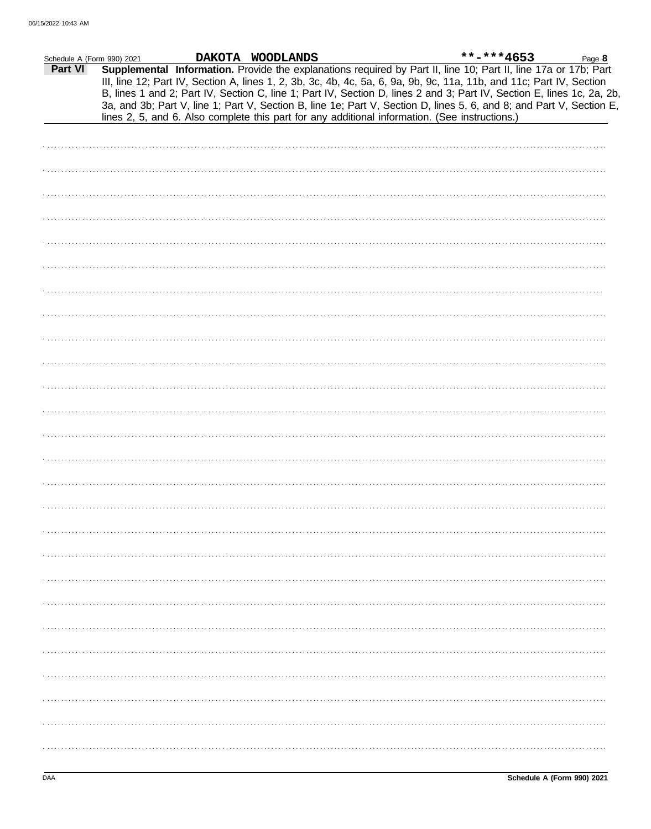| Schedule A (Form 990) 2021 |  | DAKOTA WOODLANDS |                                                                                                                                                                                                                                                                                                                                                                                                                                                                                                                                                                                             | **-***4653 | Page 8 |
|----------------------------|--|------------------|---------------------------------------------------------------------------------------------------------------------------------------------------------------------------------------------------------------------------------------------------------------------------------------------------------------------------------------------------------------------------------------------------------------------------------------------------------------------------------------------------------------------------------------------------------------------------------------------|------------|--------|
| Part VI                    |  |                  | Supplemental Information. Provide the explanations required by Part II, line 10; Part II, line 17a or 17b; Part<br>III, line 12; Part IV, Section A, lines 1, 2, 3b, 3c, 4b, 4c, 5a, 6, 9a, 9b, 9c, 11a, 11b, and 11c; Part IV, Section<br>B, lines 1 and 2; Part IV, Section C, line 1; Part IV, Section D, lines 2 and 3; Part IV, Section E, lines 1c, 2a, 2b,<br>3a, and 3b; Part V, line 1; Part V, Section B, line 1e; Part V, Section D, lines 5, 6, and 8; and Part V, Section E,<br>lines 2, 5, and 6. Also complete this part for any additional information. (See instructions.) |            |        |
|                            |  |                  |                                                                                                                                                                                                                                                                                                                                                                                                                                                                                                                                                                                             |            |        |
|                            |  |                  |                                                                                                                                                                                                                                                                                                                                                                                                                                                                                                                                                                                             |            |        |
|                            |  |                  |                                                                                                                                                                                                                                                                                                                                                                                                                                                                                                                                                                                             |            |        |
|                            |  |                  |                                                                                                                                                                                                                                                                                                                                                                                                                                                                                                                                                                                             |            |        |
|                            |  |                  |                                                                                                                                                                                                                                                                                                                                                                                                                                                                                                                                                                                             |            |        |
|                            |  |                  |                                                                                                                                                                                                                                                                                                                                                                                                                                                                                                                                                                                             |            |        |
|                            |  |                  |                                                                                                                                                                                                                                                                                                                                                                                                                                                                                                                                                                                             |            |        |
|                            |  |                  |                                                                                                                                                                                                                                                                                                                                                                                                                                                                                                                                                                                             |            |        |
|                            |  |                  |                                                                                                                                                                                                                                                                                                                                                                                                                                                                                                                                                                                             |            |        |
|                            |  |                  |                                                                                                                                                                                                                                                                                                                                                                                                                                                                                                                                                                                             |            |        |
|                            |  |                  |                                                                                                                                                                                                                                                                                                                                                                                                                                                                                                                                                                                             |            |        |
|                            |  |                  |                                                                                                                                                                                                                                                                                                                                                                                                                                                                                                                                                                                             |            |        |
|                            |  |                  |                                                                                                                                                                                                                                                                                                                                                                                                                                                                                                                                                                                             |            |        |
|                            |  |                  |                                                                                                                                                                                                                                                                                                                                                                                                                                                                                                                                                                                             |            |        |
|                            |  |                  |                                                                                                                                                                                                                                                                                                                                                                                                                                                                                                                                                                                             |            |        |
|                            |  |                  |                                                                                                                                                                                                                                                                                                                                                                                                                                                                                                                                                                                             |            |        |
|                            |  |                  |                                                                                                                                                                                                                                                                                                                                                                                                                                                                                                                                                                                             |            |        |
|                            |  |                  |                                                                                                                                                                                                                                                                                                                                                                                                                                                                                                                                                                                             |            |        |
|                            |  |                  |                                                                                                                                                                                                                                                                                                                                                                                                                                                                                                                                                                                             |            |        |
|                            |  |                  |                                                                                                                                                                                                                                                                                                                                                                                                                                                                                                                                                                                             |            |        |
|                            |  |                  |                                                                                                                                                                                                                                                                                                                                                                                                                                                                                                                                                                                             |            |        |
|                            |  |                  |                                                                                                                                                                                                                                                                                                                                                                                                                                                                                                                                                                                             |            |        |
|                            |  |                  |                                                                                                                                                                                                                                                                                                                                                                                                                                                                                                                                                                                             |            |        |
|                            |  |                  |                                                                                                                                                                                                                                                                                                                                                                                                                                                                                                                                                                                             |            |        |
|                            |  |                  |                                                                                                                                                                                                                                                                                                                                                                                                                                                                                                                                                                                             |            |        |
|                            |  |                  |                                                                                                                                                                                                                                                                                                                                                                                                                                                                                                                                                                                             |            |        |
|                            |  |                  |                                                                                                                                                                                                                                                                                                                                                                                                                                                                                                                                                                                             |            |        |
|                            |  |                  |                                                                                                                                                                                                                                                                                                                                                                                                                                                                                                                                                                                             |            |        |
|                            |  |                  |                                                                                                                                                                                                                                                                                                                                                                                                                                                                                                                                                                                             |            |        |
|                            |  |                  |                                                                                                                                                                                                                                                                                                                                                                                                                                                                                                                                                                                             |            |        |
|                            |  |                  |                                                                                                                                                                                                                                                                                                                                                                                                                                                                                                                                                                                             |            |        |
|                            |  |                  |                                                                                                                                                                                                                                                                                                                                                                                                                                                                                                                                                                                             |            |        |
|                            |  |                  |                                                                                                                                                                                                                                                                                                                                                                                                                                                                                                                                                                                             |            |        |
|                            |  |                  |                                                                                                                                                                                                                                                                                                                                                                                                                                                                                                                                                                                             |            |        |
|                            |  |                  |                                                                                                                                                                                                                                                                                                                                                                                                                                                                                                                                                                                             |            |        |
|                            |  |                  |                                                                                                                                                                                                                                                                                                                                                                                                                                                                                                                                                                                             |            |        |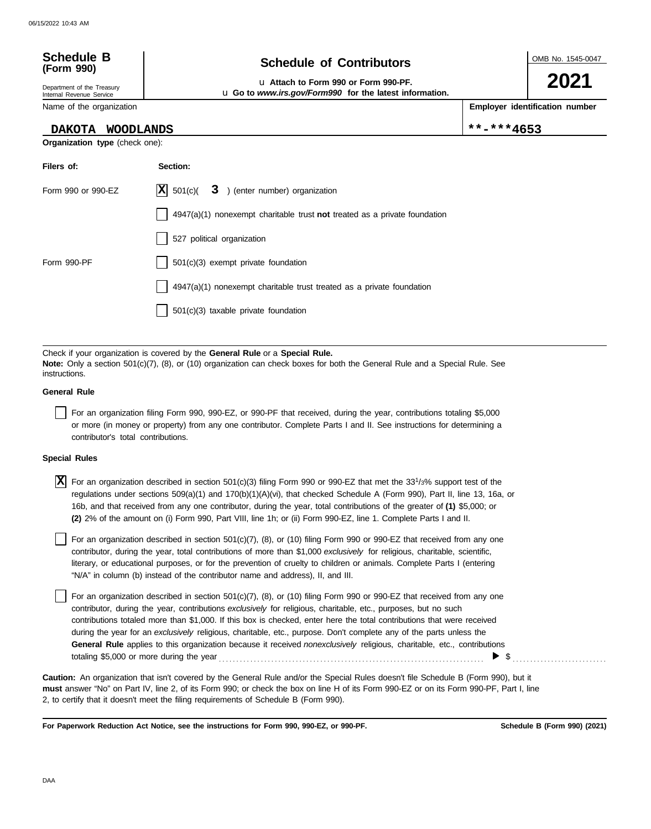| <b>Schedule B</b>                                                    | <b>Schedule of Contributors</b>                                                                                                                                                                             |            | OMB No. 1545-0047              |
|----------------------------------------------------------------------|-------------------------------------------------------------------------------------------------------------------------------------------------------------------------------------------------------------|------------|--------------------------------|
| (Form 990)<br>Department of the Treasury<br>Internal Revenue Service | u Attach to Form 990 or Form 990-PF.<br>u Go to www.irs.gov/Form990 for the latest information.                                                                                                             |            | 2021                           |
| Name of the organization                                             |                                                                                                                                                                                                             |            | Employer identification number |
| DAKOTA WOODLANDS                                                     |                                                                                                                                                                                                             | **-***4653 |                                |
| Organization type (check one):                                       |                                                                                                                                                                                                             |            |                                |
| Filers of:                                                           | Section:                                                                                                                                                                                                    |            |                                |
| Form 990 or 990-EZ                                                   | $ \mathbf{X} $ 501(c)(<br>3 ) (enter number) organization                                                                                                                                                   |            |                                |
|                                                                      | $4947(a)(1)$ nonexempt charitable trust not treated as a private foundation                                                                                                                                 |            |                                |
|                                                                      | 527 political organization                                                                                                                                                                                  |            |                                |
| Form 990-PF                                                          | 501(c)(3) exempt private foundation                                                                                                                                                                         |            |                                |
|                                                                      | 4947(a)(1) nonexempt charitable trust treated as a private foundation                                                                                                                                       |            |                                |
|                                                                      | 501(c)(3) taxable private foundation                                                                                                                                                                        |            |                                |
|                                                                      |                                                                                                                                                                                                             |            |                                |
| instructions.                                                        | Check if your organization is covered by the General Rule or a Special Rule.<br>Note: Only a section 501(c)(7), (8), or (10) organization can check boxes for both the General Rule and a Special Rule. See |            |                                |
| <b>General Rule</b>                                                  |                                                                                                                                                                                                             |            |                                |
| –                                                                    |                                                                                                                                                                                                             |            |                                |

For an organization filing Form 990, 990-EZ, or 990-PF that received, during the year, contributions totaling \$5,000 or more (in money or property) from any one contributor. Complete Parts I and II. See instructions for determining a contributor's total contributions.

#### **Special Rules**

 $\overline{X}$  For an organization described in section 501(c)(3) filing Form 990 or 990-EZ that met the 33<sup>1</sup>/3% support test of the regulations under sections 509(a)(1) and 170(b)(1)(A)(vi), that checked Schedule A (Form 990), Part II, line 13, 16a, or 16b, and that received from any one contributor, during the year, total contributions of the greater of **(1)** \$5,000; or **(2)** 2% of the amount on (i) Form 990, Part VIII, line 1h; or (ii) Form 990-EZ, line 1. Complete Parts I and II.

literary, or educational purposes, or for the prevention of cruelty to children or animals. Complete Parts I (entering For an organization described in section  $501(c)(7)$ ,  $(8)$ , or  $(10)$  filing Form 990 or 990-EZ that received from any one contributor, during the year, total contributions of more than \$1,000 *exclusively* for religious, charitable, scientific, "N/A" in column (b) instead of the contributor name and address), II, and III.

For an organization described in section 501(c)(7), (8), or (10) filing Form 990 or 990-EZ that received from any one contributor, during the year, contributions *exclusively* for religious, charitable, etc., purposes, but no such contributions totaled more than \$1,000. If this box is checked, enter here the total contributions that were received during the year for an *exclusively* religious, charitable, etc., purpose. Don't complete any of the parts unless the **General Rule** applies to this organization because it received *nonexclusively* religious, charitable, etc., contributions totaling \$5,000 or more during the year . . . . . . . . . . . . . . . . . . . . . . . . . . . . . . . . . . . . . . . . . . . . . . . . . . . . . . . . . . . . . . . . . . . . . . . . . . . .  $\triangleright$  \$

**must** answer "No" on Part IV, line 2, of its Form 990; or check the box on line H of its Form 990-EZ or on its Form 990-PF, Part I, line 2, to certify that it doesn't meet the filing requirements of Schedule B (Form 990). **Caution:** An organization that isn't covered by the General Rule and/or the Special Rules doesn't file Schedule B (Form 990), but it

**For Paperwork Reduction Act Notice, see the instructions for Form 990, 990-EZ, or 990-PF.**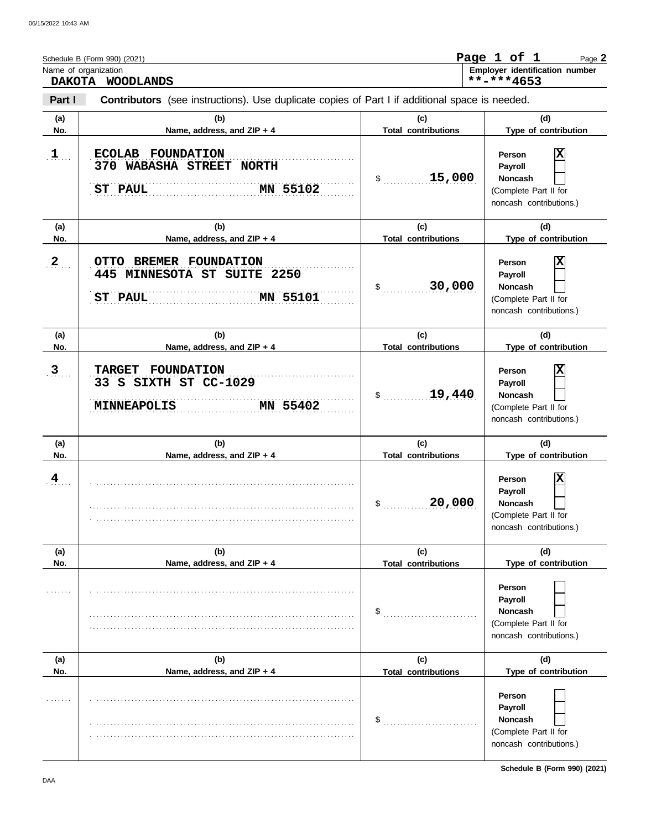|               | Name of organization<br>DAKOTA WOODLANDS                                                              |                                   | Employer identification number<br>**-***4653                                                                       |
|---------------|-------------------------------------------------------------------------------------------------------|-----------------------------------|--------------------------------------------------------------------------------------------------------------------|
| Part I        | <b>Contributors</b> (see instructions). Use duplicate copies of Part I if additional space is needed. |                                   |                                                                                                                    |
| (a)<br>No.    | (b)<br>Name, address, and ZIP + 4                                                                     | (c)<br><b>Total contributions</b> | (d)<br>Type of contribution                                                                                        |
| $\mathbf{1}$  | ECOLAB FOUNDATION<br>370 WABASHA STREET NORTH<br>MN 55102<br><b>ST PAUL</b>                           | 15,000<br>$\$\ldots$              | X<br>Person<br>Payroll<br>Noncash<br>(Complete Part II for<br>noncash contributions.)                              |
| (a)<br>No.    | (b)<br>Name, address, and ZIP + 4                                                                     | (c)<br><b>Total contributions</b> | (d)<br>Type of contribution                                                                                        |
| 2             | OTTO BREMER FOUNDATION<br>445 MINNESOTA ST SUITE 2250<br>MN 55101<br>ST PAUL                          | 30,000<br>$\mathsf{\$}$           | X<br>Person<br>Payroll<br><b>Noncash</b><br>(Complete Part II for<br>noncash contributions.)                       |
| (a)           | (b)                                                                                                   | (c)                               | (d)                                                                                                                |
| No.           | Name, address, and ZIP + 4                                                                            | <b>Total contributions</b>        | Type of contribution                                                                                               |
| 3             | <b>TARGET</b><br><b>FOUNDATION</b><br>33 S SIXTH ST CC-1029<br><b>MINNEAPOLIS</b><br>MN 55402         | 19,440<br>$\$\ldots$              | $\overline{\mathbf{x}}$<br>Person<br>Payroll<br><b>Noncash</b><br>(Complete Part II for<br>noncash contributions.) |
| (a)<br>No.    | (b)<br>Name, address, and ZIP + 4                                                                     | (c)<br><b>Total contributions</b> | (d)<br>Type of contribution                                                                                        |
| $\frac{4}{1}$ |                                                                                                       | 20,000<br>\$                      | X<br>Person<br><b>Payroll</b><br>Noncash<br>(Complete Part II for<br>noncash contributions.)                       |
| (a)<br>No.    | (b)<br>Name, address, and ZIP + 4                                                                     | (c)<br><b>Total contributions</b> | (d)<br>Type of contribution                                                                                        |
|               |                                                                                                       | \$                                | Person<br>Payroll<br><b>Noncash</b><br>(Complete Part II for<br>noncash contributions.)                            |
| (a)           | (b)                                                                                                   | (c)                               | (d)                                                                                                                |
| No.           | Name, address, and ZIP + 4                                                                            | <b>Total contributions</b>        | Type of contribution                                                                                               |
|               |                                                                                                       | \$                                | Person<br><b>Payroll</b><br><b>Noncash</b><br>(Complete Part II for<br>noncash contributions.)                     |

**Schedule B (Form 990) (2021)**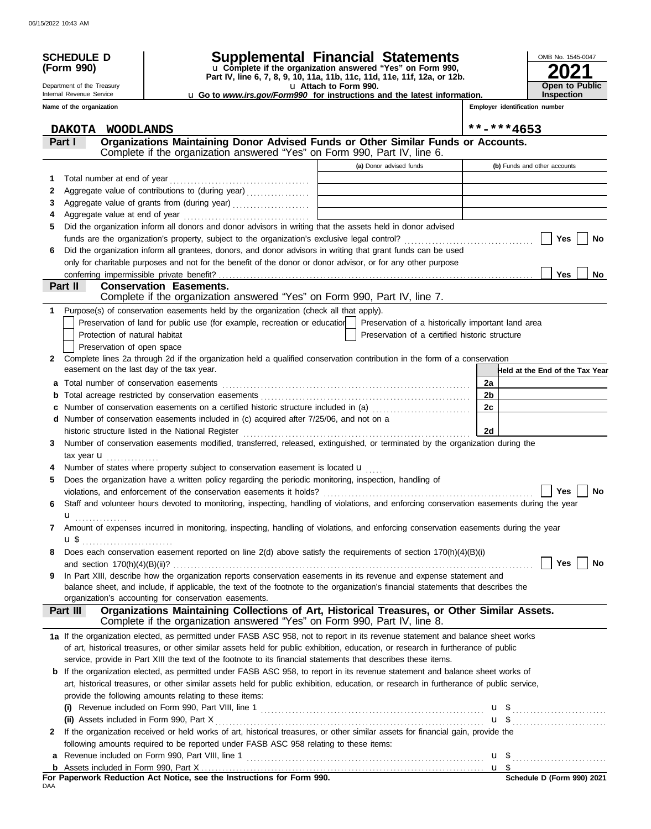|        | <b>SCHEDULE D</b><br>(Form 990)<br>Department of the Treasury |                                                                                                                                                                           | Supplemental Financial Statements<br>u Complete if the organization answered "Yes" on Form 990,<br>Part IV, line 6, 7, 8, 9, 10, 11a, 11b, 11c, 11d, 11e, 11f, 12a, or 12b.<br>u Attach to Form 990. | OMB No. 1545-0047<br><b>Open to Public</b> |
|--------|---------------------------------------------------------------|---------------------------------------------------------------------------------------------------------------------------------------------------------------------------|------------------------------------------------------------------------------------------------------------------------------------------------------------------------------------------------------|--------------------------------------------|
|        | Internal Revenue Service                                      | <b>Inspection</b><br><b>u</b> Go to <i>www.irs.gov/Form990</i> for instructions and the latest information.<br>Employer identification number                             |                                                                                                                                                                                                      |                                            |
|        | Name of the organization                                      |                                                                                                                                                                           |                                                                                                                                                                                                      |                                            |
|        | <b>DAKOTA</b><br><b>WOODLANDS</b>                             |                                                                                                                                                                           |                                                                                                                                                                                                      | **-***4653                                 |
|        | Part I                                                        | Organizations Maintaining Donor Advised Funds or Other Similar Funds or Accounts.                                                                                         |                                                                                                                                                                                                      |                                            |
|        |                                                               | Complete if the organization answered "Yes" on Form 990, Part IV, line 6.                                                                                                 |                                                                                                                                                                                                      |                                            |
|        |                                                               |                                                                                                                                                                           | (a) Donor advised funds                                                                                                                                                                              | (b) Funds and other accounts               |
| 1      |                                                               |                                                                                                                                                                           |                                                                                                                                                                                                      |                                            |
| 2<br>3 |                                                               | Aggregate value of contributions to (during year)                                                                                                                         | the control of the control of the control of the control of the control of                                                                                                                           |                                            |
| 4      |                                                               | Aggregate value of grants from (during year)                                                                                                                              | the control of the control of the control of the control of the control of                                                                                                                           |                                            |
| 5      |                                                               | Did the organization inform all donors and donor advisors in writing that the assets held in donor advised                                                                |                                                                                                                                                                                                      |                                            |
|        |                                                               |                                                                                                                                                                           |                                                                                                                                                                                                      | <b>Yes</b><br>No                           |
| 6      |                                                               | Did the organization inform all grantees, donors, and donor advisors in writing that grant funds can be used                                                              |                                                                                                                                                                                                      |                                            |
|        |                                                               | only for charitable purposes and not for the benefit of the donor or donor advisor, or for any other purpose                                                              |                                                                                                                                                                                                      |                                            |
|        | conferring impermissible private benefit?                     |                                                                                                                                                                           |                                                                                                                                                                                                      | <b>Yes</b><br>No                           |
|        | Part II                                                       | <b>Conservation Easements.</b>                                                                                                                                            |                                                                                                                                                                                                      |                                            |
|        |                                                               | Complete if the organization answered "Yes" on Form 990, Part IV, line 7.                                                                                                 |                                                                                                                                                                                                      |                                            |
| 1      |                                                               | Purpose(s) of conservation easements held by the organization (check all that apply).                                                                                     |                                                                                                                                                                                                      |                                            |
|        |                                                               | Preservation of land for public use (for example, recreation or education                                                                                                 | Preservation of a historically important land area                                                                                                                                                   |                                            |
|        | Protection of natural habitat                                 |                                                                                                                                                                           | Preservation of a certified historic structure                                                                                                                                                       |                                            |
| 2      | Preservation of open space                                    | Complete lines 2a through 2d if the organization held a qualified conservation contribution in the form of a conservation                                                 |                                                                                                                                                                                                      |                                            |
|        | easement on the last day of the tax year.                     |                                                                                                                                                                           |                                                                                                                                                                                                      | Held at the End of the Tax Year            |
| a      |                                                               |                                                                                                                                                                           |                                                                                                                                                                                                      | 2a                                         |
|        |                                                               |                                                                                                                                                                           |                                                                                                                                                                                                      | 2 <sub>b</sub>                             |
|        |                                                               | Number of conservation easements on a certified historic structure included in (a) [[[[[[[[[[[[[[[[[[[[[[[[[]]]]]]]                                                       |                                                                                                                                                                                                      | 2c                                         |
|        |                                                               | d Number of conservation easements included in (c) acquired after 7/25/06, and not on a                                                                                   |                                                                                                                                                                                                      |                                            |
|        |                                                               |                                                                                                                                                                           |                                                                                                                                                                                                      | 2d                                         |
| 3      |                                                               | Number of conservation easements modified, transferred, released, extinguished, or terminated by the organization during the                                              |                                                                                                                                                                                                      |                                            |
|        | tax year <b>u</b>                                             |                                                                                                                                                                           |                                                                                                                                                                                                      |                                            |
|        |                                                               | Number of states where property subject to conservation easement is located u                                                                                             |                                                                                                                                                                                                      |                                            |
| 5      |                                                               | Does the organization have a written policy regarding the periodic monitoring, inspection, handling of                                                                    |                                                                                                                                                                                                      |                                            |
|        |                                                               |                                                                                                                                                                           |                                                                                                                                                                                                      |                                            |
| 6      |                                                               | Staff and volunteer hours devoted to monitoring, inspecting, handling of violations, and enforcing conservation easements during the year                                 |                                                                                                                                                                                                      |                                            |
|        | u                                                             |                                                                                                                                                                           |                                                                                                                                                                                                      |                                            |
| 7      |                                                               | Amount of expenses incurred in monitoring, inspecting, handling of violations, and enforcing conservation easements during the year                                       |                                                                                                                                                                                                      |                                            |
|        | $\mathbf{u} \, \mathbf{\$}$                                   |                                                                                                                                                                           |                                                                                                                                                                                                      |                                            |
| 8      |                                                               | Does each conservation easement reported on line $2(d)$ above satisfy the requirements of section $170(h)(4)(B)(i)$                                                       |                                                                                                                                                                                                      | Yes $ $<br>No                              |
| 9      |                                                               | In Part XIII, describe how the organization reports conservation easements in its revenue and expense statement and                                                       |                                                                                                                                                                                                      |                                            |
|        |                                                               | balance sheet, and include, if applicable, the text of the footnote to the organization's financial statements that describes the                                         |                                                                                                                                                                                                      |                                            |
|        |                                                               | organization's accounting for conservation easements.                                                                                                                     |                                                                                                                                                                                                      |                                            |
|        | Part III                                                      | Organizations Maintaining Collections of Art, Historical Treasures, or Other Similar Assets.<br>Complete if the organization answered "Yes" on Form 990, Part IV, line 8. |                                                                                                                                                                                                      |                                            |
|        |                                                               | 1a If the organization elected, as permitted under FASB ASC 958, not to report in its revenue statement and balance sheet works                                           |                                                                                                                                                                                                      |                                            |
|        |                                                               | of art, historical treasures, or other similar assets held for public exhibition, education, or research in furtherance of public                                         |                                                                                                                                                                                                      |                                            |
|        |                                                               | service, provide in Part XIII the text of the footnote to its financial statements that describes these items.                                                            |                                                                                                                                                                                                      |                                            |
|        |                                                               | <b>b</b> If the organization elected, as permitted under FASB ASC 958, to report in its revenue statement and balance sheet works of                                      |                                                                                                                                                                                                      |                                            |
|        |                                                               | art, historical treasures, or other similar assets held for public exhibition, education, or research in furtherance of public service,                                   |                                                                                                                                                                                                      |                                            |
|        |                                                               | provide the following amounts relating to these items:                                                                                                                    |                                                                                                                                                                                                      |                                            |
|        |                                                               |                                                                                                                                                                           |                                                                                                                                                                                                      |                                            |
|        | (ii) Assets included in Form 990, Part X                      |                                                                                                                                                                           |                                                                                                                                                                                                      |                                            |
| 2      |                                                               | If the organization received or held works of art, historical treasures, or other similar assets for financial gain, provide the                                          |                                                                                                                                                                                                      |                                            |
|        |                                                               | following amounts required to be reported under FASB ASC 958 relating to these items:                                                                                     |                                                                                                                                                                                                      |                                            |
|        |                                                               | a Revenue included on Form 990, Part VIII, line 1                                                                                                                         |                                                                                                                                                                                                      |                                            |
|        |                                                               |                                                                                                                                                                           |                                                                                                                                                                                                      |                                            |

**For Paperwork Reduction Act Notice, see the Instructions for Form 990.**<br><sub>DAA</sub>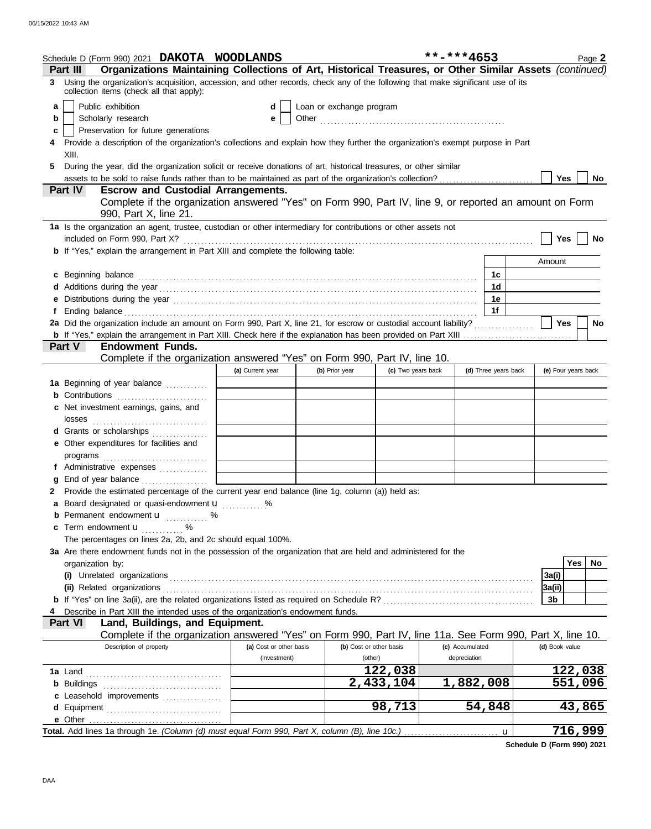| Schedule D (Form 990) 2021 DAKOTA WOODLANDS                                                                                                                                                                                    |                         |                          |                         | **-***4653           | Page 2              |
|--------------------------------------------------------------------------------------------------------------------------------------------------------------------------------------------------------------------------------|-------------------------|--------------------------|-------------------------|----------------------|---------------------|
| Organizations Maintaining Collections of Art, Historical Treasures, or Other Similar Assets (continued)<br>Part III                                                                                                            |                         |                          |                         |                      |                     |
| 3 Using the organization's acquisition, accession, and other records, check any of the following that make significant use of its<br>collection items (check all that apply):                                                  |                         |                          |                         |                      |                     |
| Public exhibition<br>a                                                                                                                                                                                                         | d                       | Loan or exchange program |                         |                      |                     |
| Scholarly research<br>b                                                                                                                                                                                                        | е                       |                          |                         |                      |                     |
| Preservation for future generations<br>c                                                                                                                                                                                       |                         |                          |                         |                      |                     |
| Provide a description of the organization's collections and explain how they further the organization's exempt purpose in Part                                                                                                 |                         |                          |                         |                      |                     |
| XIII.                                                                                                                                                                                                                          |                         |                          |                         |                      |                     |
| During the year, did the organization solicit or receive donations of art, historical treasures, or other similar<br>5.                                                                                                        |                         |                          |                         |                      |                     |
|                                                                                                                                                                                                                                |                         |                          |                         |                      | Yes<br>No           |
| <b>Escrow and Custodial Arrangements.</b><br>Part IV                                                                                                                                                                           |                         |                          |                         |                      |                     |
| Complete if the organization answered "Yes" on Form 990, Part IV, line 9, or reported an amount on Form                                                                                                                        |                         |                          |                         |                      |                     |
| 990, Part X, line 21.                                                                                                                                                                                                          |                         |                          |                         |                      |                     |
| 1a Is the organization an agent, trustee, custodian or other intermediary for contributions or other assets not                                                                                                                |                         |                          |                         |                      |                     |
| included on Form 990, Part X?                                                                                                                                                                                                  |                         |                          |                         |                      | Yes<br>No           |
| <b>b</b> If "Yes," explain the arrangement in Part XIII and complete the following table:                                                                                                                                      |                         |                          |                         |                      |                     |
|                                                                                                                                                                                                                                |                         |                          |                         |                      | Amount              |
| c Beginning balance                                                                                                                                                                                                            |                         |                          |                         | 1c                   |                     |
|                                                                                                                                                                                                                                |                         |                          |                         | 1 <sub>d</sub>       |                     |
| e Distributions during the year manufactured and contact the year manufactured and a property of the state of the state of the state of the state of the state of the state of the state of the state of the state of the stat |                         |                          |                         | 1e                   |                     |
| f                                                                                                                                                                                                                              |                         |                          |                         | 1f                   |                     |
| 2a Did the organization include an amount on Form 990, Part X, line 21, for escrow or custodial account liability?                                                                                                             |                         |                          |                         |                      | Yes<br><b>No</b>    |
|                                                                                                                                                                                                                                |                         |                          |                         |                      |                     |
| <b>Endowment Funds.</b><br><b>Part V</b>                                                                                                                                                                                       |                         |                          |                         |                      |                     |
| Complete if the organization answered "Yes" on Form 990, Part IV, line 10.                                                                                                                                                     |                         |                          |                         |                      |                     |
|                                                                                                                                                                                                                                | (a) Current year        | (b) Prior year           | (c) Two years back      | (d) Three years back | (e) Four years back |
| 1a Beginning of year balance                                                                                                                                                                                                   |                         |                          |                         |                      |                     |
| <b>b</b> Contributions                                                                                                                                                                                                         |                         |                          |                         |                      |                     |
| c Net investment earnings, gains, and                                                                                                                                                                                          |                         |                          |                         |                      |                     |
|                                                                                                                                                                                                                                |                         |                          |                         |                      |                     |
| d Grants or scholarships                                                                                                                                                                                                       |                         |                          |                         |                      |                     |
| e Other expenditures for facilities and                                                                                                                                                                                        |                         |                          |                         |                      |                     |
|                                                                                                                                                                                                                                |                         |                          |                         |                      |                     |
| f Administrative expenses                                                                                                                                                                                                      |                         |                          |                         |                      |                     |
| End of year balance<br>g                                                                                                                                                                                                       |                         |                          |                         |                      |                     |
| 2 Provide the estimated percentage of the current year end balance (line 1g, column (a)) held as:                                                                                                                              |                         |                          |                         |                      |                     |
| a Board designated or quasi-endowment u                                                                                                                                                                                        |                         |                          |                         |                      |                     |
| <b>b</b> Permanent endowment <b>u</b> %                                                                                                                                                                                        |                         |                          |                         |                      |                     |
| c Term endowment <b>u</b> %                                                                                                                                                                                                    |                         |                          |                         |                      |                     |
| The percentages on lines 2a, 2b, and 2c should equal 100%.                                                                                                                                                                     |                         |                          |                         |                      |                     |
| 3a Are there endowment funds not in the possession of the organization that are held and administered for the                                                                                                                  |                         |                          |                         |                      |                     |
| organization by:                                                                                                                                                                                                               |                         |                          |                         |                      | Yes  <br>No         |
|                                                                                                                                                                                                                                |                         |                          |                         |                      | 3a(i)               |
|                                                                                                                                                                                                                                |                         |                          |                         |                      | 3a(ii)              |
|                                                                                                                                                                                                                                |                         |                          |                         |                      | 3b                  |
| 4 Describe in Part XIII the intended uses of the organization's endowment funds.                                                                                                                                               |                         |                          |                         |                      |                     |
| Land, Buildings, and Equipment.<br>Part VI                                                                                                                                                                                     |                         |                          |                         |                      |                     |
| Complete if the organization answered "Yes" on Form 990, Part IV, line 11a. See Form 990, Part X, line 10.                                                                                                                     |                         |                          |                         |                      |                     |
| Description of property                                                                                                                                                                                                        | (a) Cost or other basis |                          | (b) Cost or other basis | (c) Accumulated      | (d) Book value      |
|                                                                                                                                                                                                                                | (investment)            |                          | (other)                 | depreciation         |                     |
|                                                                                                                                                                                                                                |                         |                          | 122,038                 |                      | 122,038             |
|                                                                                                                                                                                                                                |                         |                          | 2,433,104               | 1,882,008            | 551,096             |
| c Leasehold improvements                                                                                                                                                                                                       |                         |                          |                         |                      |                     |
| d Equipment                                                                                                                                                                                                                    |                         |                          | 98,713                  | 54,848               | 43,865              |
| e Other                                                                                                                                                                                                                        |                         |                          |                         |                      |                     |
| Total. Add lines 1a through 1e. (Column (d) must equal Form 990, Part X, column (B), line 10c.)                                                                                                                                |                         |                          |                         |                      | 716,999<br>u        |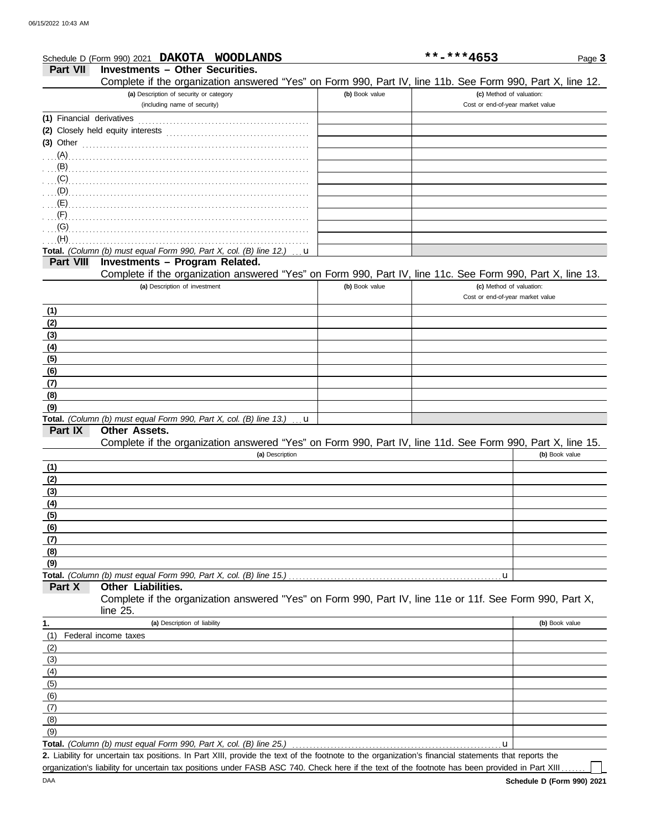|                           | Schedule D (Form 990) 2021 DAKOTA WOODLANDS                                                                |                | **-***4653                                                   | Page 3         |
|---------------------------|------------------------------------------------------------------------------------------------------------|----------------|--------------------------------------------------------------|----------------|
| <b>Part VII</b>           | <b>Investments - Other Securities.</b>                                                                     |                |                                                              |                |
|                           | Complete if the organization answered "Yes" on Form 990, Part IV, line 11b. See Form 990, Part X, line 12. |                |                                                              |                |
|                           | (a) Description of security or category                                                                    | (b) Book value | (c) Method of valuation:                                     |                |
|                           | (including name of security)                                                                               |                | Cost or end-of-year market value                             |                |
| (1) Financial derivatives |                                                                                                            |                |                                                              |                |
|                           |                                                                                                            |                |                                                              |                |
| (3) Other                 |                                                                                                            |                |                                                              |                |
|                           |                                                                                                            |                |                                                              |                |
|                           |                                                                                                            |                |                                                              |                |
|                           |                                                                                                            |                |                                                              |                |
|                           |                                                                                                            |                |                                                              |                |
|                           |                                                                                                            |                |                                                              |                |
| $\overline{F}$            |                                                                                                            |                |                                                              |                |
| (G)                       |                                                                                                            |                |                                                              |                |
| (H)                       |                                                                                                            |                |                                                              |                |
|                           | Total. (Column (b) must equal Form 990, Part X, col. (B) line 12.)<br>u                                    |                |                                                              |                |
| <b>Part VIII</b>          | Investments - Program Related.                                                                             |                |                                                              |                |
|                           | Complete if the organization answered "Yes" on Form 990, Part IV, line 11c. See Form 990, Part X, line 13. |                |                                                              |                |
|                           | (a) Description of investment                                                                              | (b) Book value | (c) Method of valuation:<br>Cost or end-of-year market value |                |
|                           |                                                                                                            |                |                                                              |                |
| (1)                       |                                                                                                            |                |                                                              |                |
| (2)                       |                                                                                                            |                |                                                              |                |
| (3)                       |                                                                                                            |                |                                                              |                |
| (4)                       |                                                                                                            |                |                                                              |                |
| (5)<br>(6)                |                                                                                                            |                |                                                              |                |
| (7)                       |                                                                                                            |                |                                                              |                |
| (8)                       |                                                                                                            |                |                                                              |                |
| (9)                       |                                                                                                            |                |                                                              |                |
|                           | Total. (Column (b) must equal Form 990, Part X, col. (B) line 13.)<br>$\mathbf{u}$                         |                |                                                              |                |
| Part IX                   | Other Assets.                                                                                              |                |                                                              |                |
|                           | Complete if the organization answered "Yes" on Form 990, Part IV, line 11d. See Form 990, Part X, line 15. |                |                                                              |                |
|                           | (a) Description                                                                                            |                |                                                              | (b) Book value |
| (1)                       |                                                                                                            |                |                                                              |                |
| (2)                       |                                                                                                            |                |                                                              |                |
| (3)                       |                                                                                                            |                |                                                              |                |
| (4)                       |                                                                                                            |                |                                                              |                |
| (5)                       |                                                                                                            |                |                                                              |                |
| $\frac{(6)}{(7)}$         |                                                                                                            |                |                                                              |                |
|                           |                                                                                                            |                |                                                              |                |
| (8)                       |                                                                                                            |                |                                                              |                |
| (9)                       |                                                                                                            |                |                                                              |                |
|                           | Total. (Column (b) must equal Form 990, Part X, col. (B) line 15.)                                         |                | u                                                            |                |
| Part X                    | Other Liabilities.                                                                                         |                |                                                              |                |
|                           | Complete if the organization answered "Yes" on Form 990, Part IV, line 11e or 11f. See Form 990, Part X,   |                |                                                              |                |
|                           | line 25.                                                                                                   |                |                                                              |                |
| 1.                        | (a) Description of liability                                                                               |                |                                                              | (b) Book value |
| (1)                       | Federal income taxes                                                                                       |                |                                                              |                |
| (2)                       |                                                                                                            |                |                                                              |                |
| (3)                       |                                                                                                            |                |                                                              |                |
| (4)<br>(5)                |                                                                                                            |                |                                                              |                |
| (6)                       |                                                                                                            |                |                                                              |                |
| (7)                       |                                                                                                            |                |                                                              |                |
| (8)                       |                                                                                                            |                |                                                              |                |
| (9)                       |                                                                                                            |                |                                                              |                |
|                           | Total. (Column (b) must equal Form 990, Part X, col. (B) line 25.)                                         |                | u                                                            |                |
|                           |                                                                                                            |                |                                                              |                |

Liability for uncertain tax positions. In Part XIII, provide the text of the footnote to the organization's financial statements that reports the **2.** organization's liability for uncertain tax positions under FASB ASC 740. Check here if the text of the footnote has been provided in Part XIII ....

 $\,\,\Pi\,$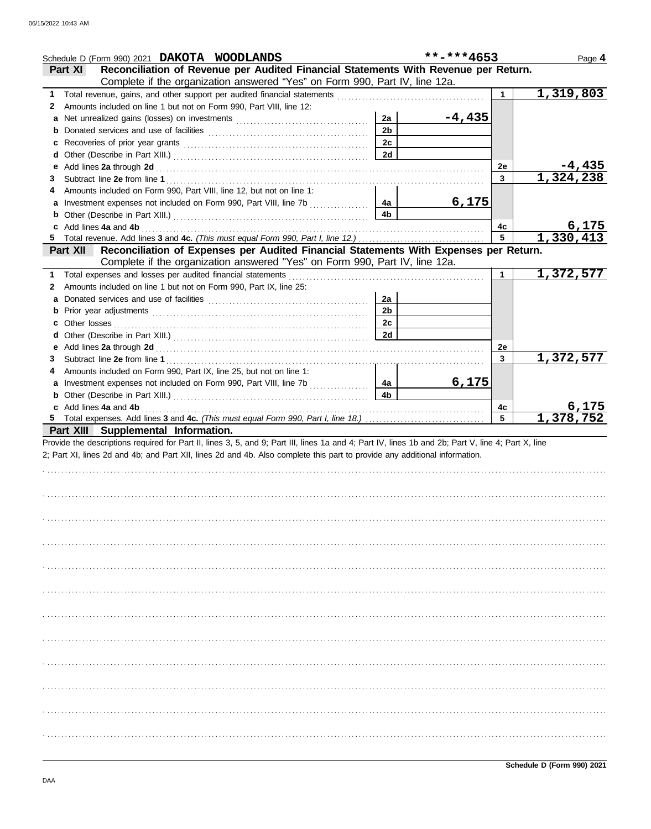|    | Schedule D (Form 990) 2021 DAKOTA WOODLANDS                                                                                                        |                | **-***4653 |              | Page 4                 |
|----|----------------------------------------------------------------------------------------------------------------------------------------------------|----------------|------------|--------------|------------------------|
|    | Reconciliation of Revenue per Audited Financial Statements With Revenue per Return.<br>Part XI                                                     |                |            |              |                        |
|    | Complete if the organization answered "Yes" on Form 990, Part IV, line 12a.                                                                        |                |            |              |                        |
| 1. | Total revenue, gains, and other support per audited financial statements                                                                           |                |            | 1            | 1,319,803              |
| 2  | Amounts included on line 1 but not on Form 990, Part VIII, line 12:                                                                                |                |            |              |                        |
| а  |                                                                                                                                                    | 2a             | $-4,435$   |              |                        |
| b  |                                                                                                                                                    | 2 <sub>b</sub> |            |              |                        |
| с  |                                                                                                                                                    | 2c             |            |              |                        |
| d  |                                                                                                                                                    | 2d             |            |              |                        |
| e  | Add lines 2a through 2d                                                                                                                            |                |            | <b>2e</b>    | $-4,435$               |
| З  |                                                                                                                                                    |                |            | $\mathbf{3}$ | $\overline{1,324,238}$ |
| 4  | Amounts included on Form 990, Part VIII, line 12, but not on line 1:                                                                               |                |            |              |                        |
|    | Investment expenses not included on Form 990, Part VIII, line 7b                                                                                   | 4a             | 6,175      |              |                        |
| b  |                                                                                                                                                    | 4b             |            |              |                        |
| c  | Add lines 4a and 4b                                                                                                                                |                |            | 4c           | 6,175                  |
| 5  |                                                                                                                                                    |                |            | 5            | 1,330,413              |
|    | Reconciliation of Expenses per Audited Financial Statements With Expenses per Return.<br>Part XII                                                  |                |            |              |                        |
|    | Complete if the organization answered "Yes" on Form 990, Part IV, line 12a.                                                                        |                |            |              |                        |
| 1  | Total expenses and losses per audited financial statements                                                                                         |                |            | 1            | 1,372,577              |
| 2  | Amounts included on line 1 but not on Form 990, Part IX, line 25:                                                                                  |                |            |              |                        |
| a  |                                                                                                                                                    | 2a             |            |              |                        |
| b  |                                                                                                                                                    | 2 <sub>b</sub> |            |              |                        |
| с  | Other losses                                                                                                                                       | 2c             |            |              |                        |
| d  |                                                                                                                                                    | 2d             |            |              |                        |
| е  |                                                                                                                                                    |                |            | 2e           |                        |
| 3  |                                                                                                                                                    |                |            | 3            | 1,372,577              |
|    | Amounts included on Form 990, Part IX, line 25, but not on line 1:                                                                                 |                |            |              |                        |
| a  | Investment expenses not included on Form 990, Part VIII, line 7b<br>and a straightful and a straight and a                                         | 4a             | 6,175      |              |                        |
| b  |                                                                                                                                                    | 4b             |            |              |                        |
|    |                                                                                                                                                    |                |            |              |                        |
|    | c Add lines 4a and 4b                                                                                                                              |                |            | 4с           | 6,175                  |
|    |                                                                                                                                                    |                |            | 5            | 1,378,752              |
|    | Part XIII Supplemental Information.                                                                                                                |                |            |              |                        |
|    | Provide the descriptions required for Part II, lines 3, 5, and 9; Part III, lines 1a and 4; Part IV, lines 1b and 2b; Part V, line 4; Part X, line |                |            |              |                        |
|    | 2; Part XI, lines 2d and 4b; and Part XII, lines 2d and 4b. Also complete this part to provide any additional information.                         |                |            |              |                        |
|    |                                                                                                                                                    |                |            |              |                        |
|    |                                                                                                                                                    |                |            |              |                        |
|    |                                                                                                                                                    |                |            |              |                        |
|    |                                                                                                                                                    |                |            |              |                        |
|    |                                                                                                                                                    |                |            |              |                        |
|    |                                                                                                                                                    |                |            |              |                        |
|    |                                                                                                                                                    |                |            |              |                        |
|    |                                                                                                                                                    |                |            |              |                        |
|    |                                                                                                                                                    |                |            |              |                        |
|    |                                                                                                                                                    |                |            |              |                        |
|    |                                                                                                                                                    |                |            |              |                        |
|    |                                                                                                                                                    |                |            |              |                        |
|    |                                                                                                                                                    |                |            |              |                        |
|    |                                                                                                                                                    |                |            |              |                        |
|    |                                                                                                                                                    |                |            |              |                        |
|    |                                                                                                                                                    |                |            |              |                        |
|    |                                                                                                                                                    |                |            |              |                        |
|    |                                                                                                                                                    |                |            |              |                        |
|    |                                                                                                                                                    |                |            |              |                        |
|    |                                                                                                                                                    |                |            |              |                        |
|    |                                                                                                                                                    |                |            |              |                        |
|    |                                                                                                                                                    |                |            |              |                        |
|    |                                                                                                                                                    |                |            |              |                        |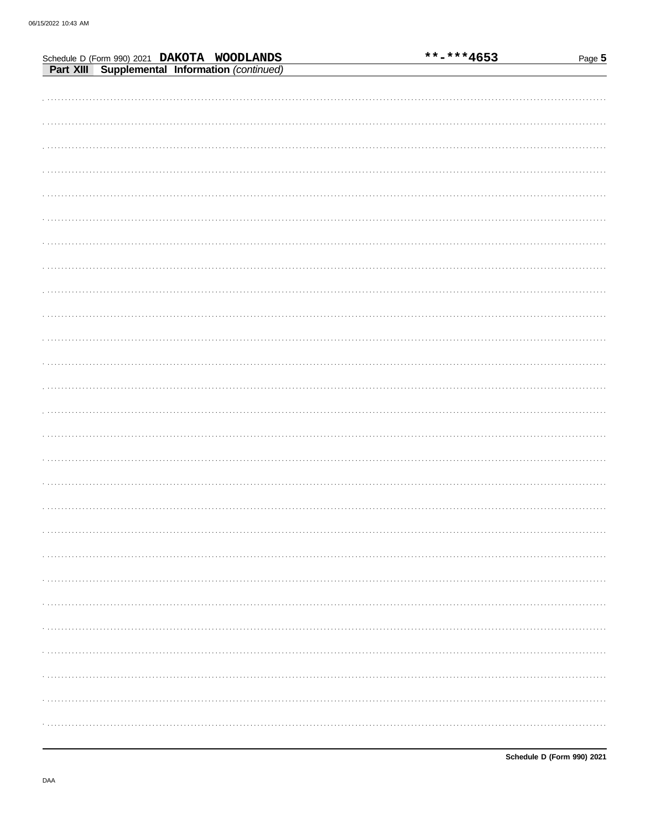|                                                                                               | **-***4653 | Page 5 |
|-----------------------------------------------------------------------------------------------|------------|--------|
| Schedule D (Form 990) 2021 DAKOTA WOODLANDS<br>Part XIII Supplemental Information (continued) |            |        |
|                                                                                               |            |        |
|                                                                                               |            |        |
|                                                                                               |            |        |
|                                                                                               |            |        |
|                                                                                               |            |        |
|                                                                                               |            |        |
|                                                                                               |            |        |
|                                                                                               |            |        |
|                                                                                               |            |        |
|                                                                                               |            |        |
|                                                                                               |            |        |
|                                                                                               |            |        |
|                                                                                               |            |        |
|                                                                                               |            |        |
|                                                                                               |            |        |
|                                                                                               |            |        |
|                                                                                               |            |        |
|                                                                                               |            |        |
|                                                                                               |            |        |
|                                                                                               |            |        |
|                                                                                               |            |        |
|                                                                                               |            |        |
|                                                                                               |            |        |
|                                                                                               |            |        |
|                                                                                               |            |        |
|                                                                                               |            |        |
|                                                                                               |            |        |
|                                                                                               |            |        |
|                                                                                               |            |        |
|                                                                                               |            |        |
|                                                                                               |            |        |
|                                                                                               |            |        |
|                                                                                               |            |        |
|                                                                                               |            |        |
|                                                                                               |            |        |
|                                                                                               |            |        |
|                                                                                               |            |        |
|                                                                                               |            |        |
|                                                                                               |            |        |
|                                                                                               |            |        |
|                                                                                               |            |        |
|                                                                                               |            |        |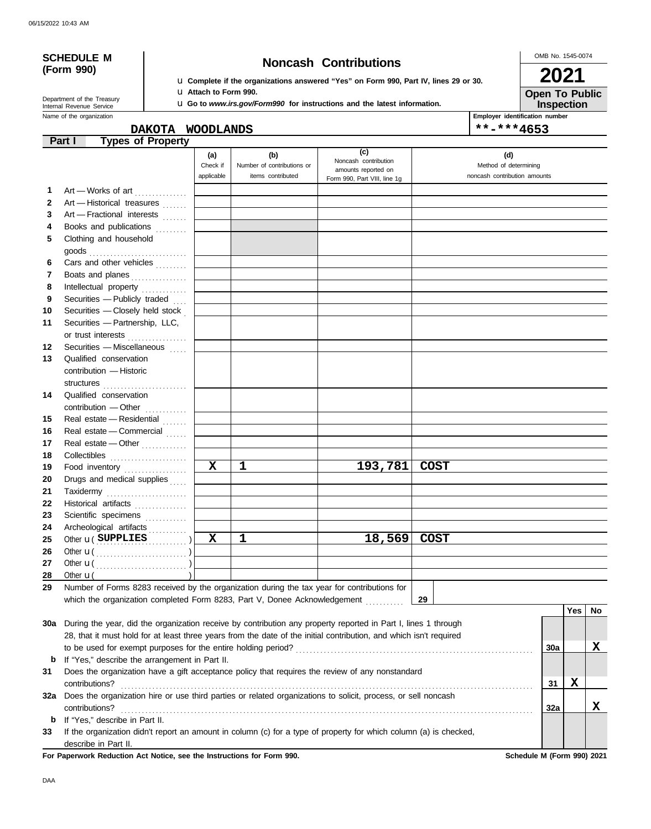# **(Form 990)**

Internal Revenue Service Department of the Treasury

### **SCHEDULE M Noncash Contributions**

u **Complete if the organizations answered "Yes" on Form 990, Part IV, lines 29 or 30.** u **Attach to Form 990.**

u **Go to** *www.irs.gov/Form990* **for instructions and the latest information.**

**Open To Public 2021**

**Inspection**

OMB No. 1545-0074

Name of the organization **Employer identification number Employer identification number** 

|          | DAKOTA WOODLANDS                                                                                                                                |                               |                                                        |                                                                                    | **-***4653                                                   |     |            |    |
|----------|-------------------------------------------------------------------------------------------------------------------------------------------------|-------------------------------|--------------------------------------------------------|------------------------------------------------------------------------------------|--------------------------------------------------------------|-----|------------|----|
|          | Part I<br><b>Types of Property</b>                                                                                                              |                               |                                                        |                                                                                    |                                                              |     |            |    |
|          |                                                                                                                                                 | (a)<br>Check if<br>applicable | (b)<br>Number of contributions or<br>items contributed | (c)<br>Noncash contribution<br>amounts reported on<br>Form 990, Part VIII, line 1g | (d)<br>Method of determining<br>noncash contribution amounts |     |            |    |
| 1        | Art - Works of art                                                                                                                              |                               |                                                        |                                                                                    |                                                              |     |            |    |
| 2        | Art - Historical treasures                                                                                                                      |                               |                                                        |                                                                                    |                                                              |     |            |    |
| 3        | Art - Fractional interests                                                                                                                      |                               |                                                        |                                                                                    |                                                              |     |            |    |
| 4        | Books and publications                                                                                                                          |                               |                                                        |                                                                                    |                                                              |     |            |    |
| 5        | Clothing and household                                                                                                                          |                               |                                                        |                                                                                    |                                                              |     |            |    |
|          |                                                                                                                                                 |                               |                                                        |                                                                                    |                                                              |     |            |    |
| 6        | Cars and other vehicles                                                                                                                         |                               |                                                        |                                                                                    |                                                              |     |            |    |
| 7        | Boats and planes                                                                                                                                |                               |                                                        |                                                                                    |                                                              |     |            |    |
| 8        | Intellectual property                                                                                                                           |                               |                                                        |                                                                                    |                                                              |     |            |    |
| 9        | Securities - Publicly traded                                                                                                                    |                               |                                                        |                                                                                    |                                                              |     |            |    |
| 10       | Securities - Closely held stock                                                                                                                 |                               |                                                        |                                                                                    |                                                              |     |            |    |
| 11       | Securities - Partnership, LLC,                                                                                                                  |                               |                                                        |                                                                                    |                                                              |     |            |    |
|          | or trust interests                                                                                                                              |                               |                                                        |                                                                                    |                                                              |     |            |    |
| 12       | Securities - Miscellaneous                                                                                                                      |                               |                                                        |                                                                                    |                                                              |     |            |    |
| 13       | Qualified conservation                                                                                                                          |                               |                                                        |                                                                                    |                                                              |     |            |    |
|          | contribution - Historic                                                                                                                         |                               |                                                        |                                                                                    |                                                              |     |            |    |
|          |                                                                                                                                                 |                               |                                                        |                                                                                    |                                                              |     |            |    |
| 14       | Qualified conservation                                                                                                                          |                               |                                                        |                                                                                    |                                                              |     |            |    |
|          | contribution - Other                                                                                                                            |                               |                                                        |                                                                                    |                                                              |     |            |    |
| 15       | Real estate - Residential                                                                                                                       |                               |                                                        |                                                                                    |                                                              |     |            |    |
| 16       | Real estate - Commercial                                                                                                                        |                               |                                                        |                                                                                    |                                                              |     |            |    |
| 17       | Real estate - Other                                                                                                                             |                               |                                                        |                                                                                    |                                                              |     |            |    |
| 18       |                                                                                                                                                 |                               |                                                        |                                                                                    |                                                              |     |            |    |
| 19       |                                                                                                                                                 | $\mathbf{x}$                  | $\mathbf{1}$                                           | 193,781                                                                            | <b>COST</b>                                                  |     |            |    |
| 20       | Food inventory<br>Drugs and medical supplies                                                                                                    |                               |                                                        |                                                                                    |                                                              |     |            |    |
| 21       |                                                                                                                                                 |                               |                                                        |                                                                                    |                                                              |     |            |    |
| 22       | Taxidermy                                                                                                                                       |                               |                                                        |                                                                                    |                                                              |     |            |    |
| 23       | Historical artifacts                                                                                                                            |                               |                                                        |                                                                                    |                                                              |     |            |    |
| 24       | Scientific specimens<br>Archeological artifacts                                                                                                 |                               |                                                        |                                                                                    |                                                              |     |            |    |
| 25       | Other <b>u</b> (SUPPLIES                                                                                                                        | $\mathbf x$                   | $\mathbf 1$                                            | 18,569 COST                                                                        |                                                              |     |            |    |
|          |                                                                                                                                                 |                               |                                                        |                                                                                    |                                                              |     |            |    |
| 26<br>27 |                                                                                                                                                 |                               |                                                        |                                                                                    |                                                              |     |            |    |
|          |                                                                                                                                                 |                               |                                                        |                                                                                    |                                                              |     |            |    |
| 28       | Other $\mathbf{u}$ (<br>$\overline{\phantom{0}}$<br>Number of Forms 8283 received by the organization during the tax year for contributions for |                               |                                                        |                                                                                    |                                                              |     |            |    |
| 29       |                                                                                                                                                 |                               |                                                        |                                                                                    |                                                              |     |            |    |
|          | which the organization completed Form 8283, Part V, Donee Acknowledgement                                                                       |                               |                                                        |                                                                                    | 29                                                           |     | <b>Yes</b> | No |
|          |                                                                                                                                                 |                               |                                                        |                                                                                    |                                                              |     |            |    |
|          | 30a During the year, did the organization receive by contribution any property reported in Part I, lines 1 through                              |                               |                                                        |                                                                                    |                                                              |     |            |    |
|          | 28, that it must hold for at least three years from the date of the initial contribution, and which isn't required                              |                               |                                                        |                                                                                    |                                                              |     |            |    |
|          | to be used for exempt purposes for the entire holding period?                                                                                   |                               |                                                        |                                                                                    |                                                              | 30a |            | X  |
| b        | If "Yes," describe the arrangement in Part II.                                                                                                  |                               |                                                        |                                                                                    |                                                              |     |            |    |
| 31       | Does the organization have a gift acceptance policy that requires the review of any nonstandard                                                 |                               |                                                        |                                                                                    |                                                              |     |            |    |
|          | contributions?                                                                                                                                  |                               |                                                        |                                                                                    |                                                              | 31  | X          |    |
|          | 32a Does the organization hire or use third parties or related organizations to solicit, process, or sell noncash                               |                               |                                                        |                                                                                    |                                                              |     |            |    |
|          | contributions?                                                                                                                                  |                               |                                                        |                                                                                    |                                                              | 32a |            | X  |
| b        | If "Yes," describe in Part II.                                                                                                                  |                               |                                                        |                                                                                    |                                                              |     |            |    |
| 33       | If the organization didn't report an amount in column (c) for a type of property for which column (a) is checked,                               |                               |                                                        |                                                                                    |                                                              |     |            |    |
|          | describe in Part II.                                                                                                                            |                               |                                                        |                                                                                    |                                                              |     |            |    |

**For Paperwork Reduction Act Notice, see the Instructions for Form 990. Schedule M (Form 990) 2021**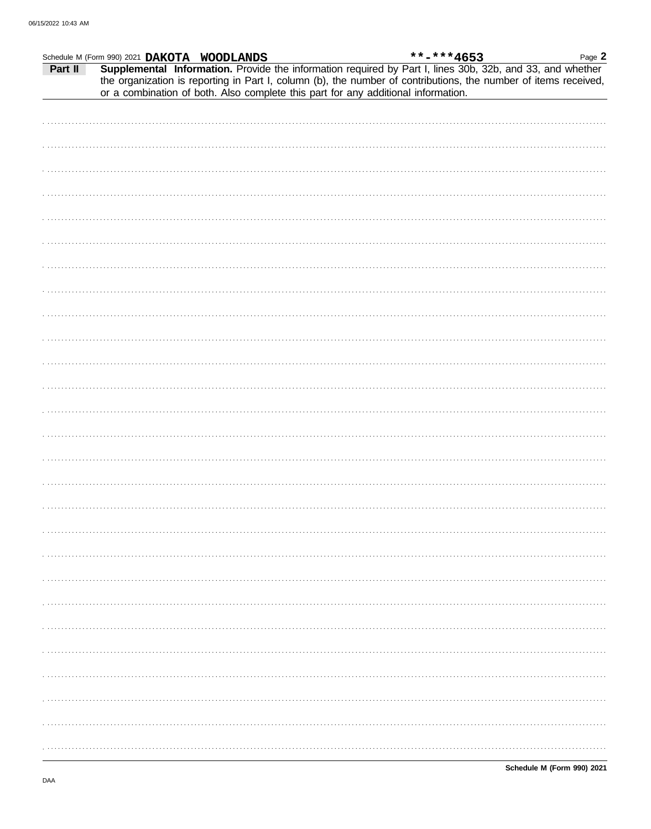|         | Schedule M (Form 990) 2021 DAKOTA WOODLANDS                                                                                                                                                                                                                                                                       |  |  |  | **-***4653 |  | Page 2 |
|---------|-------------------------------------------------------------------------------------------------------------------------------------------------------------------------------------------------------------------------------------------------------------------------------------------------------------------|--|--|--|------------|--|--------|
| Part II | Supplemental Information. Provide the information required by Part I, lines 30b, 32b, and 33, and whether<br>the organization is reporting in Part I, column (b), the number of contributions, the number of items received,<br>or a combination of both. Also complete this part for any additional information. |  |  |  |            |  |        |
|         |                                                                                                                                                                                                                                                                                                                   |  |  |  |            |  |        |
|         |                                                                                                                                                                                                                                                                                                                   |  |  |  |            |  |        |
|         |                                                                                                                                                                                                                                                                                                                   |  |  |  |            |  |        |
|         |                                                                                                                                                                                                                                                                                                                   |  |  |  |            |  |        |
|         |                                                                                                                                                                                                                                                                                                                   |  |  |  |            |  |        |
|         |                                                                                                                                                                                                                                                                                                                   |  |  |  |            |  |        |
|         |                                                                                                                                                                                                                                                                                                                   |  |  |  |            |  |        |
|         |                                                                                                                                                                                                                                                                                                                   |  |  |  |            |  |        |
|         |                                                                                                                                                                                                                                                                                                                   |  |  |  |            |  |        |
|         |                                                                                                                                                                                                                                                                                                                   |  |  |  |            |  |        |
|         |                                                                                                                                                                                                                                                                                                                   |  |  |  |            |  |        |
|         |                                                                                                                                                                                                                                                                                                                   |  |  |  |            |  |        |
|         |                                                                                                                                                                                                                                                                                                                   |  |  |  |            |  |        |
|         |                                                                                                                                                                                                                                                                                                                   |  |  |  |            |  |        |
|         |                                                                                                                                                                                                                                                                                                                   |  |  |  |            |  |        |
|         |                                                                                                                                                                                                                                                                                                                   |  |  |  |            |  |        |
|         |                                                                                                                                                                                                                                                                                                                   |  |  |  |            |  |        |
|         |                                                                                                                                                                                                                                                                                                                   |  |  |  |            |  |        |
|         |                                                                                                                                                                                                                                                                                                                   |  |  |  |            |  |        |
|         |                                                                                                                                                                                                                                                                                                                   |  |  |  |            |  |        |
|         |                                                                                                                                                                                                                                                                                                                   |  |  |  |            |  |        |
|         |                                                                                                                                                                                                                                                                                                                   |  |  |  |            |  |        |
|         |                                                                                                                                                                                                                                                                                                                   |  |  |  |            |  |        |
|         |                                                                                                                                                                                                                                                                                                                   |  |  |  |            |  |        |
|         |                                                                                                                                                                                                                                                                                                                   |  |  |  |            |  |        |
|         |                                                                                                                                                                                                                                                                                                                   |  |  |  |            |  |        |
|         |                                                                                                                                                                                                                                                                                                                   |  |  |  |            |  |        |
|         |                                                                                                                                                                                                                                                                                                                   |  |  |  |            |  |        |
|         |                                                                                                                                                                                                                                                                                                                   |  |  |  |            |  |        |
|         |                                                                                                                                                                                                                                                                                                                   |  |  |  |            |  |        |
|         |                                                                                                                                                                                                                                                                                                                   |  |  |  |            |  |        |
|         |                                                                                                                                                                                                                                                                                                                   |  |  |  |            |  |        |
|         |                                                                                                                                                                                                                                                                                                                   |  |  |  |            |  |        |
|         |                                                                                                                                                                                                                                                                                                                   |  |  |  |            |  |        |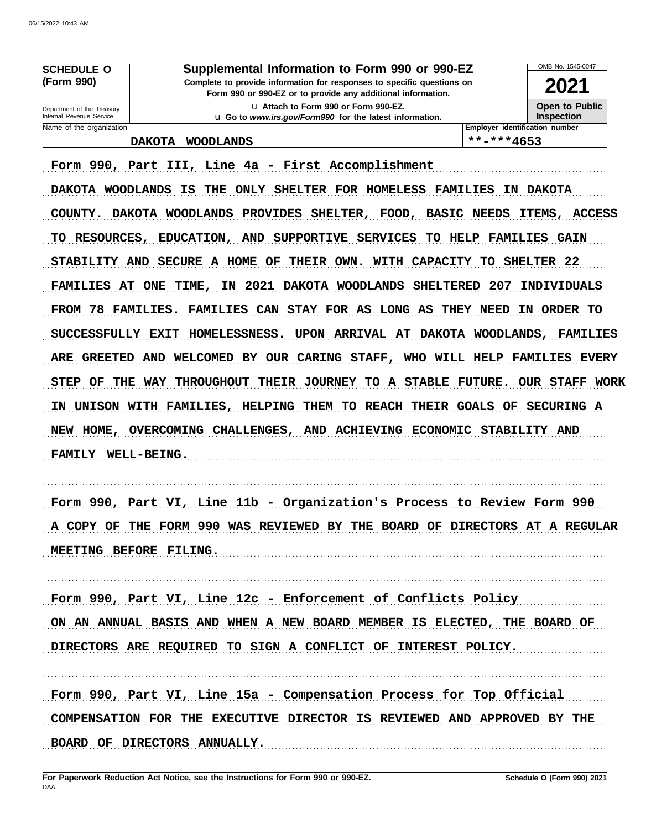| <b>SCHEDULE O</b><br>(Form 990)                        | Supplemental Information to Form 990 or 990-EZ<br>Complete to provide information for responses to specific questions on<br>Form 990 or 990-EZ or to provide any additional information. |    |
|--------------------------------------------------------|------------------------------------------------------------------------------------------------------------------------------------------------------------------------------------------|----|
| Department of the Treasury<br>Internal Revenue Service | u Attach to Form 990 or Form 990-EZ.<br>u Go to www.irs.gov/Form990 for the latest information.                                                                                          |    |
| Name of the organization                               |                                                                                                                                                                                          | En |

DAKOTA WOODLANDS

2021 Open to Public **Inspection** 

OMB No. 1545-0047

Employer identification number

 $***$ -\*\*\*4653

Form 990, Part III, Line 4a - First Accomplishment

DAKOTA WOODLANDS IS THE ONLY SHELTER FOR HOMELESS FAMILIES IN DAKOTA COUNTY. DAKOTA WOODLANDS PROVIDES SHELTER, FOOD, BASIC NEEDS ITEMS, ACCESS TO RESOURCES, EDUCATION, AND SUPPORTIVE SERVICES TO HELP FAMILIES GAIN STABILITY AND SECURE A HOME OF THEIR OWN. WITH CAPACITY TO SHELTER 22 FAMILIES AT ONE TIME, IN 2021 DAKOTA WOODLANDS SHELTERED 207 INDIVIDUALS FROM 78 FAMILIES. FAMILIES CAN STAY FOR AS LONG AS THEY NEED IN ORDER TO SUCCESSFULLY EXIT HOMELESSNESS. UPON ARRIVAL AT DAKOTA WOODLANDS, FAMILIES ARE GREETED AND WELCOMED BY OUR CARING STAFF, WHO WILL HELP FAMILIES EVERY STEP OF THE WAY THROUGHOUT THEIR JOURNEY TO A STABLE FUTURE. OUR STAFF WORK IN UNISON WITH FAMILIES, HELPING THEM TO REACH THEIR GOALS OF SECURING A NEW HOME, OVERCOMING CHALLENGES, AND ACHIEVING ECONOMIC STABILITY AND FAMILY WELL-BEING.

Form 990, Part VI, Line 11b - Organization's Process to Review Form 990 A COPY OF THE FORM 990 WAS REVIEWED BY THE BOARD OF DIRECTORS AT A REGULAR MEETING BEFORE FILING.

Form 990, Part VI, Line 12c - Enforcement of Conflicts Policy ON AN ANNUAL BASIS AND WHEN A NEW BOARD MEMBER IS ELECTED, THE BOARD OF DIRECTORS ARE REQUIRED TO SIGN A CONFLICT OF INTEREST POLICY.

Form 990, Part VI, Line 15a - Compensation Process for Top Official COMPENSATION FOR THE EXECUTIVE DIRECTOR IS REVIEWED AND APPROVED BY THE BOARD OF DIRECTORS ANNUALLY.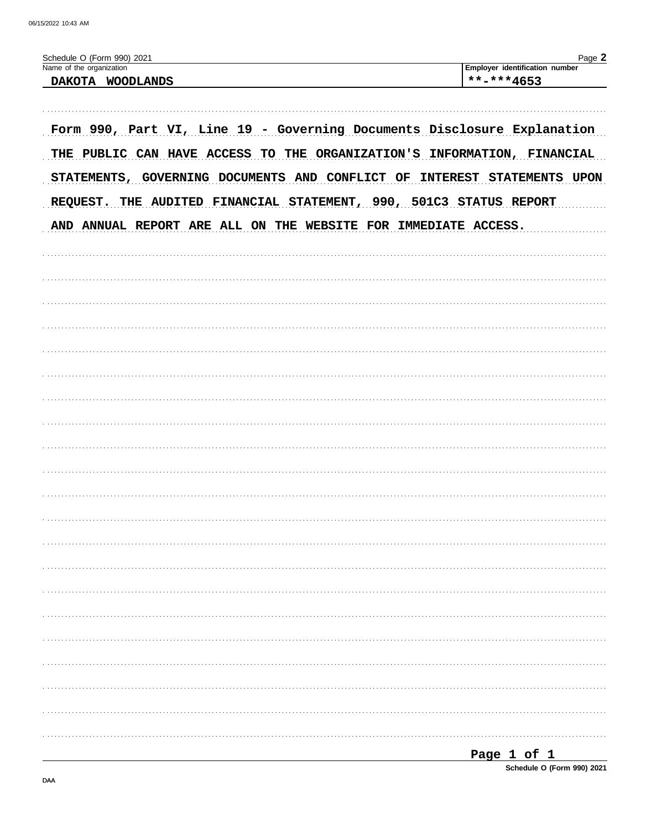| Schedule O (Form 990) 2021        | Page _                                |
|-----------------------------------|---------------------------------------|
| Name of the organization          | <b>Employer identification number</b> |
| <b>DAKOTA</b><br><b>WOODLANDS</b> | **-***4653                            |

| Form 990, Part VI, Line 19 - Governing Documents Disclosure Explanation<br>THE PUBLIC CAN HAVE ACCESS TO THE ORGANIZATION'S INFORMATION, FINANCIAL<br>STATEMENTS, GOVERNING DOCUMENTS AND CONFLICT OF INTEREST STATEMENTS UPON<br>REQUEST. THE AUDITED FINANCIAL STATEMENT, 990, 501C3 STATUS REPORT |
|------------------------------------------------------------------------------------------------------------------------------------------------------------------------------------------------------------------------------------------------------------------------------------------------------|
| AND ANNUAL REPORT ARE ALL ON THE WEBSITE FOR IMMEDIATE ACCESS.                                                                                                                                                                                                                                       |
|                                                                                                                                                                                                                                                                                                      |
|                                                                                                                                                                                                                                                                                                      |
|                                                                                                                                                                                                                                                                                                      |
|                                                                                                                                                                                                                                                                                                      |
|                                                                                                                                                                                                                                                                                                      |
|                                                                                                                                                                                                                                                                                                      |
|                                                                                                                                                                                                                                                                                                      |
|                                                                                                                                                                                                                                                                                                      |
|                                                                                                                                                                                                                                                                                                      |
|                                                                                                                                                                                                                                                                                                      |
|                                                                                                                                                                                                                                                                                                      |
|                                                                                                                                                                                                                                                                                                      |
|                                                                                                                                                                                                                                                                                                      |
|                                                                                                                                                                                                                                                                                                      |
|                                                                                                                                                                                                                                                                                                      |
|                                                                                                                                                                                                                                                                                                      |
|                                                                                                                                                                                                                                                                                                      |
|                                                                                                                                                                                                                                                                                                      |
|                                                                                                                                                                                                                                                                                                      |
|                                                                                                                                                                                                                                                                                                      |
|                                                                                                                                                                                                                                                                                                      |
|                                                                                                                                                                                                                                                                                                      |
|                                                                                                                                                                                                                                                                                                      |
|                                                                                                                                                                                                                                                                                                      |
|                                                                                                                                                                                                                                                                                                      |
| Page 1 of 1                                                                                                                                                                                                                                                                                          |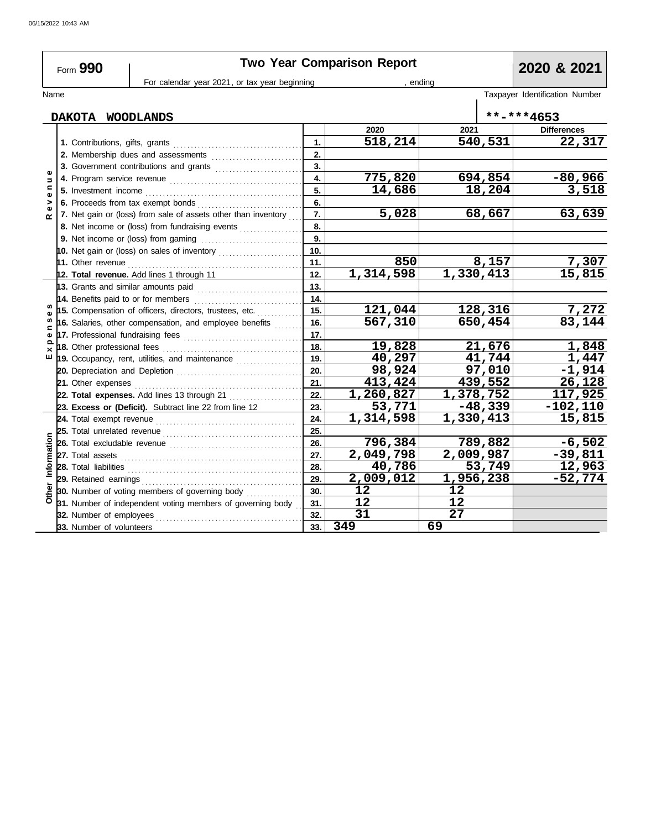|                                | Form 990                            |                                                                              | <b>Two Year Comparison Report</b> | 2020 & 2021 |           |                        |                                |
|--------------------------------|-------------------------------------|------------------------------------------------------------------------------|-----------------------------------|-------------|-----------|------------------------|--------------------------------|
| Name                           |                                     | For calendar year 2021, or tax year beginning                                |                                   |             | , ending  |                        | Taxpayer Identification Number |
|                                |                                     |                                                                              |                                   |             |           |                        |                                |
|                                | DAKOTA WOODLANDS                    |                                                                              |                                   |             |           |                        | **-***4653                     |
|                                |                                     |                                                                              |                                   | 2020        | 2021      |                        | <b>Differences</b>             |
|                                |                                     |                                                                              | $\mathbf{1}$                      | 518,214     |           | 540,531                | 22,317                         |
|                                |                                     |                                                                              | 2.                                |             |           |                        |                                |
| Φ                              |                                     | 3. Government contributions and grants                                       | 3.                                |             |           |                        |                                |
| $\Rightarrow$                  |                                     |                                                                              | 4.                                | 775,820     |           | 694,854                | $-80,966$                      |
| $\mathbf{C}$<br>$\pmb{\omega}$ |                                     |                                                                              | 5.                                | 14,686      |           | 18,204                 | 3,518                          |
| >                              |                                     |                                                                              | 6.                                |             |           |                        |                                |
|                                |                                     | 7. Net gain or (loss) from sale of assets other than inventory               | $\overline{7}$ .                  | 5,028       |           | 68,667                 | 63,639                         |
|                                |                                     | 8. Net income or (loss) from fundraising events                              | 8.                                |             |           |                        |                                |
|                                |                                     |                                                                              | 9.                                |             |           |                        |                                |
|                                |                                     |                                                                              | 10.                               |             |           |                        |                                |
|                                |                                     |                                                                              | 11.                               | 850         |           | 8,157                  | 7,307                          |
|                                |                                     | 12. Total revenue. Add lines 1 through 11                                    | 12.                               | 1,314,598   |           | $\overline{1,330,413}$ | 15,815                         |
|                                |                                     | 13. Grants and similar amounts paid                                          | 13.                               |             |           |                        |                                |
|                                | 14. Benefits paid to or for members |                                                                              | 14.                               |             |           |                        |                                |
|                                |                                     | 15. Compensation of officers, directors, trustees, etc.                      | 15.                               | 121,044     |           | 128,316                | 7,272                          |
|                                |                                     | 16. Salaries, other compensation, and employee benefits                      | 16.                               | 567,310     |           | 650,454                | 83,144                         |
| Ф                              |                                     |                                                                              | 17.                               |             |           |                        |                                |
| ×                              | 18. Other professional fees         |                                                                              | 18.                               | 19,828      |           | 21,676                 | 1,848                          |
| ш                              |                                     | 19. Occupancy, rent, utilities, and maintenance <i>[[[[[[[[[[[[[[[]]]]</i> ] | 19.                               | 40,297      |           | 41,744                 | 1,447                          |
|                                |                                     |                                                                              | 20.                               | 98,924      |           | 97,010                 | $-1,914$                       |
|                                |                                     |                                                                              | 21.                               | 413,424     |           | 439,552                | 26,128                         |
|                                |                                     | 22. Total expenses. Add lines 13 through 21                                  | 22.                               | 1,260,827   |           | 1,378,752              | 117,925                        |
|                                |                                     | 23. Excess or (Deficit). Subtract line 22 from line 12                       | 23.                               | 53,771      |           | $-48,339$              | $-102, 110$                    |
|                                |                                     |                                                                              | 24.                               | 1,314,598   | 1,330,413 |                        | 15,815                         |
|                                |                                     |                                                                              | 25.                               |             |           |                        |                                |
|                                |                                     |                                                                              | 26.                               | 796,384     |           | 789,882                | $-6,502$                       |
|                                |                                     |                                                                              | 27.                               | 2,049,798   | 2,009,987 |                        | $-39,811$                      |
| Information                    |                                     |                                                                              | 28.                               | 40,786      |           | 53,749                 | 12,963                         |
|                                |                                     |                                                                              | 29.                               | 2,009,012   |           | 1,956,238              | $-52,774$                      |
|                                |                                     | 30. Number of voting members of governing body                               | 30.                               | 12          | 12        |                        |                                |
|                                |                                     | 31. Number of independent voting members of governing body                   | 31.                               | 12          | 12        |                        |                                |
|                                | 32. Number of employees             |                                                                              | 32.                               | 31          | 27        |                        |                                |
|                                | 33. Number of volunteers            |                                                                              | 33.                               | 349         | 69        |                        |                                |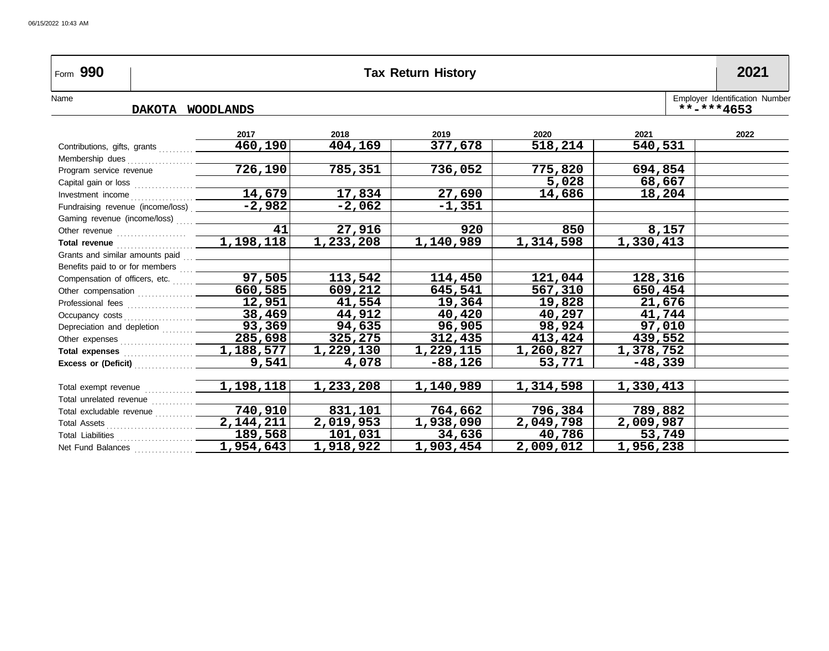| Form 990                                                                                                               |                        |                        | <b>Tax Return History</b> |           |           | 2021                                         |
|------------------------------------------------------------------------------------------------------------------------|------------------------|------------------------|---------------------------|-----------|-----------|----------------------------------------------|
| Name<br>DAKOTA WOODLANDS                                                                                               |                        |                        |                           |           |           | Employer Identification Number<br>**-***4653 |
|                                                                                                                        | 2017                   | 2018                   | 2019                      | 2020      | 2021      | 2022                                         |
|                                                                                                                        | 460,190                | 404,169                | 377,678                   | 518,214   | 540,531   |                                              |
|                                                                                                                        |                        |                        |                           |           |           |                                              |
| Program service revenue                                                                                                | $\overline{726,190}$   | 785,351                | 736,052                   | 775,820   | 694,854   |                                              |
|                                                                                                                        |                        |                        |                           | 5,028     | 68,667    |                                              |
|                                                                                                                        | 14,679                 | 17,834                 | 27,690                    | 14,686    | 18,204    |                                              |
|                                                                                                                        |                        | $-2,062$               | $-1,351$                  |           |           |                                              |
| Gaming revenue (income/loss)  _____________                                                                            |                        |                        |                           |           |           |                                              |
|                                                                                                                        | 41                     | 27,916                 | 920                       | 850       | 8,157     |                                              |
|                                                                                                                        | 1,198,118              | 1,233,208              | 1,140,989                 | 1,314,598 | 1,330,413 |                                              |
| Grants and similar amounts paid                                                                                        |                        |                        |                           |           |           |                                              |
| Benefits paid to or for members [111] ______                                                                           |                        |                        |                           |           |           |                                              |
|                                                                                                                        | 97,505                 | 113,542                | 114,450                   | 121,044   | 128,316   |                                              |
|                                                                                                                        | 660,585                | 609,212                | 645,541                   | 567,310   | 650,454   |                                              |
|                                                                                                                        | $\overline{12,951}$    | $\overline{41,554}$    | 19,364                    | 19,828    | 21,676    |                                              |
|                                                                                                                        | 38,469                 | 44,912                 | 40,420                    | 40,297    | 41,744    |                                              |
| Depreciation and depletion  _________                                                                                  | 93,369                 | 94,635                 | 96,905                    | 98,924    | 97,010    |                                              |
|                                                                                                                        | 285,698                | 325,275                | 312,435                   | 413,424   | 439,552   |                                              |
| Total expenses <b>Manual</b> Constant Constant Constant Constant Constant Constant Constant Constant Constant Constant | 1,188,577              | 1,229,130              | 1,229,115                 | 1,260,827 | 1,378,752 |                                              |
|                                                                                                                        | 9,541                  | 4,078                  | $-88,126$                 | 53,771    | $-48,339$ |                                              |
|                                                                                                                        |                        |                        |                           |           |           |                                              |
| Total exempt revenue                                                                                                   | 1,198,118              | 1,233,208              | 1,140,989                 | 1,314,598 | 1,330,413 |                                              |
| Total unrelated revenue                                                                                                |                        |                        |                           |           |           |                                              |
| Total excludable revenue                                                                                               | 740,910                | 831,101                | 764,662                   | 796,384   | 789,882   |                                              |
|                                                                                                                        | $\overline{2,144,211}$ | $\overline{2,019,953}$ | 1,938,090                 | 2,049,798 | 2,009,987 |                                              |
|                                                                                                                        | 189,568                | 101,031                | 34,636                    | 40,786    | 53,749    |                                              |
|                                                                                                                        | 1,954,643              | 1,918,922              | 1,903,454                 | 2,009,012 | 1,956,238 |                                              |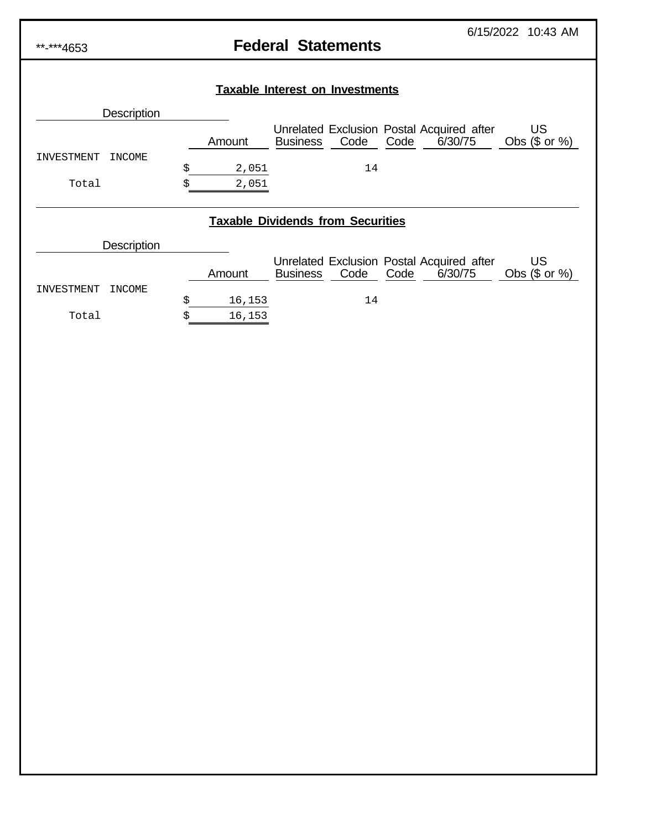| **-***4653                               | 6/15/2022 10:43 AM<br><b>Federal Statements</b>                                                                                   |  |  |  |  |
|------------------------------------------|-----------------------------------------------------------------------------------------------------------------------------------|--|--|--|--|
| <b>Taxable Interest on Investments</b>   |                                                                                                                                   |  |  |  |  |
| <b>Description</b>                       |                                                                                                                                   |  |  |  |  |
|                                          | <b>US</b><br>Unrelated Exclusion Postal Acquired after<br>Obs $($or %)$<br>Code<br>6/30/75<br>Code<br>Amount<br><b>Business</b>   |  |  |  |  |
| INVESTMENT<br>INCOME                     | \$<br>2,051<br>14                                                                                                                 |  |  |  |  |
| Total                                    | \$<br>2,051                                                                                                                       |  |  |  |  |
| <b>Taxable Dividends from Securities</b> |                                                                                                                                   |  |  |  |  |
| <b>Description</b>                       |                                                                                                                                   |  |  |  |  |
|                                          | <b>US</b><br>Unrelated Exclusion Postal Acquired after<br>Obs $($$ or $%$<br>Code<br>Code<br>6/30/75<br><b>Business</b><br>Amount |  |  |  |  |
| INVESTMENT<br>INCOME                     | \$<br>16,153<br>14                                                                                                                |  |  |  |  |
| Total                                    | \$<br>16,153                                                                                                                      |  |  |  |  |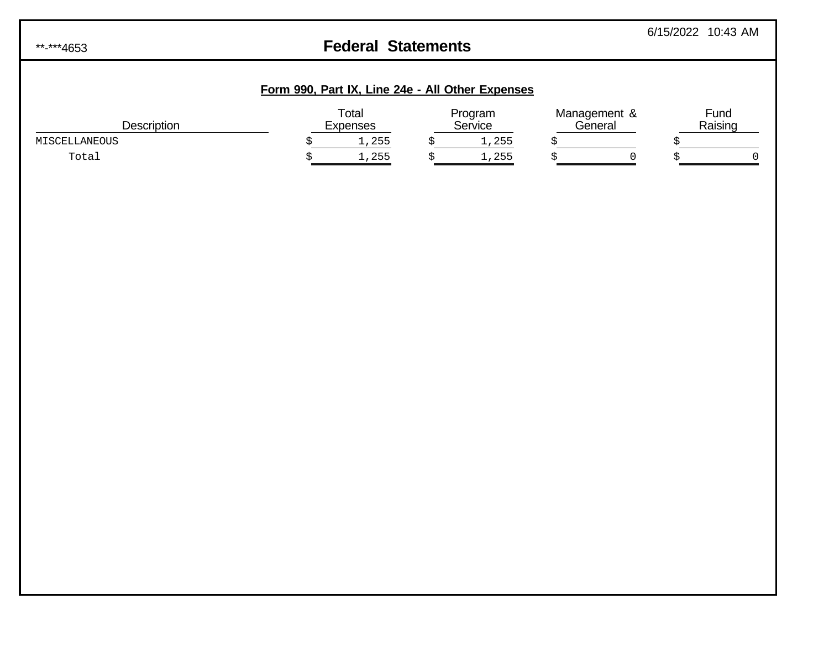# \*\*-\*\*\*4653 **Federal Statements**

### **Form 990, Part IX, Line 24e - All Other Expenses**

| Description   | Total<br><b>Expenses</b> |       | Program<br>Service |       | Management &<br>General |  | Fund<br>Raising |  |
|---------------|--------------------------|-------|--------------------|-------|-------------------------|--|-----------------|--|
| MISCELLANEOUS |                          | 1,255 |                    | 1,255 |                         |  |                 |  |
| Total         |                          | 1,255 |                    | 1,255 |                         |  |                 |  |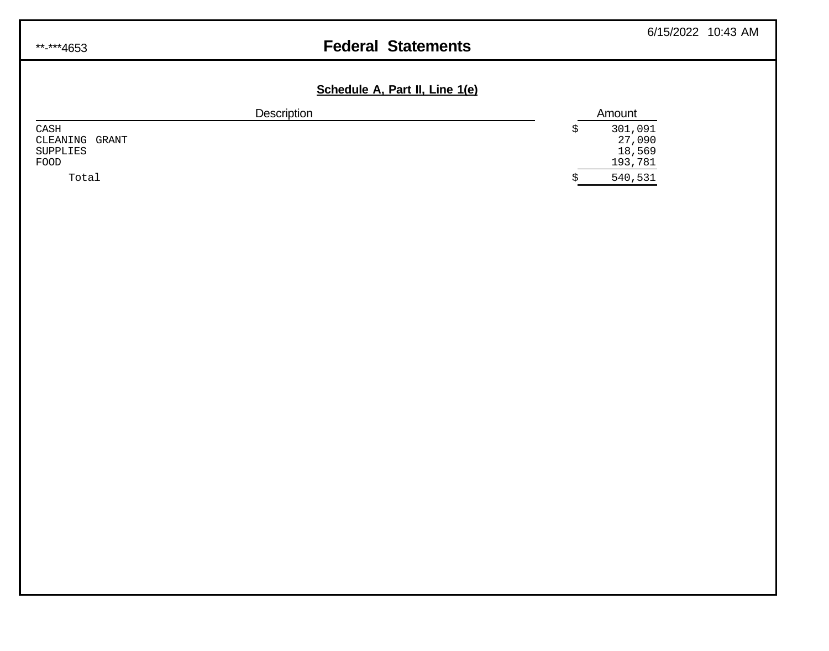# \*\*-\*\*\*4653 **Federal Statements**

### **Schedule A, Part II, Line 1(e)**

| <b>Description</b> | Amount  |
|--------------------|---------|
| CASH               | 301,091 |
| CLEANING GRANT     | 27,090  |
| SUPPLIES           | 18,569  |
| FOOD               | 193,781 |
| Total              | 540,531 |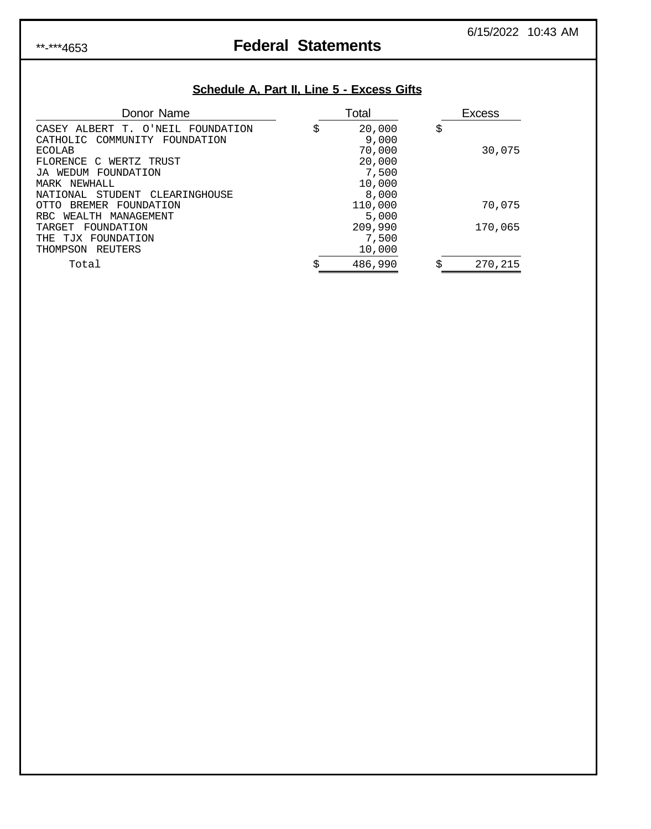# \*\*-\*\*\*4653 **Federal Statements**

|  | Schedule A, Part II, Line 5 - Excess Gifts |
|--|--------------------------------------------|
|  |                                            |

| Donor Name                           | Total        |    | <b>Excess</b> |
|--------------------------------------|--------------|----|---------------|
| CASEY ALBERT T. O'NEIL<br>FOUNDATION | \$<br>20,000 | \$ |               |
| CATHOLIC<br>COMMUNITY<br>FOUNDATION  | 9,000        |    |               |
| <b>ECOLAB</b>                        | 70,000       |    | 30,075        |
| FLORENCE C WERTZ TRUST               | 20,000       |    |               |
| JA WEDUM FOUNDATION                  | 7,500        |    |               |
| MARK NEWHALL                         | 10,000       |    |               |
| NATIONAL STUDENT CLEARINGHOUSE       | 8,000        |    |               |
| BREMER FOUNDATION<br>OTTO            | 110,000      |    | 70,075        |
| RBC WEALTH MANAGEMENT                | 5,000        |    |               |
| TARGET FOUNDATION                    | 209,990      |    | 170,065       |
| THE TJX FOUNDATION                   | 7,500        |    |               |
| THOMPSON REUTERS                     | 10,000       |    |               |
| Total                                | 486,990      | Ś  | 270,215       |